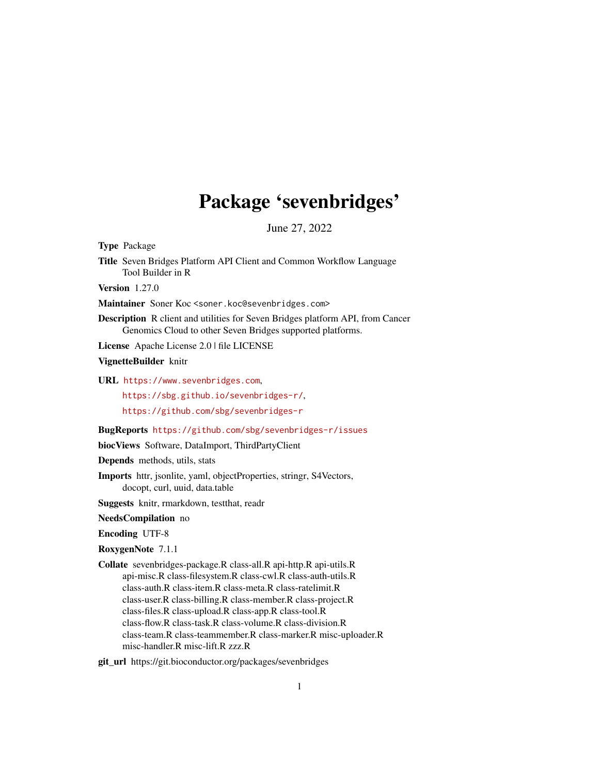# Package 'sevenbridges'

June 27, 2022

<span id="page-0-0"></span>Type Package

Title Seven Bridges Platform API Client and Common Workflow Language Tool Builder in R

Version 1.27.0

Maintainer Soner Koc <soner.koc@sevenbridges.com>

Description R client and utilities for Seven Bridges platform API, from Cancer Genomics Cloud to other Seven Bridges supported platforms.

License Apache License 2.0 | file LICENSE

VignetteBuilder knitr

URL <https://www.sevenbridges.com>,

<https://sbg.github.io/sevenbridges-r/>, <https://github.com/sbg/sevenbridges-r>

BugReports <https://github.com/sbg/sevenbridges-r/issues>

biocViews Software, DataImport, ThirdPartyClient

Depends methods, utils, stats

Imports httr, jsonlite, yaml, objectProperties, stringr, S4Vectors, docopt, curl, uuid, data.table

Suggests knitr, rmarkdown, testthat, readr

NeedsCompilation no

Encoding UTF-8

RoxygenNote 7.1.1

Collate sevenbridges-package.R class-all.R api-http.R api-utils.R api-misc.R class-filesystem.R class-cwl.R class-auth-utils.R class-auth.R class-item.R class-meta.R class-ratelimit.R class-user.R class-billing.R class-member.R class-project.R class-files.R class-upload.R class-app.R class-tool.R class-flow.R class-task.R class-volume.R class-division.R class-team.R class-teammember.R class-marker.R misc-uploader.R misc-handler.R misc-lift.R zzz.R

git\_url https://git.bioconductor.org/packages/sevenbridges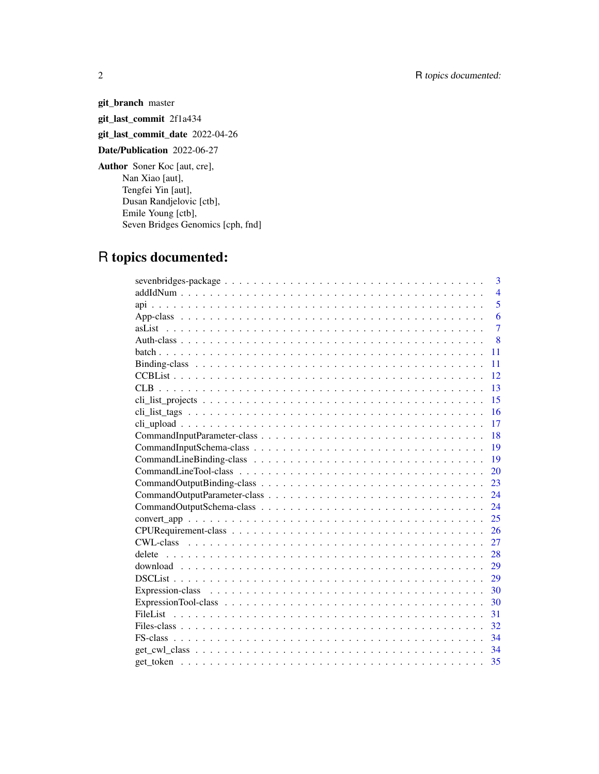git\_branch master git\_last\_commit 2f1a434 git\_last\_commit\_date 2022-04-26 Date/Publication 2022-06-27 Author Soner Koc [aut, cre], Nan Xiao [aut], Tengfei Yin [aut], Dusan Randjelovic [ctb], Emile Young [ctb], Seven Bridges Genomics [cph, fnd]

# R topics documented:

| 3              |
|----------------|
| $\overline{4}$ |
| 5              |
| 6              |
| $\overline{7}$ |
| 8              |
| 11             |
| 11             |
| 12             |
| 13             |
| 15             |
| 16             |
| 17             |
| 18             |
| 19             |
| 19             |
| 20             |
| 23             |
| 24             |
| 24             |
| 25             |
| 26             |
| 27             |
| 28<br>delete   |
| 29             |
| 29             |
| 30             |
| 30             |
| 31             |
| 32             |
| 34             |
| 34             |
| 35             |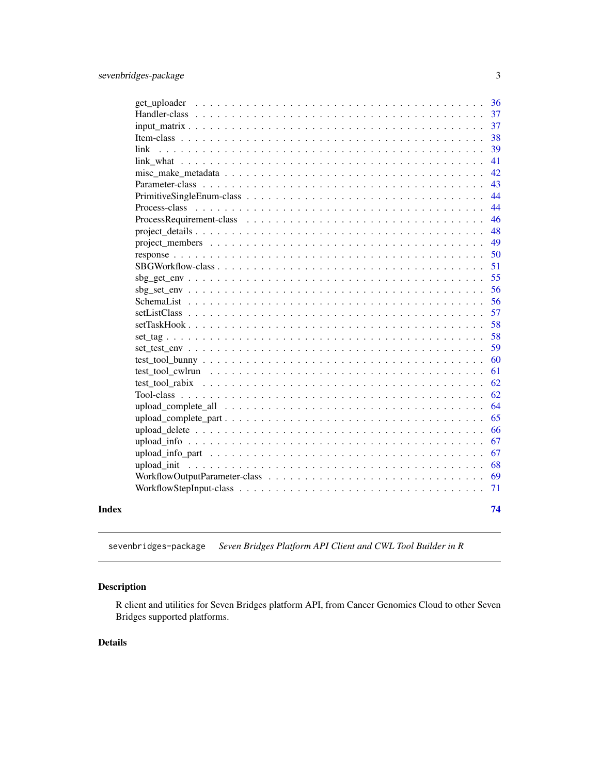<span id="page-2-0"></span>

|       |                                                                                                              | 36 |
|-------|--------------------------------------------------------------------------------------------------------------|----|
|       |                                                                                                              | 37 |
|       |                                                                                                              | 37 |
|       |                                                                                                              | 38 |
|       | link                                                                                                         | 39 |
|       |                                                                                                              | 41 |
|       |                                                                                                              | 42 |
|       |                                                                                                              | 43 |
|       |                                                                                                              | 44 |
|       |                                                                                                              | 44 |
|       |                                                                                                              | 46 |
|       |                                                                                                              | 48 |
|       |                                                                                                              | 49 |
|       |                                                                                                              | 50 |
|       |                                                                                                              | 51 |
|       |                                                                                                              | 55 |
|       |                                                                                                              | 56 |
|       |                                                                                                              | 56 |
|       |                                                                                                              | 57 |
|       |                                                                                                              | 58 |
|       |                                                                                                              | 58 |
|       |                                                                                                              | 59 |
|       |                                                                                                              | 60 |
|       | test tool cwlrun $\dots \dots \dots \dots \dots \dots \dots \dots \dots \dots \dots \dots \dots \dots \dots$ | 61 |
|       | test tool rabix $\ldots \ldots \ldots \ldots \ldots \ldots \ldots \ldots \ldots \ldots$                      | 62 |
|       |                                                                                                              | 62 |
|       | upload_complete_all $\ldots \ldots \ldots \ldots \ldots \ldots \ldots \ldots \ldots \ldots \ldots$           | 64 |
|       |                                                                                                              | 65 |
|       |                                                                                                              | 66 |
|       |                                                                                                              | 67 |
|       |                                                                                                              | 67 |
|       |                                                                                                              | 68 |
|       |                                                                                                              | 69 |
|       |                                                                                                              | 71 |
| Index |                                                                                                              | 74 |

sevenbridges-package *Seven Bridges Platform API Client and CWL Tool Builder in R*

## Description

R client and utilities for Seven Bridges platform API, from Cancer Genomics Cloud to other Seven Bridges supported platforms.

## Details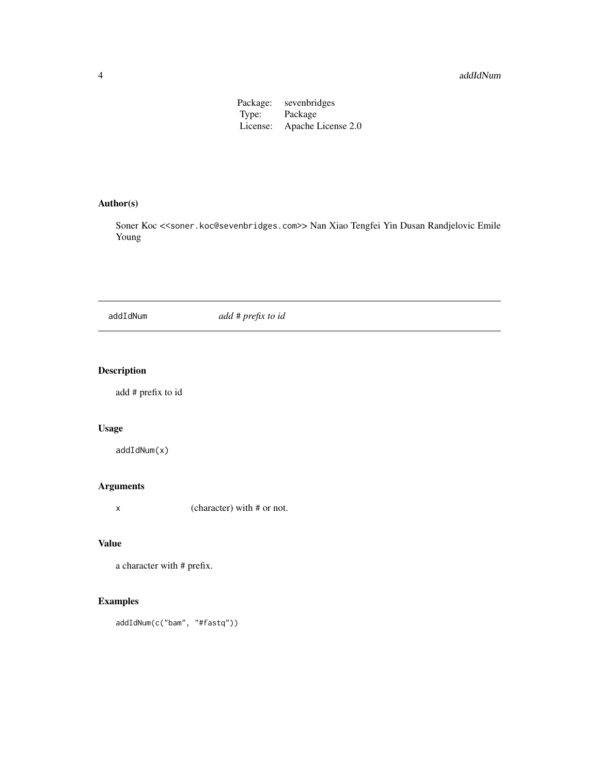#### <span id="page-3-0"></span>4 addIdNum and the contract of the contract of the contract of the contract of the contract of the contract of the contract of the contract of the contract of the contract of the contract of the contract of the contract of

Package: sevenbridges Type: Package<br>License: Apache I Apache License 2.0

## Author(s)

Soner Koc << soner.koc@sevenbridges.com>> Nan Xiao Tengfei Yin Dusan Randjelovic Emile Young

## addIdNum *add* # *prefix to id*

## Description

add # prefix to id

## Usage

addIdNum(x)

## Arguments

x (character) with # or not.

## Value

a character with # prefix.

## Examples

addIdNum(c("bam", "#fastq"))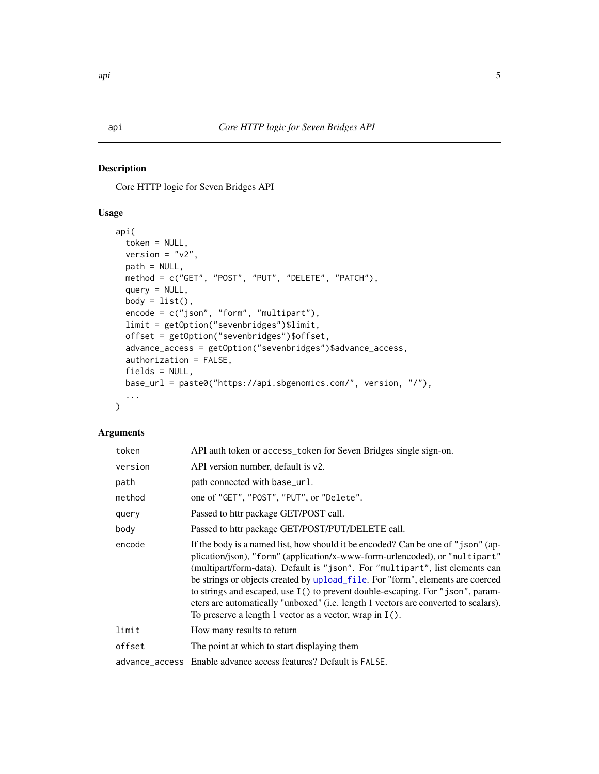<span id="page-4-0"></span>Core HTTP logic for Seven Bridges API

## Usage

```
api(
  token = NULL,
 version = "v2",path = NULL,
 method = c("GET", "POST", "PUT", "DELETE", "PATCH"),
  query = NULL,
 body = list(),
 encode = c("json", "form", "multipart"),
  limit = getOption("sevenbridges")$limit,
  offset = getOption("sevenbridges")$offset,
  advance_access = getOption("sevenbridges")$advance_access,
  authorization = FALSE,
  fields = NULL,
 base_url = paste0("https://api.sbgenomics.com/", version, "/"),
  ...
\mathcal{L}
```
#### Arguments

| token   | API auth token or access_token for Seven Bridges single sign-on.                                                                                                                                                                                                                                                                                                                                                                                                                                                                                                         |  |
|---------|--------------------------------------------------------------------------------------------------------------------------------------------------------------------------------------------------------------------------------------------------------------------------------------------------------------------------------------------------------------------------------------------------------------------------------------------------------------------------------------------------------------------------------------------------------------------------|--|
| version | API version number, default is v2.                                                                                                                                                                                                                                                                                                                                                                                                                                                                                                                                       |  |
| path    | path connected with base_url.                                                                                                                                                                                                                                                                                                                                                                                                                                                                                                                                            |  |
| method  | one of "GET", "POST", "PUT", or "Delete".                                                                                                                                                                                                                                                                                                                                                                                                                                                                                                                                |  |
| query   | Passed to httr package GET/POST call.                                                                                                                                                                                                                                                                                                                                                                                                                                                                                                                                    |  |
| body    | Passed to httr package GET/POST/PUT/DELETE call.                                                                                                                                                                                                                                                                                                                                                                                                                                                                                                                         |  |
| encode  | If the body is a named list, how should it be encoded? Can be one of "json" (ap-<br>plication/json), "form" (application/x-www-form-urlencoded), or "multipart"<br>(multipart/form-data). Default is "json". For "multipart", list elements can<br>be strings or objects created by upload_file. For "form", elements are coerced<br>to strings and escaped, use I() to prevent double-escaping. For "json", param-<br>eters are automatically "unboxed" (i.e. length 1 vectors are converted to scalars).<br>To preserve a length 1 vector as a vector, wrap in $I()$ . |  |
| limit   | How many results to return                                                                                                                                                                                                                                                                                                                                                                                                                                                                                                                                               |  |
| offset  | The point at which to start displaying them                                                                                                                                                                                                                                                                                                                                                                                                                                                                                                                              |  |
|         | advance access Enable advance access features? Default is FALSE.                                                                                                                                                                                                                                                                                                                                                                                                                                                                                                         |  |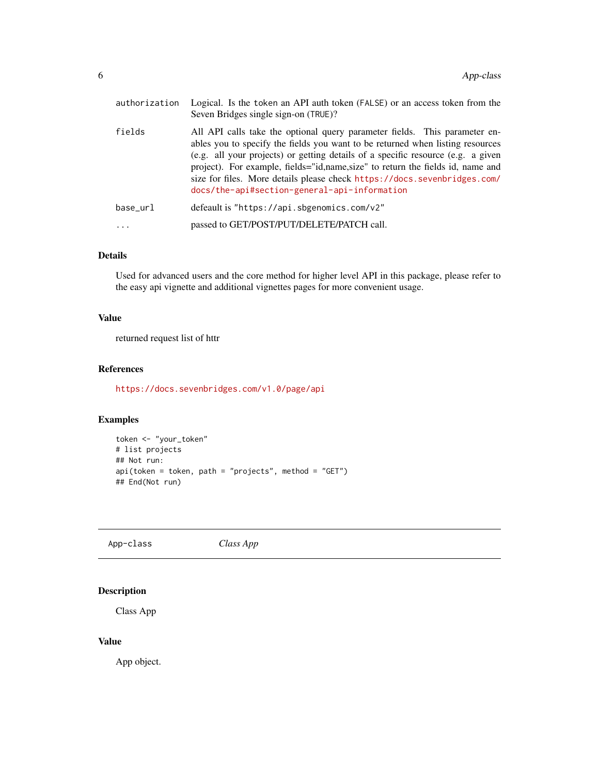<span id="page-5-0"></span>

| authorization | Logical. Is the token an API auth token (FALSE) or an access token from the<br>Seven Bridges single sign-on (TRUE)?                                                                                                                                                                                                                                                                                                                                              |  |
|---------------|------------------------------------------------------------------------------------------------------------------------------------------------------------------------------------------------------------------------------------------------------------------------------------------------------------------------------------------------------------------------------------------------------------------------------------------------------------------|--|
| fields        | All API calls take the optional query parameter fields. This parameter en-<br>ables you to specify the fields you want to be returned when listing resources<br>(e.g. all your projects) or getting details of a specific resource (e.g. a given<br>project). For example, fields="id, name, size" to return the fields id, name and<br>size for files. More details please check https://docs.sevenbridges.com/<br>docs/the-api#section-general-api-information |  |
| base url      | defeault is "https://api.sbgenomics.com/v2"                                                                                                                                                                                                                                                                                                                                                                                                                      |  |
|               | passed to GET/POST/PUT/DELETE/PATCH call.                                                                                                                                                                                                                                                                                                                                                                                                                        |  |

#### Details

Used for advanced users and the core method for higher level API in this package, please refer to the easy api vignette and additional vignettes pages for more convenient usage.

## Value

returned request list of httr

#### References

<https://docs.sevenbridges.com/v1.0/page/api>

## Examples

```
token <- "your_token"
# list projects
## Not run:
api(token = token, path = "projects", method = "GET")## End(Not run)
```
App-class *Class App*

## Description

Class App

#### Value

App object.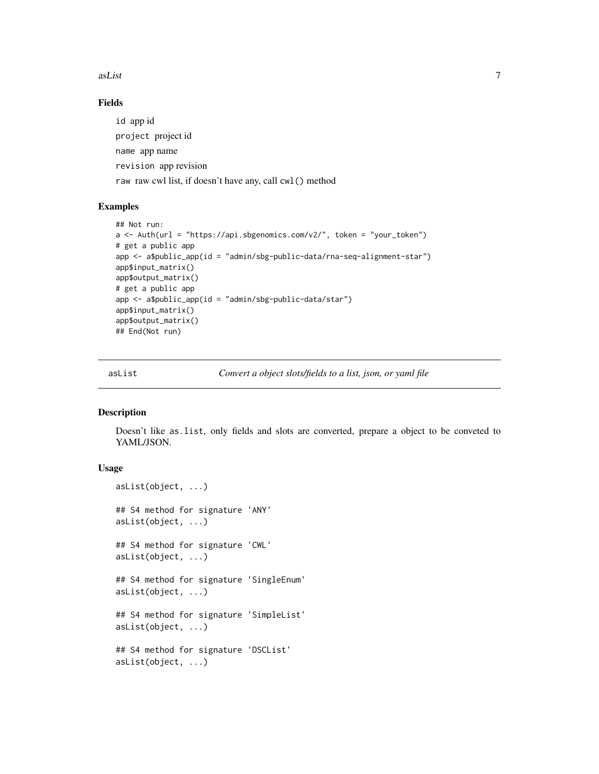<span id="page-6-0"></span>asList 7

## Fields

id app id project project id name app name revision app revision raw raw cwl list, if doesn't have any, call cwl() method

#### Examples

```
## Not run:
a \leq - Auth(url = "https://api.sbgenomics.com/v2/", token = "your_token")
# get a public app
app <- a$public_app(id = "admin/sbg-public-data/rna-seq-alignment-star")
app$input_matrix()
app$output_matrix()
# get a public app
app <- a$public_app(id = "admin/sbg-public-data/star")
app$input_matrix()
app$output_matrix()
## End(Not run)
```
asList *Convert a object slots/fields to a list, json, or yaml file*

#### Description

Doesn't like as.list, only fields and slots are converted, prepare a object to be conveted to YAML/JSON.

## Usage

```
asList(object, ...)
## S4 method for signature 'ANY'
asList(object, ...)
## S4 method for signature 'CWL'
asList(object, ...)
## S4 method for signature 'SingleEnum'
asList(object, ...)
## S4 method for signature 'SimpleList'
asList(object, ...)
## S4 method for signature 'DSCList'
asList(object, ...)
```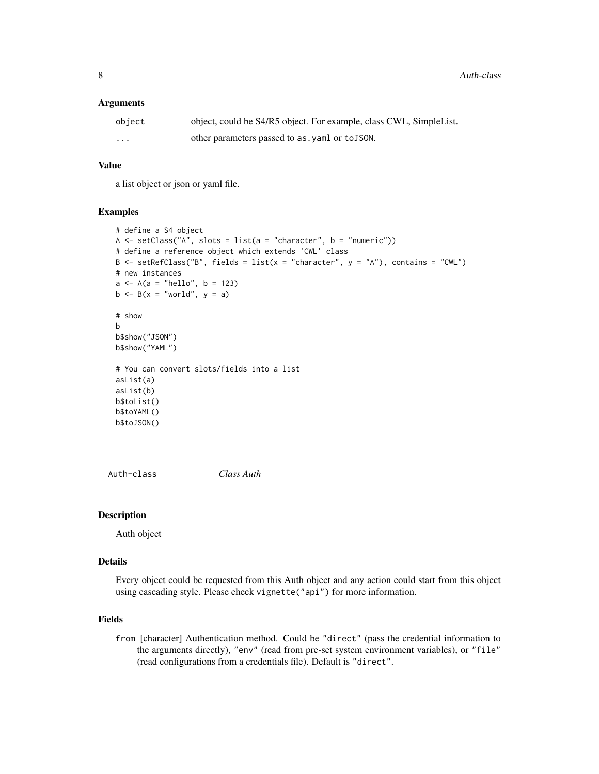<span id="page-7-0"></span>8 Auth-class

#### **Arguments**

| object   | object, could be S4/R5 object. For example, class CWL, SimpleList. |
|----------|--------------------------------------------------------------------|
| $\cdots$ | other parameters passed to as, yaml or to JSON.                    |

#### Value

a list object or json or yaml file.

#### Examples

```
# define a S4 object
A \le setClass("A", slots = list(a = "character", b = "numeric"))
# define a reference object which extends 'CWL' class
B \le setRefClass("B", fields = list(x = "character", y = "A"), contains = "CWL")
# new instances
a \leq A(a = "hello", b = 123)b \leq B(x = "world", y = a)# show
b
b$show("JSON")
b$show("YAML")
# You can convert slots/fields into a list
asList(a)
asList(b)
b$toList()
b$toYAML()
b$toJSON()
```
Auth-class *Class Auth*

#### Description

Auth object

#### Details

Every object could be requested from this Auth object and any action could start from this object using cascading style. Please check vignette("api") for more information.

#### Fields

from [character] Authentication method. Could be "direct" (pass the credential information to the arguments directly), "env" (read from pre-set system environment variables), or "file" (read configurations from a credentials file). Default is "direct".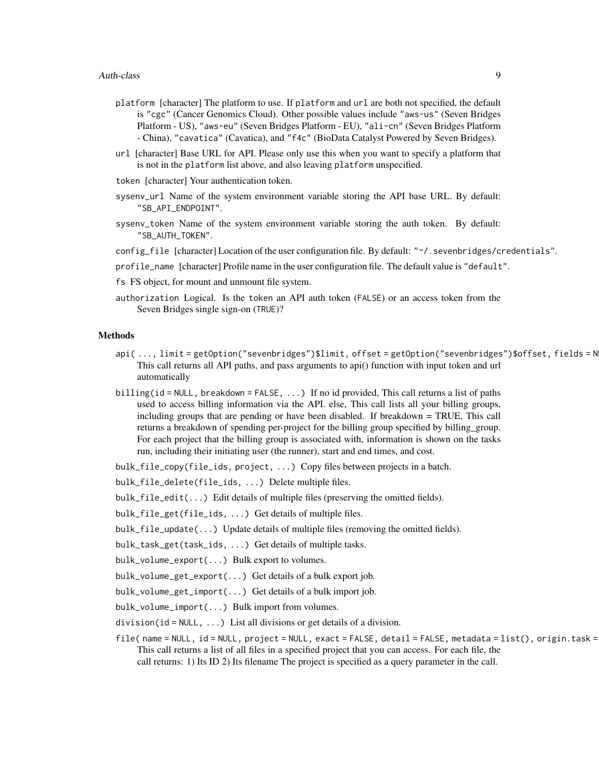- platform [character] The platform to use. If platform and url are both not specified, the default is "cgc" (Cancer Genomics Cloud). Other possible values include "aws-us" (Seven Bridges Platform - US), "aws-eu" (Seven Bridges Platform - EU), "ali-cn" (Seven Bridges Platform - China), "cavatica" (Cavatica), and "f4c" (BioData Catalyst Powered by Seven Bridges).
- url [character] Base URL for API. Please only use this when you want to specify a platform that is not in the platform list above, and also leaving platform unspecified.
- token [character] Your authentication token.
- sysenv\_url Name of the system environment variable storing the API base URL. By default: "SB\_API\_ENDPOINT".
- sysenv\_token Name of the system environment variable storing the auth token. By default: "SB\_AUTH\_TOKEN".
- config\_file [character] Location of the user configuration file. By default: "~/. sevenbridges/credentials".
- profile\_name [character] Profile name in the user configuration file. The default value is "default".
- fs FS object, for mount and unmount file system.
- authorization Logical. Is the token an API auth token (FALSE) or an access token from the Seven Bridges single sign-on (TRUE)?

#### Methods

- api( ..., limit = getOption("sevenbridges")\$limit, offset = getOption("sevenbridges")\$offset, fields = N This call returns all API paths, and pass arguments to api() function with input token and url automatically
- billing(id = NULL, breakdown = FALSE, ...) If no id provided, This call returns a list of paths used to access billing information via the API. else, This call lists all your billing groups, including groups that are pending or have been disabled. If breakdown = TRUE, This call returns a breakdown of spending per-project for the billing group specified by billing\_group. For each project that the billing group is associated with, information is shown on the tasks run, including their initiating user (the runner), start and end times, and cost.
- bulk\_file\_copy(file\_ids, project, ...) Copy files between projects in a batch.
- bulk\_file\_delete(file\_ids, ...) Delete multiple files.
- bulk\_file\_edit(...) Edit details of multiple files (preserving the omitted fields).
- bulk\_file\_get(file\_ids, ...) Get details of multiple files.
- bulk\_file\_update(...) Update details of multiple files (removing the omitted fields).
- bulk\_task\_get(task\_ids, ...) Get details of multiple tasks.
- bulk\_volume\_export(...) Bulk export to volumes.
- bulk\_volume\_get\_export(...) Get details of a bulk export job.
- bulk\_volume\_get\_import(...) Get details of a bulk import job.
- bulk\_volume\_import(...) Bulk import from volumes.
- division( $id = NULL$ , ...) List all divisions or get details of a division.
- file( name = NULL, id = NULL, project = NULL, exact = FALSE, detail = FALSE, metadata = list(), origin.task = This call returns a list of all files in a specified project that you can access. For each file, the call returns: 1) Its ID 2) Its filename The project is specified as a query parameter in the call.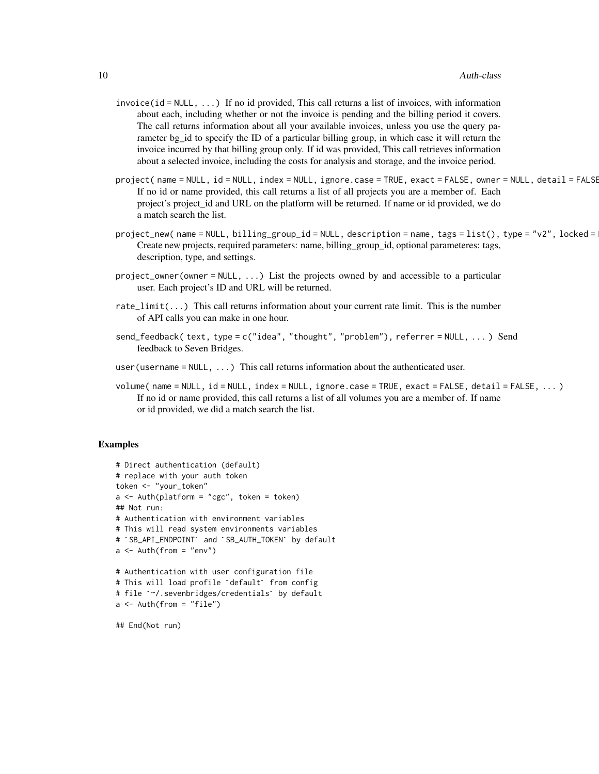- $invoice(id = NULL, ...)$  If no id provided, This call returns a list of invoices, with information about each, including whether or not the invoice is pending and the billing period it covers. The call returns information about all your available invoices, unless you use the query parameter bg\_id to specify the ID of a particular billing group, in which case it will return the invoice incurred by that billing group only. If id was provided, This call retrieves information about a selected invoice, including the costs for analysis and storage, and the invoice period.
- project( name = NULL, id = NULL, index = NULL, ignore.case = TRUE, exact = FALSE, owner = NULL, detail = FALSE, ... ) If no id or name provided, this call returns a list of all projects you are a member of. Each project's project\_id and URL on the platform will be returned. If name or id provided, we do a match search the list.
- project\_new( name = NULL, billing\_group\_id = NULL, description = name, tags = list(), type = "v2", locked = Create new projects, required parameters: name, billing\_group\_id, optional parameteres: tags, description, type, and settings.
- project\_owner(owner = NULL, ...) List the projects owned by and accessible to a particular user. Each project's ID and URL will be returned.
- rate\_limit(...) This call returns information about your current rate limit. This is the number of API calls you can make in one hour.
- send\_feedback( text, type = c("idea", "thought", "problem"), referrer = NULL, ... ) Send feedback to Seven Bridges.
- user (username =  $NULL, \ldots)$  This call returns information about the authenticated user.
- volume( name = NULL, id = NULL, index = NULL, ignore.case = TRUE, exact = FALSE, detail = FALSE, ... ) If no id or name provided, this call returns a list of all volumes you are a member of. If name or id provided, we did a match search the list.

#### Examples

```
# Direct authentication (default)
# replace with your auth token
token <- "your_token"
a \le - Auth(platform = "cgc", token = token)
## Not run:
# Authentication with environment variables
# This will read system environments variables
# `SB_API_ENDPOINT` and `SB_AUTH_TOKEN` by default
a \le - Auth(from = "env")
# Authentication with user configuration file
# This will load profile `default` from config
# file `~/.sevenbridges/credentials` by default
a \leftarrow \text{Auth}(\text{from} = "file")
```
## End(Not run)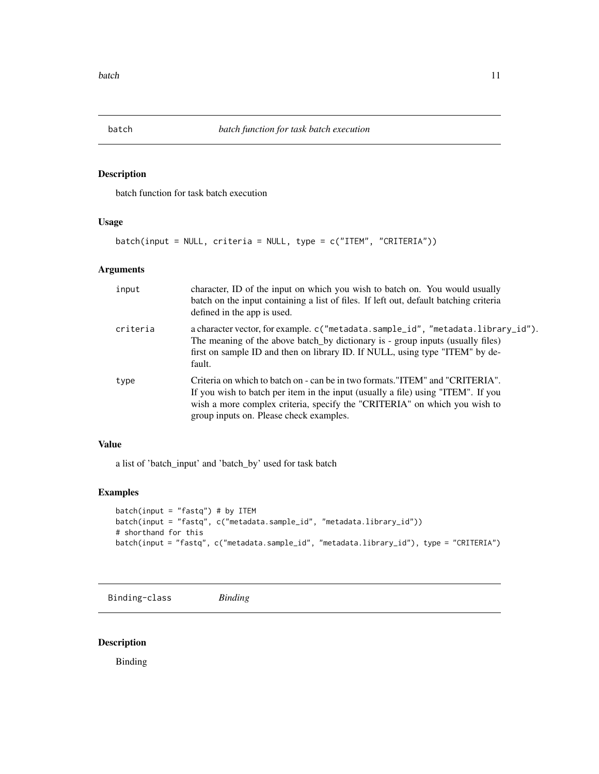<span id="page-10-0"></span>

batch function for task batch execution

### Usage

batch(input = NULL, criteria = NULL, type = c("ITEM", "CRITERIA"))

#### Arguments

| input    | character, ID of the input on which you wish to batch on. You would usually<br>batch on the input containing a list of files. If left out, default batching criteria<br>defined in the app is used.                                                                                      |
|----------|------------------------------------------------------------------------------------------------------------------------------------------------------------------------------------------------------------------------------------------------------------------------------------------|
| criteria | a character vector, for example. c("metadata.sample_id", "metadata.library_id").<br>The meaning of the above batch by dictionary is - group inputs (usually files)<br>first on sample ID and then on library ID. If NULL, using type "ITEM" by de-<br>fault.                             |
| type     | Criteria on which to batch on - can be in two formats."ITEM" and "CRITERIA".<br>If you wish to batch per item in the input (usually a file) using "ITEM". If you<br>wish a more complex criteria, specify the "CRITERIA" on which you wish to<br>group inputs on. Please check examples. |

#### Value

a list of 'batch\_input' and 'batch\_by' used for task batch

## Examples

```
batch(input = "fastq") # by ITEM
batch(input = "fastq", c("metadata.sample_id", "metadata.library_id"))
# shorthand for this
batch(input = "fastq", c("metadata.sample_id", "metadata.library_id"), type = "CRITERIA")
```
Binding-class *Binding*

## Description

Binding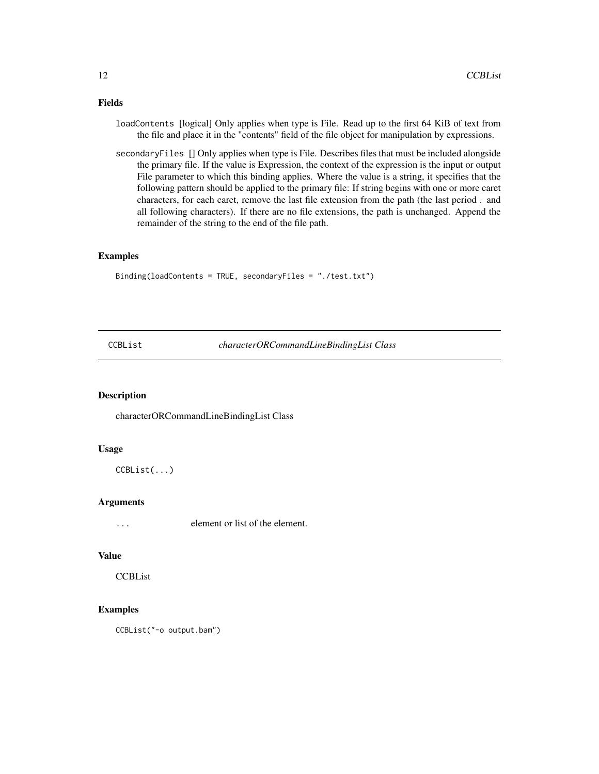## <span id="page-11-0"></span>Fields

- loadContents [logical] Only applies when type is File. Read up to the first 64 KiB of text from the file and place it in the "contents" field of the file object for manipulation by expressions.
- secondaryFiles [] Only applies when type is File. Describes files that must be included alongside the primary file. If the value is Expression, the context of the expression is the input or output File parameter to which this binding applies. Where the value is a string, it specifies that the following pattern should be applied to the primary file: If string begins with one or more caret characters, for each caret, remove the last file extension from the path (the last period . and all following characters). If there are no file extensions, the path is unchanged. Append the remainder of the string to the end of the file path.

## Examples

Binding(loadContents = TRUE, secondaryFiles = "./test.txt")

CCBList *characterORCommandLineBindingList Class*

#### Description

characterORCommandLineBindingList Class

#### Usage

CCBList(...)

#### Arguments

... element or list of the element.

#### Value

**CCBList** 

## Examples

CCBList("-o output.bam")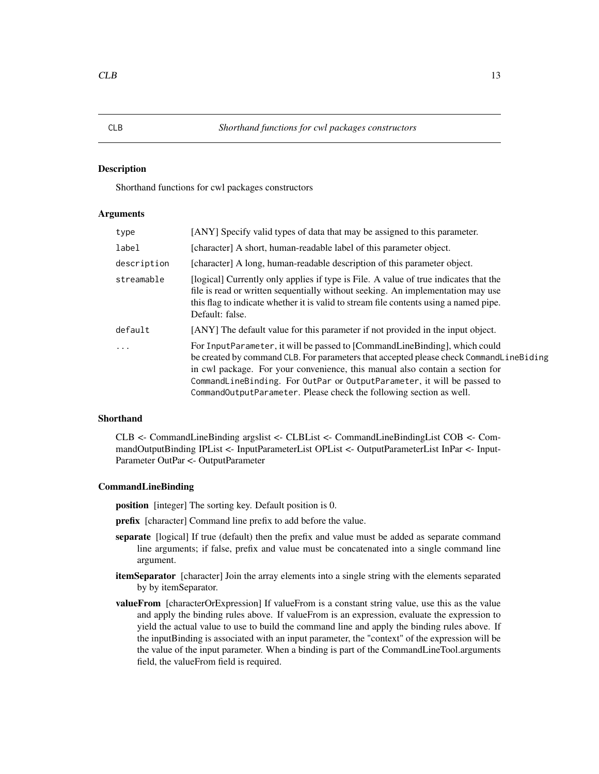<span id="page-12-0"></span>Shorthand functions for cwl packages constructors

#### Arguments

| type        | [ANY] Specify valid types of data that may be assigned to this parameter.                                                                                                                                                                                                                                                                                                                              |  |
|-------------|--------------------------------------------------------------------------------------------------------------------------------------------------------------------------------------------------------------------------------------------------------------------------------------------------------------------------------------------------------------------------------------------------------|--|
| label       | [character] A short, human-readable label of this parameter object.                                                                                                                                                                                                                                                                                                                                    |  |
| description | [character] A long, human-readable description of this parameter object.                                                                                                                                                                                                                                                                                                                               |  |
| streamable  | [logical] Currently only applies if type is File. A value of true indicates that the<br>file is read or written sequentially without seeking. An implementation may use<br>this flag to indicate whether it is valid to stream file contents using a named pipe.<br>Default: false.                                                                                                                    |  |
| default     | [ANY] The default value for this parameter if not provided in the input object.                                                                                                                                                                                                                                                                                                                        |  |
| .           | For InputParameter, it will be passed to [CommandLineBinding], which could<br>be created by command CLB. For parameters that accepted please check CommandLineBiding<br>in cwl package. For your convenience, this manual also contain a section for<br>CommandLineBinding. For OutPar or OutputParameter, it will be passed to<br>CommandOutputParameter. Please check the following section as well. |  |

## Shorthand

CLB <- CommandLineBinding argslist <- CLBList <- CommandLineBindingList COB <- CommandOutputBinding IPList <- InputParameterList OPList <- OutputParameterList InPar <- Input-Parameter OutPar <- OutputParameter

#### CommandLineBinding

position [integer] The sorting key. Default position is 0.

prefix [character] Command line prefix to add before the value.

- separate [logical] If true (default) then the prefix and value must be added as separate command line arguments; if false, prefix and value must be concatenated into a single command line argument.
- itemSeparator [character] Join the array elements into a single string with the elements separated by by itemSeparator.
- **valueFrom** [characterOrExpression] If valueFrom is a constant string value, use this as the value and apply the binding rules above. If valueFrom is an expression, evaluate the expression to yield the actual value to use to build the command line and apply the binding rules above. If the inputBinding is associated with an input parameter, the "context" of the expression will be the value of the input parameter. When a binding is part of the CommandLineTool.arguments field, the valueFrom field is required.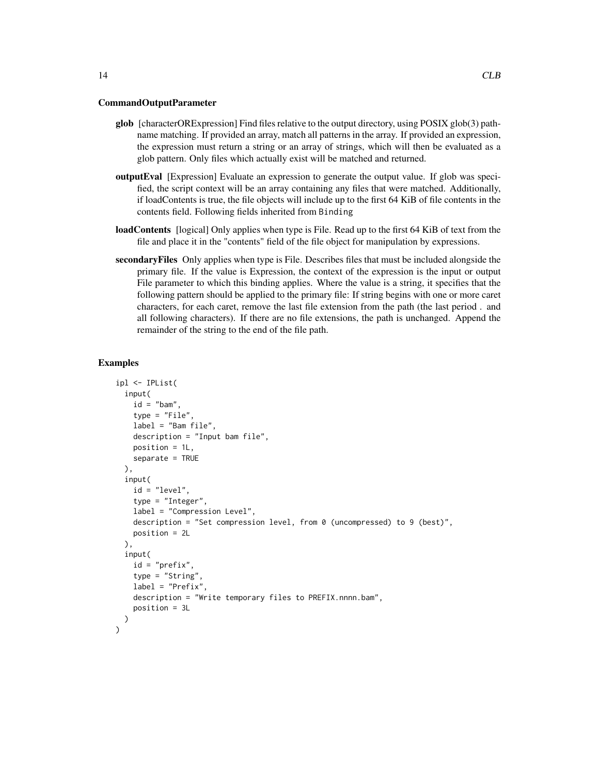CommandOutputParameter

- glob [characterORExpression] Find files relative to the output directory, using POSIX glob(3) pathname matching. If provided an array, match all patterns in the array. If provided an expression, the expression must return a string or an array of strings, which will then be evaluated as a glob pattern. Only files which actually exist will be matched and returned.
- outputEval [Expression] Evaluate an expression to generate the output value. If glob was specified, the script context will be an array containing any files that were matched. Additionally, if loadContents is true, the file objects will include up to the first 64 KiB of file contents in the contents field. Following fields inherited from Binding
- loadContents [logical] Only applies when type is File. Read up to the first 64 KiB of text from the file and place it in the "contents" field of the file object for manipulation by expressions.
- secondaryFiles Only applies when type is File. Describes files that must be included alongside the primary file. If the value is Expression, the context of the expression is the input or output File parameter to which this binding applies. Where the value is a string, it specifies that the following pattern should be applied to the primary file: If string begins with one or more caret characters, for each caret, remove the last file extension from the path (the last period . and all following characters). If there are no file extensions, the path is unchanged. Append the remainder of the string to the end of the file path.

```
ipl <- IPList(
 input(
   id = "bam",type = "File",
   label = "Bam file",
   description = "Input bam file",
   position = 1L,
   separate = TRUE
 ),
  input(
   id = "level",
    type = "Integer",
   label = "Compression Level",
   description = "Set compression level, from 0 (uncompressed) to 9 (best)",
   position = 2L
 ),
  input(
   id = "prefix",
    type = "String",
   label = "Prefix",
   description = "Write temporary files to PREFIX.nnnn.bam",
    position = 3L
 )
)
```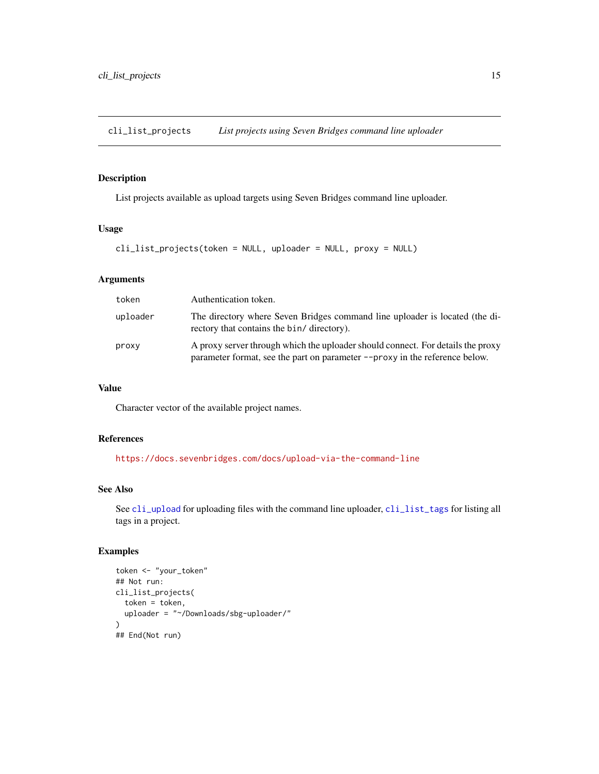<span id="page-14-1"></span><span id="page-14-0"></span>cli\_list\_projects *List projects using Seven Bridges command line uploader*

## Description

List projects available as upload targets using Seven Bridges command line uploader.

#### Usage

```
cli_list_projects(token = NULL, uploader = NULL, proxy = NULL)
```
## Arguments

| token    | Authentication token.                                                                                                                                          |  |
|----------|----------------------------------------------------------------------------------------------------------------------------------------------------------------|--|
| uploader | The directory where Seven Bridges command line uploader is located (the di-<br>rectory that contains the bin/ directory).                                      |  |
| proxy    | A proxy server through which the uploader should connect. For details the proxy<br>parameter format, see the part on parameter --proxy in the reference below. |  |

## Value

Character vector of the available project names.

#### References

<https://docs.sevenbridges.com/docs/upload-via-the-command-line>

## See Also

See [cli\\_upload](#page-16-1) for uploading files with the command line uploader, [cli\\_list\\_tags](#page-15-1) for listing all tags in a project.

```
token <- "your_token"
## Not run:
cli_list_projects(
  token = token,
  uploader = "~/Downloads/sbg-uploader/"
)
## End(Not run)
```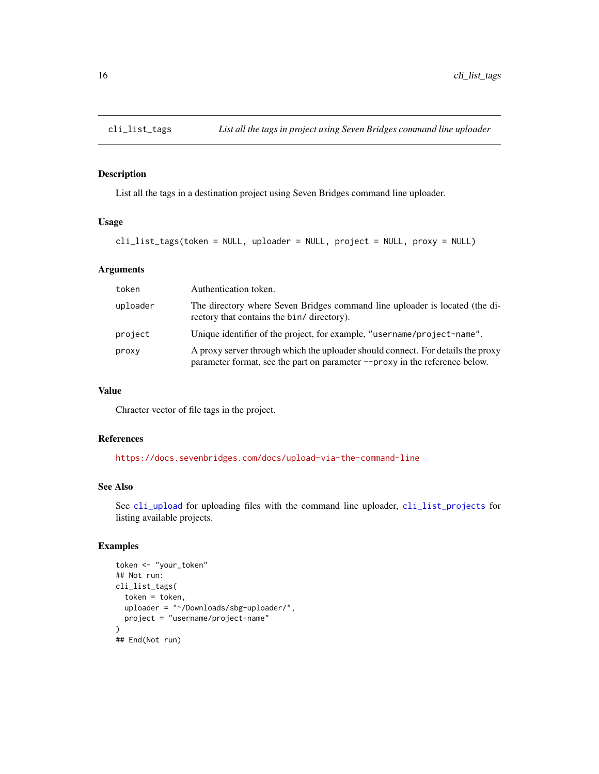<span id="page-15-1"></span><span id="page-15-0"></span>

List all the tags in a destination project using Seven Bridges command line uploader.

#### Usage

cli\_list\_tags(token = NULL, uploader = NULL, project = NULL, proxy = NULL)

#### Arguments

| token    | Authentication token.                                                                                                                                          |  |
|----------|----------------------------------------------------------------------------------------------------------------------------------------------------------------|--|
| uploader | The directory where Seven Bridges command line uploader is located (the di-<br>rectory that contains the bin/ directory).                                      |  |
| project  | Unique identifier of the project, for example, "username/project-name".                                                                                        |  |
| proxy    | A proxy server through which the uploader should connect. For details the proxy<br>parameter format, see the part on parameter --proxy in the reference below. |  |

## Value

Chracter vector of file tags in the project.

#### References

<https://docs.sevenbridges.com/docs/upload-via-the-command-line>

#### See Also

See [cli\\_upload](#page-16-1) for uploading files with the command line uploader, [cli\\_list\\_projects](#page-14-1) for listing available projects.

```
token <- "your_token"
## Not run:
cli_list_tags(
  token = token,
  uploader = "~/Downloads/sbg-uploader/",
  project = "username/project-name"
\overline{\phantom{a}}## End(Not run)
```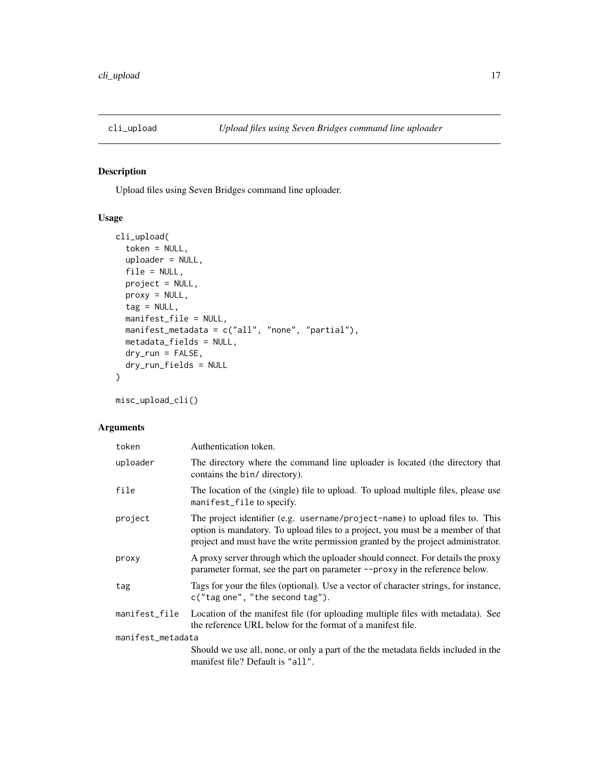<span id="page-16-1"></span><span id="page-16-0"></span>

Upload files using Seven Bridges command line uploader.

## Usage

```
cli_upload(
  token = NULL,
  uploader = NULL,
 file = NULL,
 project = NULL,
 proxy = NULL,
  tag = NULL,manifest_file = NULL,
 manifest_metadata = c("all", "none", "partial"),
 metadata_fields = NULL,
 dry_run = FALSE,
  dry_run_fields = NULL
\mathcal{L}
```
misc\_upload\_cli()

#### Arguments

| token             | Authentication token.                                                                                                                                                                                                                               |
|-------------------|-----------------------------------------------------------------------------------------------------------------------------------------------------------------------------------------------------------------------------------------------------|
| uploader          | The directory where the command line uploader is located (the directory that<br>contains the bin/ directory).                                                                                                                                       |
| file              | The location of the (single) file to upload. To upload multiple files, please use<br>manifest_file to specify.                                                                                                                                      |
| project           | The project identifier (e.g. username/project-name) to upload files to. This<br>option is mandatory. To upload files to a project, you must be a member of that<br>project and must have the write permission granted by the project administrator. |
| proxy             | A proxy server through which the uploader should connect. For details the proxy<br>parameter format, see the part on parameter --proxy in the reference below.                                                                                      |
| tag               | Tags for your the files (optional). Use a vector of character strings, for instance,<br>c("tag one", "the second tag").                                                                                                                             |
| manifest_file     | Location of the manifest file (for uploading multiple files with metadata). See<br>the reference URL below for the format of a manifest file.                                                                                                       |
| manifest_metadata |                                                                                                                                                                                                                                                     |
|                   | Should we use all, none, or only a part of the the metadata fields included in the<br>manifest file? Default is "all".                                                                                                                              |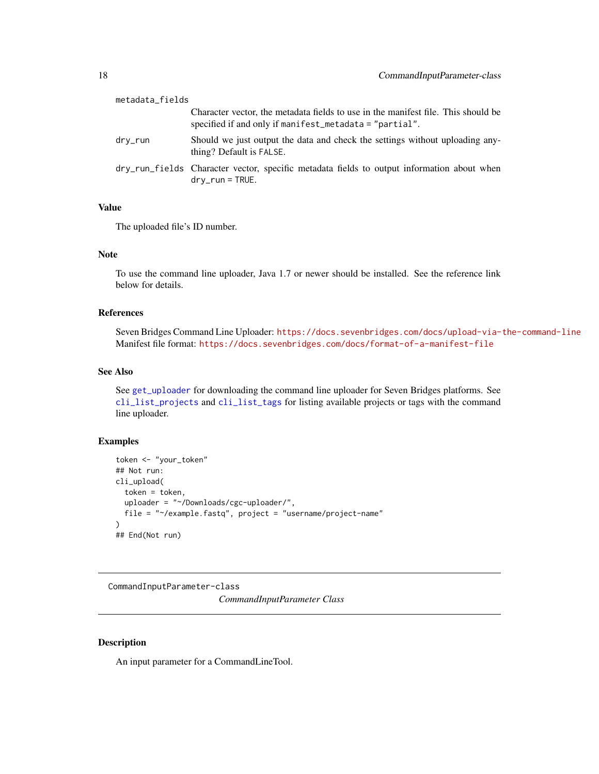<span id="page-17-0"></span>

| metadata_fields |                                                                                                                                               |
|-----------------|-----------------------------------------------------------------------------------------------------------------------------------------------|
|                 | Character vector, the metadata fields to use in the manifest file. This should be<br>specified if and only if manifiest metadata = "partial". |
| drv_run         | Should we just output the data and check the settings without uploading any-<br>thing? Default is FALSE.                                      |
|                 | dry_run_fields Character vector, specific metadata fields to output information about when<br>$\text{dry\_run} = \text{TRUE}.$                |

#### Value

The uploaded file's ID number.

#### Note

To use the command line uploader, Java 1.7 or newer should be installed. See the reference link below for details.

## References

Seven Bridges Command Line Uploader: <https://docs.sevenbridges.com/docs/upload-via-the-command-line> Manifest file format: <https://docs.sevenbridges.com/docs/format-of-a-manifest-file>

## See Also

See [get\\_uploader](#page-35-1) for downloading the command line uploader for Seven Bridges platforms. See [cli\\_list\\_projects](#page-14-1) and [cli\\_list\\_tags](#page-15-1) for listing available projects or tags with the command line uploader.

## Examples

```
token <- "your_token"
## Not run:
cli_upload(
  token = token,
  uploader = "~/Downloads/cgc-uploader/",
  file = "~/example.fastq", project = "username/project-name"
\lambda## End(Not run)
```
CommandInputParameter-class *CommandInputParameter Class*

#### Description

An input parameter for a CommandLineTool.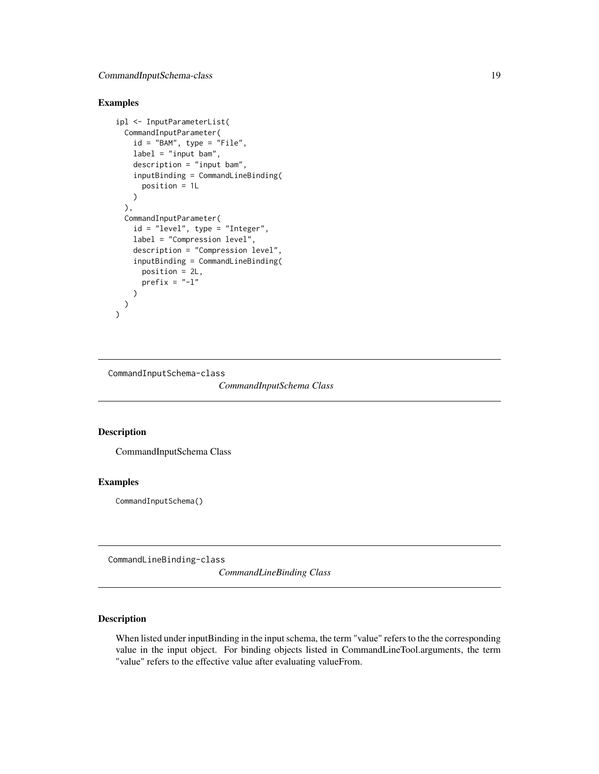## <span id="page-18-0"></span>Examples

```
ipl <- InputParameterList(
 CommandInputParameter(
   id = "BAM", type = "File",
   label = "input bam",
   description = "input bam",
    inputBinding = CommandLineBinding(
     position = 1L
   )
 ),
 CommandInputParameter(
   id = "level", type = "Integer",
   label = "Compression level",
   description = "Compression level",
    inputBinding = CommandLineBinding(
     position = 2L,
     prefix = "-1")
 )
)
```
CommandInputSchema-class

*CommandInputSchema Class*

#### Description

CommandInputSchema Class

#### Examples

CommandInputSchema()

CommandLineBinding-class

*CommandLineBinding Class*

## Description

When listed under inputBinding in the input schema, the term "value" refers to the the corresponding value in the input object. For binding objects listed in CommandLineTool.arguments, the term "value" refers to the effective value after evaluating valueFrom.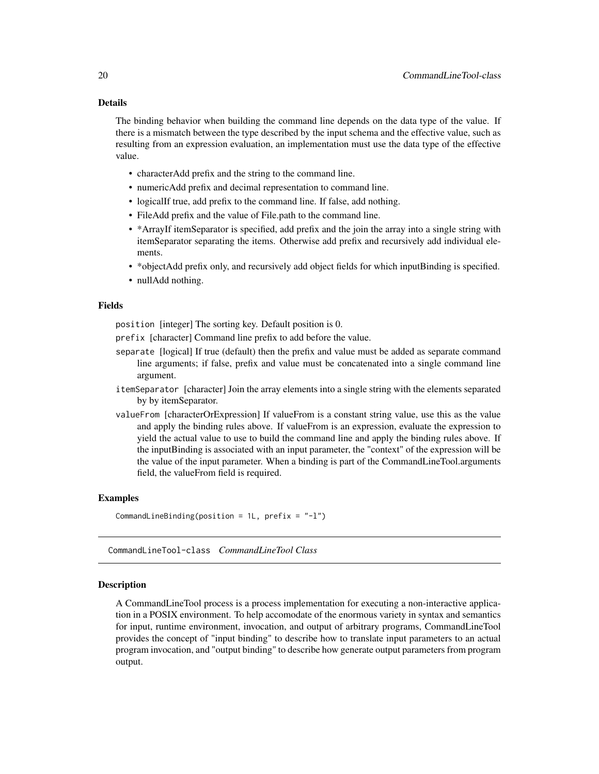#### <span id="page-19-0"></span>Details

The binding behavior when building the command line depends on the data type of the value. If there is a mismatch between the type described by the input schema and the effective value, such as resulting from an expression evaluation, an implementation must use the data type of the effective value.

- characterAdd prefix and the string to the command line.
- numericAdd prefix and decimal representation to command line.
- logicalIf true, add prefix to the command line. If false, add nothing.
- FileAdd prefix and the value of File.path to the command line.
- \*ArrayIf itemSeparator is specified, add prefix and the join the array into a single string with itemSeparator separating the items. Otherwise add prefix and recursively add individual elements.
- \*objectAdd prefix only, and recursively add object fields for which inputBinding is specified.
- nullAdd nothing.

## Fields

position [integer] The sorting key. Default position is 0.

prefix [character] Command line prefix to add before the value.

- separate [logical] If true (default) then the prefix and value must be added as separate command line arguments; if false, prefix and value must be concatenated into a single command line argument.
- itemSeparator [character] Join the array elements into a single string with the elements separated by by itemSeparator.
- valueFrom [characterOrExpression] If valueFrom is a constant string value, use this as the value and apply the binding rules above. If valueFrom is an expression, evaluate the expression to yield the actual value to use to build the command line and apply the binding rules above. If the inputBinding is associated with an input parameter, the "context" of the expression will be the value of the input parameter. When a binding is part of the CommandLineTool.arguments field, the valueFrom field is required.

## Examples

CommandLineBinding(position =  $1L$ , prefix =  $"$ -1")

CommandLineTool-class *CommandLineTool Class*

#### Description

A CommandLineTool process is a process implementation for executing a non-interactive application in a POSIX environment. To help accomodate of the enormous variety in syntax and semantics for input, runtime environment, invocation, and output of arbitrary programs, CommandLineTool provides the concept of "input binding" to describe how to translate input parameters to an actual program invocation, and "output binding" to describe how generate output parameters from program output.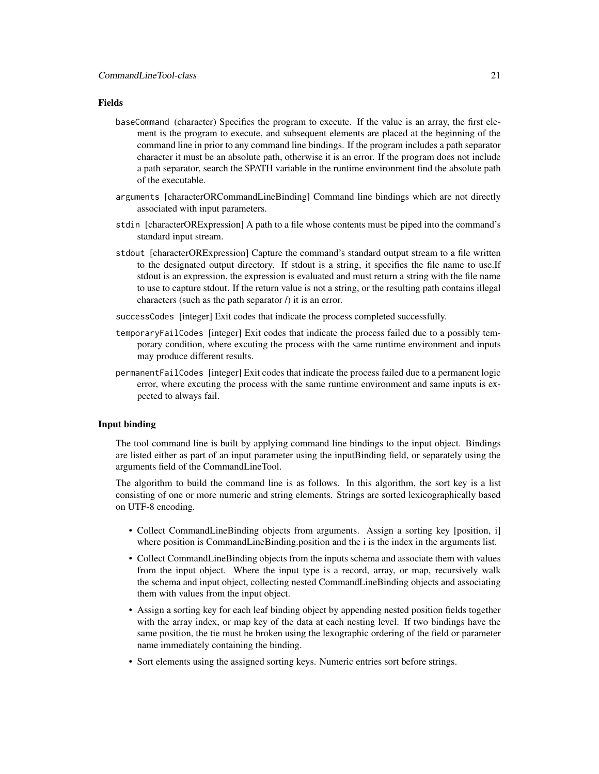#### Fields

- baseCommand (character) Specifies the program to execute. If the value is an array, the first element is the program to execute, and subsequent elements are placed at the beginning of the command line in prior to any command line bindings. If the program includes a path separator character it must be an absolute path, otherwise it is an error. If the program does not include a path separator, search the \$PATH variable in the runtime environment find the absolute path of the executable.
- arguments [characterORCommandLineBinding] Command line bindings which are not directly associated with input parameters.
- stdin [characterORExpression] A path to a file whose contents must be piped into the command's standard input stream.
- stdout [characterORExpression] Capture the command's standard output stream to a file written to the designated output directory. If stdout is a string, it specifies the file name to use.If stdout is an expression, the expression is evaluated and must return a string with the file name to use to capture stdout. If the return value is not a string, or the resulting path contains illegal characters (such as the path separator /) it is an error.
- successCodes [integer] Exit codes that indicate the process completed successfully.
- temporaryFailCodes [integer] Exit codes that indicate the process failed due to a possibly temporary condition, where excuting the process with the same runtime environment and inputs may produce different results.
- permanentFailCodes [integer] Exit codes that indicate the process failed due to a permanent logic error, where excuting the process with the same runtime environment and same inputs is expected to always fail.

## Input binding

The tool command line is built by applying command line bindings to the input object. Bindings are listed either as part of an input parameter using the inputBinding field, or separately using the arguments field of the CommandLineTool.

The algorithm to build the command line is as follows. In this algorithm, the sort key is a list consisting of one or more numeric and string elements. Strings are sorted lexicographically based on UTF-8 encoding.

- Collect CommandLineBinding objects from arguments. Assign a sorting key [position, i] where position is CommandLineBinding.position and the *i* is the index in the arguments list.
- Collect CommandLineBinding objects from the inputs schema and associate them with values from the input object. Where the input type is a record, array, or map, recursively walk the schema and input object, collecting nested CommandLineBinding objects and associating them with values from the input object.
- Assign a sorting key for each leaf binding object by appending nested position fields together with the array index, or map key of the data at each nesting level. If two bindings have the same position, the tie must be broken using the lexographic ordering of the field or parameter name immediately containing the binding.
- Sort elements using the assigned sorting keys. Numeric entries sort before strings.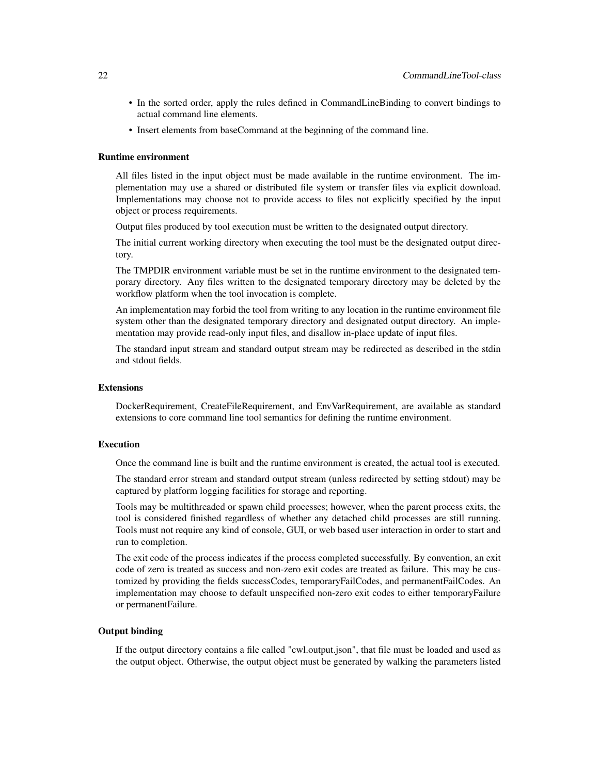- In the sorted order, apply the rules defined in CommandLineBinding to convert bindings to actual command line elements.
- Insert elements from baseCommand at the beginning of the command line.

#### Runtime environment

All files listed in the input object must be made available in the runtime environment. The implementation may use a shared or distributed file system or transfer files via explicit download. Implementations may choose not to provide access to files not explicitly specified by the input object or process requirements.

Output files produced by tool execution must be written to the designated output directory.

The initial current working directory when executing the tool must be the designated output directory.

The TMPDIR environment variable must be set in the runtime environment to the designated temporary directory. Any files written to the designated temporary directory may be deleted by the workflow platform when the tool invocation is complete.

An implementation may forbid the tool from writing to any location in the runtime environment file system other than the designated temporary directory and designated output directory. An implementation may provide read-only input files, and disallow in-place update of input files.

The standard input stream and standard output stream may be redirected as described in the stdin and stdout fields.

## Extensions

DockerRequirement, CreateFileRequirement, and EnvVarRequirement, are available as standard extensions to core command line tool semantics for defining the runtime environment.

#### Execution

Once the command line is built and the runtime environment is created, the actual tool is executed.

The standard error stream and standard output stream (unless redirected by setting stdout) may be captured by platform logging facilities for storage and reporting.

Tools may be multithreaded or spawn child processes; however, when the parent process exits, the tool is considered finished regardless of whether any detached child processes are still running. Tools must not require any kind of console, GUI, or web based user interaction in order to start and run to completion.

The exit code of the process indicates if the process completed successfully. By convention, an exit code of zero is treated as success and non-zero exit codes are treated as failure. This may be customized by providing the fields successCodes, temporaryFailCodes, and permanentFailCodes. An implementation may choose to default unspecified non-zero exit codes to either temporaryFailure or permanentFailure.

#### Output binding

If the output directory contains a file called "cwl.output.json", that file must be loaded and used as the output object. Otherwise, the output object must be generated by walking the parameters listed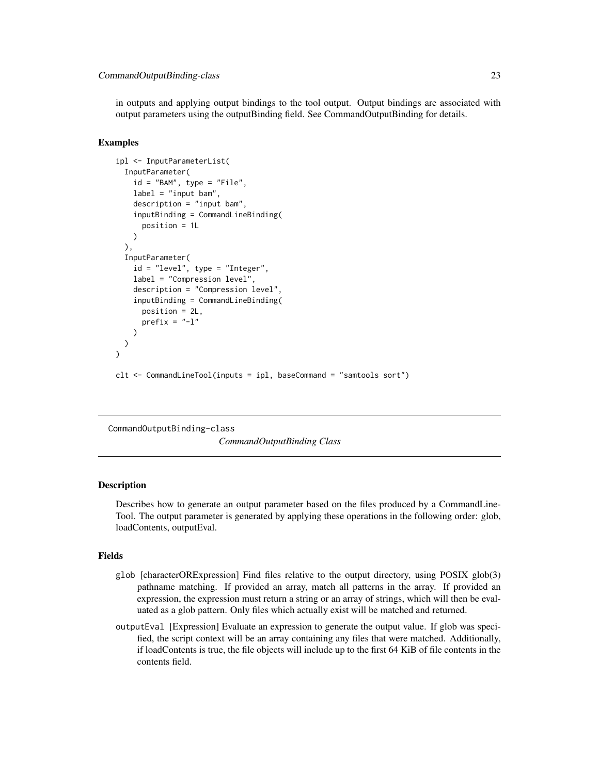<span id="page-22-0"></span>in outputs and applying output bindings to the tool output. Output bindings are associated with output parameters using the outputBinding field. See CommandOutputBinding for details.

#### Examples

```
ipl <- InputParameterList(
 InputParameter(
    id = "BAM", type = "File",label = "input beam",description = "input bam",
    inputBinding = CommandLineBinding(
      position = 1L
    )
 ),
 InputParameter(
    id = "level", type = "Integer",
    label = "Compression level",
    description = "Compression level",
    inputBinding = CommandLineBinding(
      position = 2L,
      prefix = "-1")
 \mathcal{L}\mathcal{L}clt <- CommandLineTool(inputs = ipl, baseCommand = "samtools sort")
```
CommandOutputBinding-class

*CommandOutputBinding Class*

#### **Description**

Describes how to generate an output parameter based on the files produced by a CommandLine-Tool. The output parameter is generated by applying these operations in the following order: glob, loadContents, outputEval.

#### Fields

- glob [characterORExpression] Find files relative to the output directory, using POSIX glob(3) pathname matching. If provided an array, match all patterns in the array. If provided an expression, the expression must return a string or an array of strings, which will then be evaluated as a glob pattern. Only files which actually exist will be matched and returned.
- outputEval [Expression] Evaluate an expression to generate the output value. If glob was specified, the script context will be an array containing any files that were matched. Additionally, if loadContents is true, the file objects will include up to the first 64 KiB of file contents in the contents field.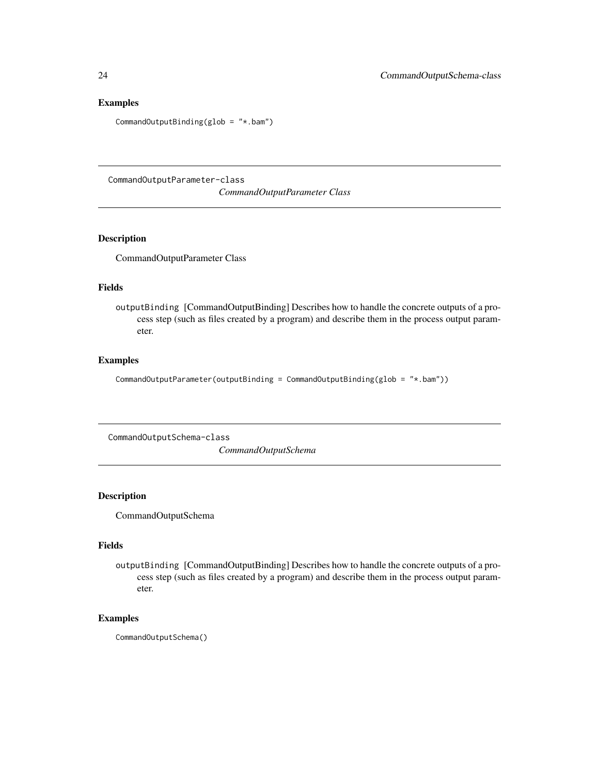## Examples

CommandOutputBinding(glob = "\*.bam")

CommandOutputParameter-class

*CommandOutputParameter Class*

#### Description

CommandOutputParameter Class

#### Fields

outputBinding [CommandOutputBinding] Describes how to handle the concrete outputs of a process step (such as files created by a program) and describe them in the process output parameter.

## Examples

```
CommandOutputParameter(outputBinding = CommandOutputBinding(glob = "*.bam"))
```
CommandOutputSchema-class *CommandOutputSchema*

#### Description

CommandOutputSchema

## Fields

outputBinding [CommandOutputBinding] Describes how to handle the concrete outputs of a process step (such as files created by a program) and describe them in the process output parameter.

## Examples

CommandOutputSchema()

<span id="page-23-0"></span>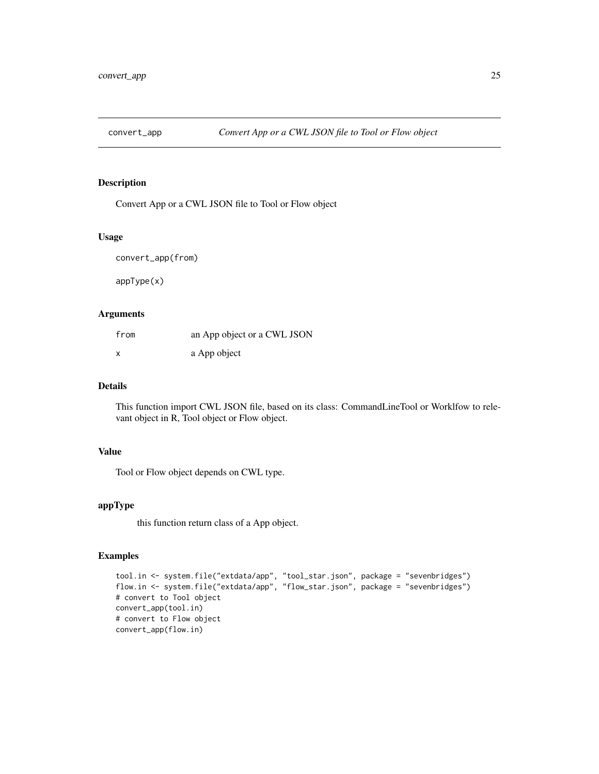<span id="page-24-0"></span>

Convert App or a CWL JSON file to Tool or Flow object

## Usage

convert\_app(from)

appType(x)

#### Arguments

| from                      | an App object or a CWL JSON |
|---------------------------|-----------------------------|
| $\boldsymbol{\mathsf{x}}$ | a App object                |

## Details

This function import CWL JSON file, based on its class: CommandLineTool or Worklfow to relevant object in R, Tool object or Flow object.

## Value

Tool or Flow object depends on CWL type.

## appType

this function return class of a App object.

```
tool.in <- system.file("extdata/app", "tool_star.json", package = "sevenbridges")
flow.in <- system.file("extdata/app", "flow_star.json", package = "sevenbridges")
# convert to Tool object
convert_app(tool.in)
# convert to Flow object
convert_app(flow.in)
```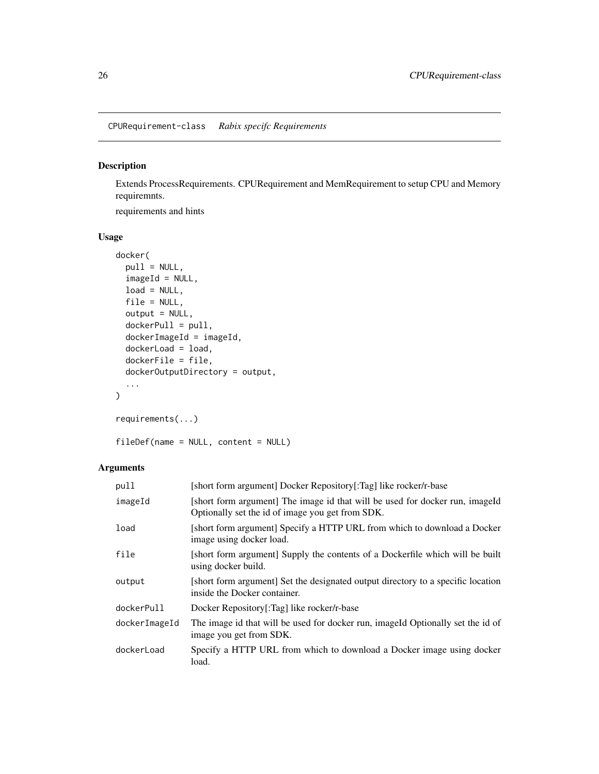<span id="page-25-0"></span>CPURequirement-class *Rabix specifc Requirements*

## Description

Extends ProcessRequirements. CPURequirement and MemRequirement to setup CPU and Memory requiremnts.

requirements and hints

## Usage

```
docker(
 pull = NULL,imageId = NULL,load = NULL,file = NULL,
 output = NULL,dockerPull = pull,
 dockerImageId = imageId,dockerLoad = load,
  dockerFile = file,
 dockerOutputDirectory = output,
  ...
)
```

```
requirements(...)
```
fileDef(name = NULL, content = NULL)

## Arguments

| pull          | [short form argument] Docker Repository[:Tag] like rocker/r-base                                                                 |
|---------------|----------------------------------------------------------------------------------------------------------------------------------|
| imageId       | [short form argument] The image id that will be used for docker run, imageId<br>Optionally set the id of image you get from SDK. |
| load          | [short form argument] Specify a HTTP URL from which to download a Docker<br>image using docker load.                             |
| file          | [short form argument] Supply the contents of a Dockerfile which will be built<br>using docker build.                             |
| output        | [short form argument] Set the designated output directory to a specific location<br>inside the Docker container.                 |
| dockerPull    | Docker Repository[:Tag] like rocker/r-base                                                                                       |
| dockerImageId | The image id that will be used for docker run, imageId Optionally set the id of<br>image you get from SDK.                       |
| dockerLoad    | Specify a HTTP URL from which to download a Docker image using docker<br>load.                                                   |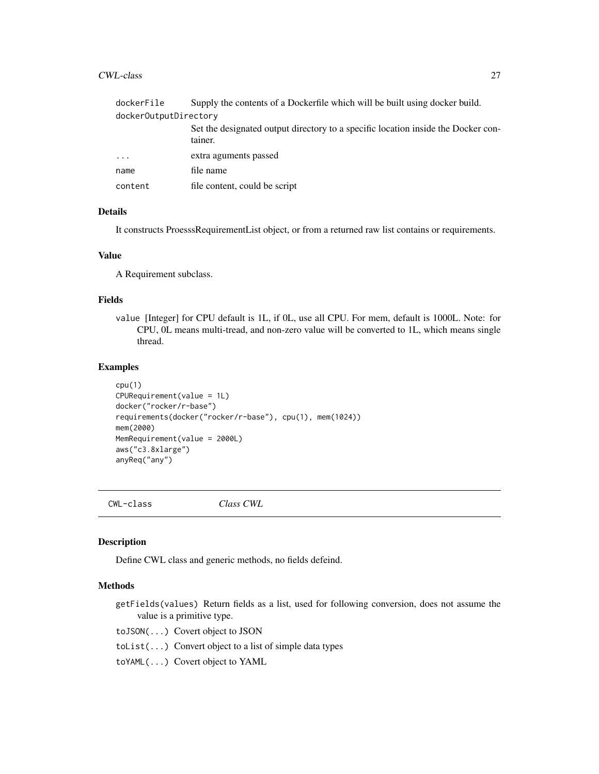#### <span id="page-26-0"></span>CWL-class 27

| dockerFile            | Supply the contents of a Dockerfile which will be built using docker build.                  |  |  |
|-----------------------|----------------------------------------------------------------------------------------------|--|--|
| dockerOutputDirectory |                                                                                              |  |  |
|                       | Set the designated output directory to a specific location inside the Docker con-<br>tainer. |  |  |
| $\cdots$              | extra aguments passed                                                                        |  |  |
| name                  | file name                                                                                    |  |  |
| content               | file content, could be script                                                                |  |  |
|                       |                                                                                              |  |  |

## Details

It constructs ProesssRequirementList object, or from a returned raw list contains or requirements.

#### Value

A Requirement subclass.

#### Fields

value [Integer] for CPU default is 1L, if 0L, use all CPU. For mem, default is 1000L. Note: for CPU, 0L means multi-tread, and non-zero value will be converted to 1L, which means single thread.

### Examples

```
cpu(1)
CPURequirement(value = 1L)
docker("rocker/r-base")
requirements(docker("rocker/r-base"), cpu(1), mem(1024))
mem(2000)
MemRequirement(value = 2000L)
aws("c3.8xlarge")
anyReq("any")
```
CWL-class *Class CWL*

### Description

Define CWL class and generic methods, no fields defeind.

## Methods

getFields(values) Return fields as a list, used for following conversion, does not assume the value is a primitive type.

toJSON(...) Covert object to JSON

- toList(...) Convert object to a list of simple data types
- toYAML(...) Covert object to YAML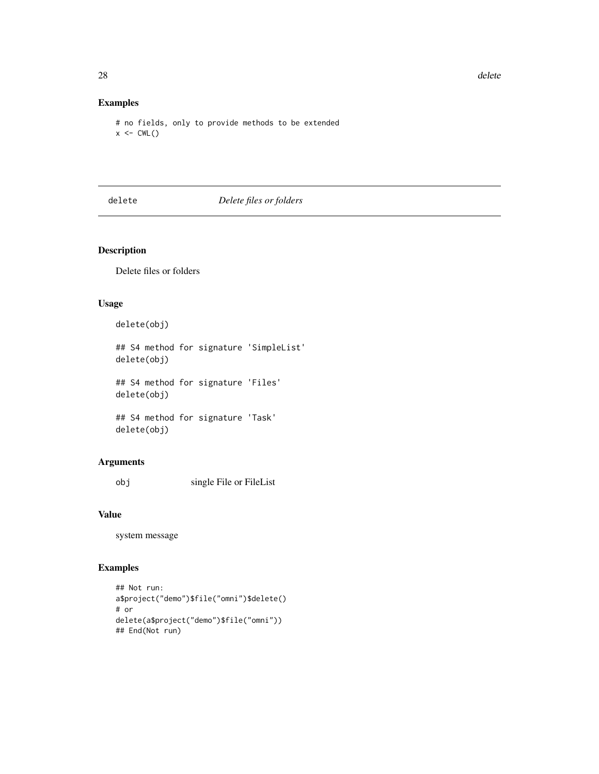## Examples

# no fields, only to provide methods to be extended  $x \leftarrow CWL()$ 

delete *Delete files or folders*

## Description

Delete files or folders

## Usage

delete(obj)

## S4 method for signature 'SimpleList' delete(obj)

## S4 method for signature 'Files' delete(obj)

## S4 method for signature 'Task' delete(obj)

## Arguments

obj single File or FileList

#### Value

system message

```
## Not run:
a$project("demo")$file("omni")$delete()
# or
delete(a$project("demo")$file("omni"))
## End(Not run)
```
<span id="page-27-0"></span>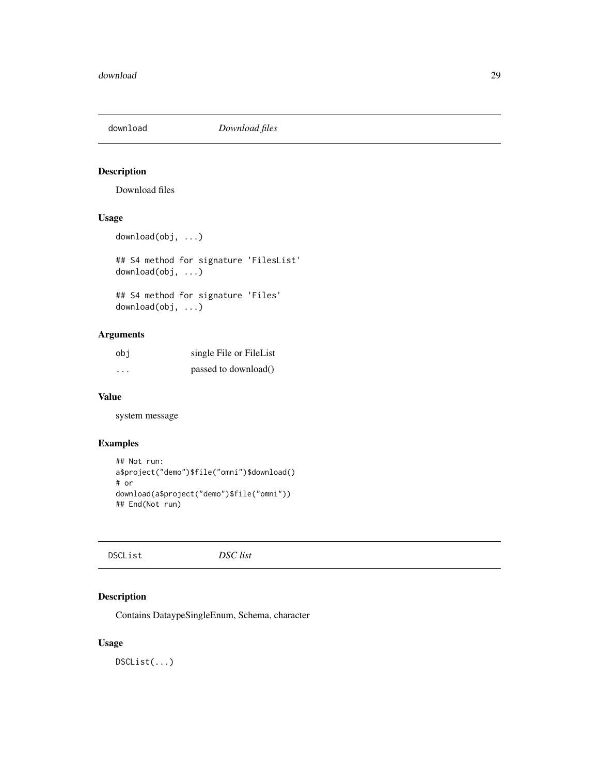<span id="page-28-0"></span>

Download files

## Usage

```
download(obj, ...)
```
## S4 method for signature 'FilesList' download(obj, ...)

## S4 method for signature 'Files' download(obj, ...)

## Arguments

| obi                     | single File or FileList |
|-------------------------|-------------------------|
| $\cdot$ $\cdot$ $\cdot$ | passed to download()    |

#### Value

system message

#### Examples

```
## Not run:
a$project("demo")$file("omni")$download()
# or
download(a$project("demo")$file("omni"))
## End(Not run)
```
## Description

Contains DataypeSingleEnum, Schema, character

## Usage

DSCList(...)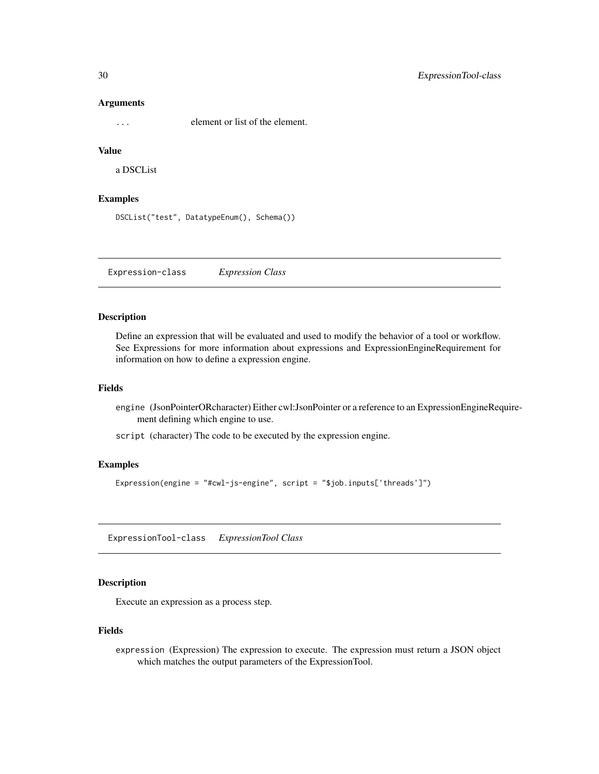#### **Arguments**

... element or list of the element.

## Value

a DSCList

## Examples

```
DSCList("test", DatatypeEnum(), Schema())
```
Expression-class *Expression Class*

## Description

Define an expression that will be evaluated and used to modify the behavior of a tool or workflow. See Expressions for more information about expressions and ExpressionEngineRequirement for information on how to define a expression engine.

#### Fields

- engine (JsonPointerORcharacter) Either cwl:JsonPointer or a reference to an ExpressionEngineRequirement defining which engine to use.
- script (character) The code to be executed by the expression engine.

#### Examples

Expression(engine = "#cwl-js-engine", script = "\$job.inputs['threads']")

ExpressionTool-class *ExpressionTool Class*

## Description

Execute an expression as a process step.

#### Fields

expression (Expression) The expression to execute. The expression must return a JSON object which matches the output parameters of the ExpressionTool.

<span id="page-29-0"></span>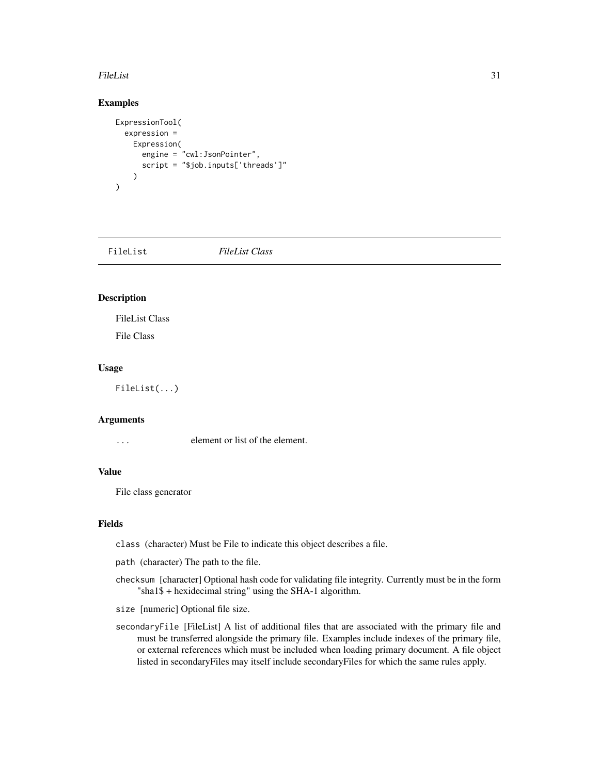#### <span id="page-30-0"></span>FileList 31

## Examples

```
ExpressionTool(
  expression =
   Expression(
      engine = "cwl:JsonPointer",
      script = "$job.inputs['threads']"
   )
)
```
FileList *FileList Class*

## Description

FileList Class

File Class

#### Usage

FileList(...)

#### Arguments

... element or list of the element.

#### Value

File class generator

#### Fields

class (character) Must be File to indicate this object describes a file.

path (character) The path to the file.

checksum [character] Optional hash code for validating file integrity. Currently must be in the form "sha1\$ + hexidecimal string" using the SHA-1 algorithm.

size [numeric] Optional file size.

secondaryFile [FileList] A list of additional files that are associated with the primary file and must be transferred alongside the primary file. Examples include indexes of the primary file, or external references which must be included when loading primary document. A file object listed in secondaryFiles may itself include secondaryFiles for which the same rules apply.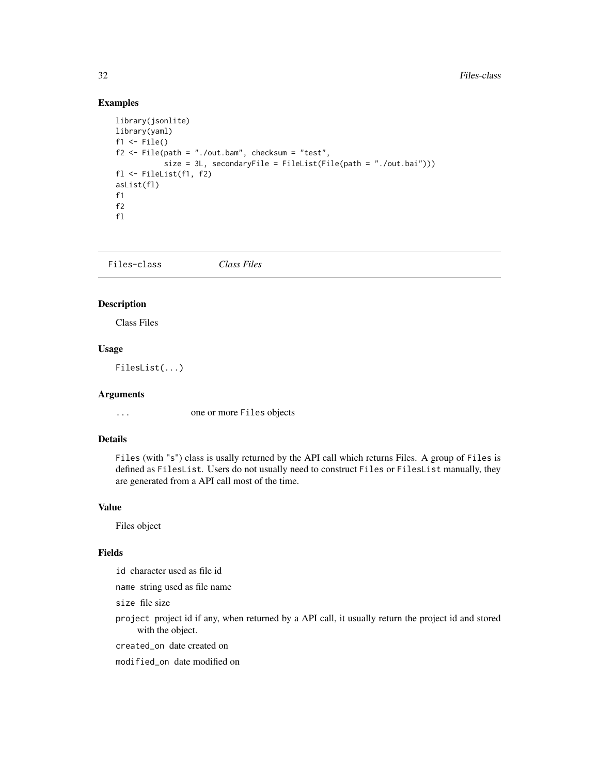## <span id="page-31-0"></span>Examples

```
library(jsonlite)
library(yaml)
f1 \leftarrow File()
f2 \leq File(path = "./out.bam", checksum = "test",
           size = 3L, secondaryFile = FileList(File(path = "./out.bai")))
fl <- FileList(f1, f2)
asList(fl)
f1
f2
fl
```
Files-class *Class Files*

## Description

Class Files

## Usage

FilesList(...)

#### Arguments

... one or more Files objects

## Details

Files (with "s") class is usally returned by the API call which returns Files. A group of Files is defined as FilesList. Users do not usually need to construct Files or FilesList manually, they are generated from a API call most of the time.

#### Value

Files object

#### Fields

id character used as file id

name string used as file name

size file size

project project id if any, when returned by a API call, it usually return the project id and stored with the object.

created\_on date created on

modified\_on date modified on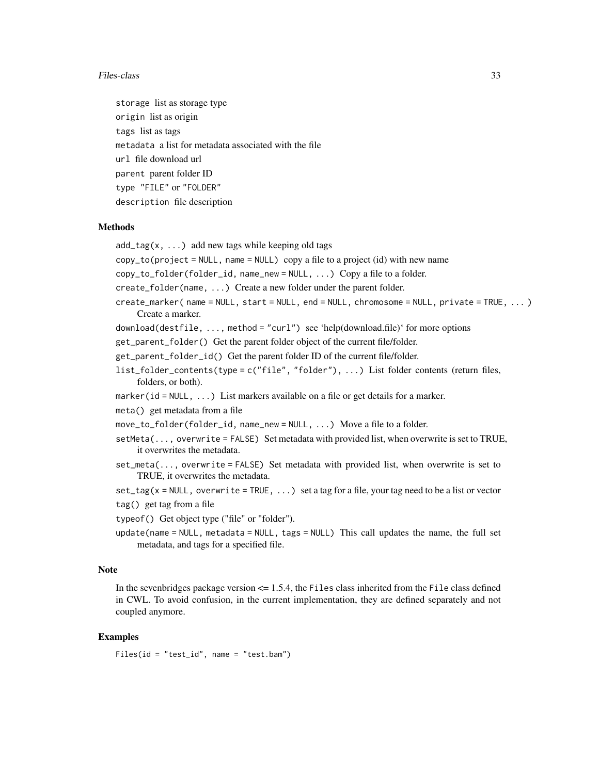#### Files-class 33

storage list as storage type origin list as origin tags list as tags metadata a list for metadata associated with the file url file download url parent parent folder ID type "FILE" or "FOLDER" description file description

#### Methods

 $add\_tag(x, ...)$  add new tags while keeping old tags

 $copy_toહproject = NULL$ , name = NULL) copy a file to a project (id) with new name

copy\_to\_folder(folder\_id, name\_new = NULL, ...) Copy a file to a folder.

create\_folder(name, ...) Create a new folder under the parent folder.

create\_marker( name = NULL, start = NULL, end = NULL, chromosome = NULL, private = TRUE, ... ) Create a marker.

download(destfile, ..., method = "curl") see 'help(download.file)' for more options

get\_parent\_folder() Get the parent folder object of the current file/folder.

get\_parent\_folder\_id() Get the parent folder ID of the current file/folder.

list\_folder\_contents(type = c("file", "folder"), ...) List folder contents (return files, folders, or both).

marker(id = NULL, ...) List markers available on a file or get details for a marker.

meta() get metadata from a file

move\_to\_folder(folder\_id, name\_new = NULL, ...) Move a file to a folder.

- $setMeta(...,\overline{overrite} = FALSE)$  Set metadata with provided list, when overwrite is set to TRUE, it overwrites the metadata.
- set\_meta(..., overwrite = FALSE) Set metadata with provided list, when overwrite is set to TRUE, it overwrites the metadata.

 $set\_tag(x = NULL, overwrite = TRUE, ...)$  set a tag for a file, your tag need to be a list or vector

tag() get tag from a file

typeof() Get object type ("file" or "folder").

update(name = NULL, metadata = NULL, tags = NULL) This call updates the name, the full set metadata, and tags for a specified file.

#### Note

In the sevenbridges package version  $\leq$  1.5.4, the Files class inherited from the File class defined in CWL. To avoid confusion, in the current implementation, they are defined separately and not coupled anymore.

#### Examples

Files(id = "test\_id", name = "test.bam")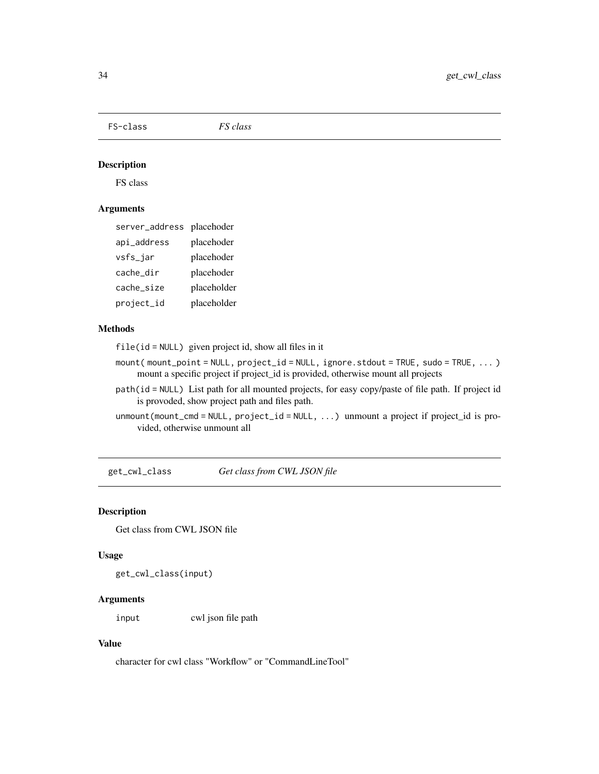<span id="page-33-0"></span>FS-class *FS class*

## Description

FS class

## Arguments

| server_address placehoder |             |
|---------------------------|-------------|
| api_address               | placehoder  |
| vsfs_jar                  | placehoder  |
| cache_dir                 | placehoder  |
| cache_size                | placeholder |
| project_id                | placeholder |

## Methods

file(id = NULL) given project id, show all files in it

- mount( mount\_point = NULL, project\_id = NULL, ignore.stdout = TRUE, sudo = TRUE, ... ) mount a specific project if project\_id is provided, otherwise mount all projects
- path(id = NULL) List path for all mounted projects, for easy copy/paste of file path. If project id is provoded, show project path and files path.
- unmount(mount\_cmd = NULL, project\_id = NULL, ...) unmount a project if project\_id is provided, otherwise unmount all

get\_cwl\_class *Get class from CWL JSON file*

#### Description

Get class from CWL JSON file

## Usage

get\_cwl\_class(input)

## Arguments

input cwl json file path

## Value

character for cwl class "Workflow" or "CommandLineTool"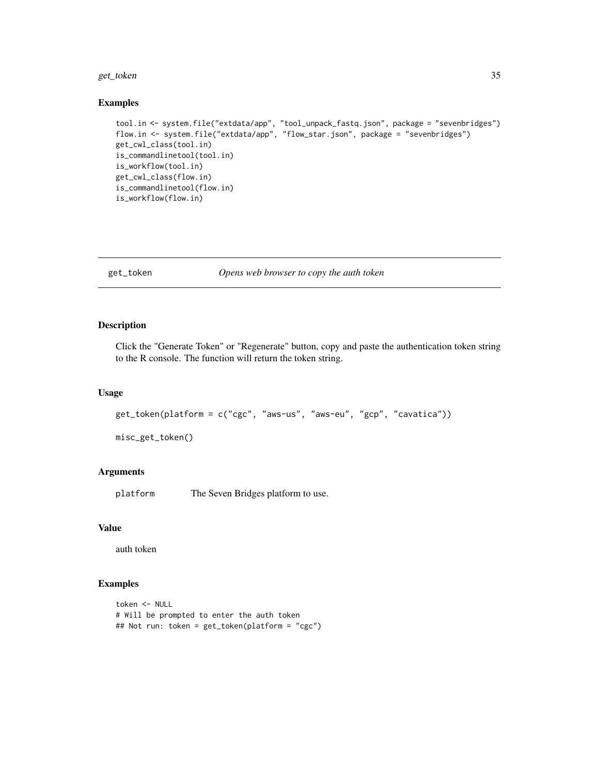#### <span id="page-34-0"></span>get\_token 35

#### Examples

```
tool.in <- system.file("extdata/app", "tool_unpack_fastq.json", package = "sevenbridges")
flow.in <- system.file("extdata/app", "flow_star.json", package = "sevenbridges")
get_cwl_class(tool.in)
is_commandlinetool(tool.in)
is_workflow(tool.in)
get_cwl_class(flow.in)
is_commandlinetool(flow.in)
is_workflow(flow.in)
```
get\_token *Opens web browser to copy the auth token*

#### Description

Click the "Generate Token" or "Regenerate" button, copy and paste the authentication token string to the R console. The function will return the token string.

#### Usage

```
get_token(platform = c("cgc", "aws-us", "aws-eu", "gcp", "cavatica"))
```
misc\_get\_token()

## Arguments

platform The Seven Bridges platform to use.

#### Value

auth token

```
token <- NULL
# Will be prompted to enter the auth token
## Not run: token = get_token(platform = "cgc")
```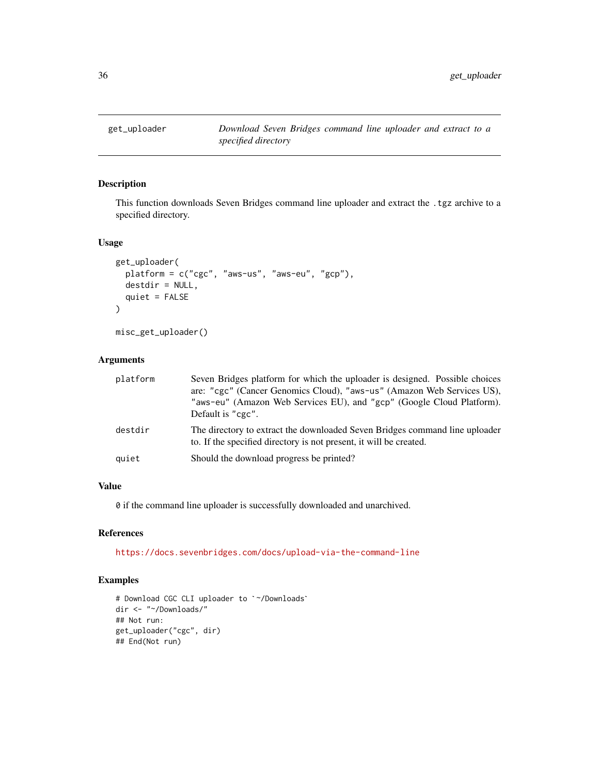<span id="page-35-1"></span><span id="page-35-0"></span>

This function downloads Seven Bridges command line uploader and extract the .tgz archive to a specified directory.

## Usage

```
get_uploader(
  platform = c("cgc", "aws-us", "aws-eu", "gcp"),
  destdir = NULL,
  quiet = FALSE
\mathcal{E}
```
misc\_get\_uploader()

## Arguments

| platform | Seven Bridges platform for which the uploader is designed. Possible choices<br>are: "cgc" (Cancer Genomics Cloud), "aws-us" (Amazon Web Services US),<br>"aws-eu" (Amazon Web Services EU), and "gcp" (Google Cloud Platform).<br>Default is "cgc". |
|----------|-----------------------------------------------------------------------------------------------------------------------------------------------------------------------------------------------------------------------------------------------------|
| destdir  | The directory to extract the downloaded Seven Bridges command line uploader<br>to. If the specified directory is not present, it will be created.                                                                                                   |
| quiet    | Should the download progress be printed?                                                                                                                                                                                                            |

## Value

0 if the command line uploader is successfully downloaded and unarchived.

## References

<https://docs.sevenbridges.com/docs/upload-via-the-command-line>

```
# Download CGC CLI uploader to `~/Downloads`
dir <- "~/Downloads/"
## Not run:
get_uploader("cgc", dir)
## End(Not run)
```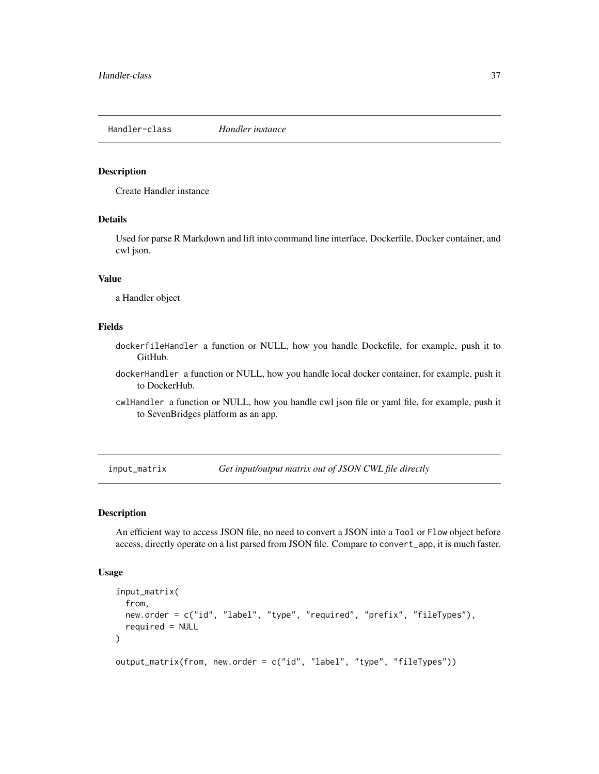Handler-class *Handler instance*

### Description

Create Handler instance

## Details

Used for parse R Markdown and lift into command line interface, Dockerfile, Docker container, and cwl json.

### Value

a Handler object

### Fields

- dockerfileHandler a function or NULL, how you handle Dockefile, for example, push it to GitHub.
- dockerHandler a function or NULL, how you handle local docker container, for example, push it to DockerHub.
- cwlHandler a function or NULL, how you handle cwl json file or yaml file, for example, push it to SevenBridges platform as an app.

input\_matrix *Get input/output matrix out of JSON CWL file directly*

#### Description

An efficient way to access JSON file, no need to convert a JSON into a Tool or Flow object before access, directly operate on a list parsed from JSON file. Compare to convert\_app, it is much faster.

#### Usage

```
input_matrix(
  from,
 new.order = c("id", "label", "type", "required", "prefix", "fileTypes"),
 required = NULL
)
```
output\_matrix(from, new.order = c("id", "label", "type", "fileTypes"))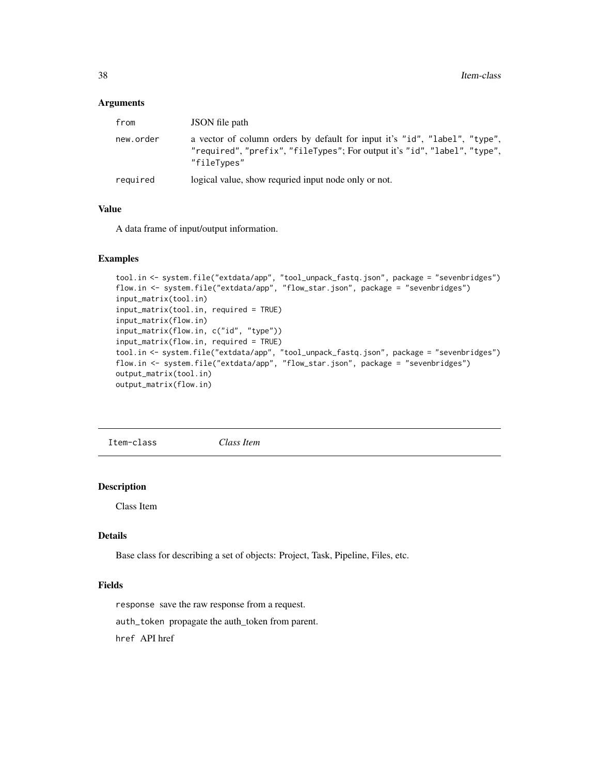#### Arguments

| from      | JSON file path                                                                                                                                                         |
|-----------|------------------------------------------------------------------------------------------------------------------------------------------------------------------------|
| new.order | a vector of column orders by default for input it's "id", "label", "type",<br>"required", "prefix", "fileTypes"; For output it's "id", "label", "type",<br>"fileTypes" |
| required  | logical value, show requried input node only or not.                                                                                                                   |

### Value

A data frame of input/output information.

### Examples

```
tool.in <- system.file("extdata/app", "tool_unpack_fastq.json", package = "sevenbridges")
flow.in <- system.file("extdata/app", "flow_star.json", package = "sevenbridges")
input_matrix(tool.in)
input_matrix(tool.in, required = TRUE)
input_matrix(flow.in)
input_matrix(flow.in, c("id", "type"))
input_matrix(flow.in, required = TRUE)
tool.in <- system.file("extdata/app", "tool_unpack_fastq.json", package = "sevenbridges")
flow.in <- system.file("extdata/app", "flow_star.json", package = "sevenbridges")
output_matrix(tool.in)
output_matrix(flow.in)
```
Item-class *Class Item*

### Description

Class Item

## Details

Base class for describing a set of objects: Project, Task, Pipeline, Files, etc.

### Fields

response save the raw response from a request.

auth\_token propagate the auth\_token from parent.

href API href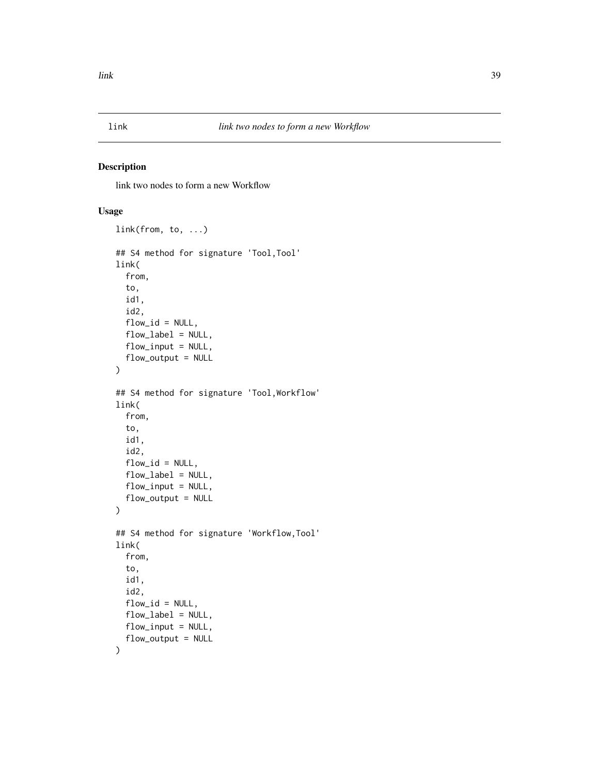link two nodes to form a new Workflow

## Usage

```
link(from, to, ...)
## S4 method for signature 'Tool,Tool'
link(
  from,
  to,
  id1,
  id2,
  flow_id = NULL,
  flow_label = NULL,
  flow_input = NULL,
  flow_output = NULL
)
## S4 method for signature 'Tool,Workflow'
link(
  from,
  to,
  id1,
  id2,
  flow_id = NULL,flow_label = NULL,
  flow_input = NULL,
  flow_output = NULL\mathcal{L}## S4 method for signature 'Workflow,Tool'
link(
  from,
  to,
  id1,
  id2,
  flow_id = NULL,flow_label = NULL,
  flow_input = NULL,
  flow_output = NULL
\mathcal{L}
```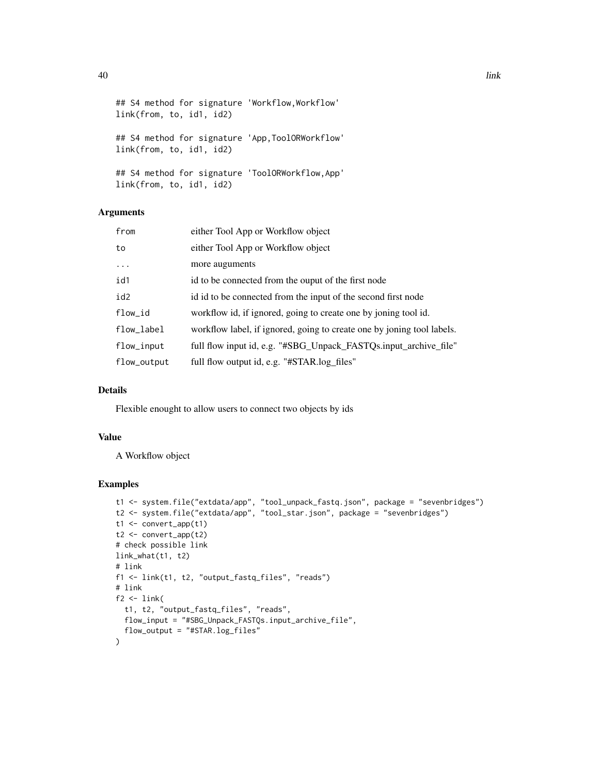```
## S4 method for signature 'Workflow,Workflow'
link(from, to, id1, id2)
## S4 method for signature 'App,ToolORWorkflow'
link(from, to, id1, id2)
## S4 method for signature 'ToolORWorkflow,App'
link(from, to, id1, id2)
```
### Arguments

| from        | either Tool App or Workflow object                                     |
|-------------|------------------------------------------------------------------------|
| to          | either Tool App or Workflow object                                     |
| $\cdots$    | more auguments                                                         |
| id1         | id to be connected from the ouput of the first node                    |
| id2         | id id to be connected from the input of the second first node          |
| flow_id     | workflow id, if ignored, going to create one by joning tool id.        |
| flow_label  | workflow label, if ignored, going to create one by joning tool labels. |
| flow_input  | full flow input id, e.g. "#SBG_Unpack_FASTQs.input_archive_file"       |
| flow_output | full flow output id, e.g. "#STAR.log_files"                            |

### Details

Flexible enought to allow users to connect two objects by ids

## Value

A Workflow object

### Examples

```
t1 <- system.file("extdata/app", "tool_unpack_fastq.json", package = "sevenbridges")
t2 <- system.file("extdata/app", "tool_star.json", package = "sevenbridges")
t1 \leftarrow \text{convert\_app(t1)}t2 < - convert_app(t2)
# check possible link
link_what(t1, t2)
# link
f1 <- link(t1, t2, "output_fastq_files", "reads")
# link
f2 <- link(
 t1, t2, "output_fastq_files", "reads",
 flow_input = "#SBG_Unpack_FASTQs.input_archive_file",
  flow_output = "#STAR.log_files"
\lambda
```
40 and the set of the set of the set of the set of the set of the set of the set of the set of the set of the set of the set of the set of the set of the set of the set of the set of the set of the set of the set of the se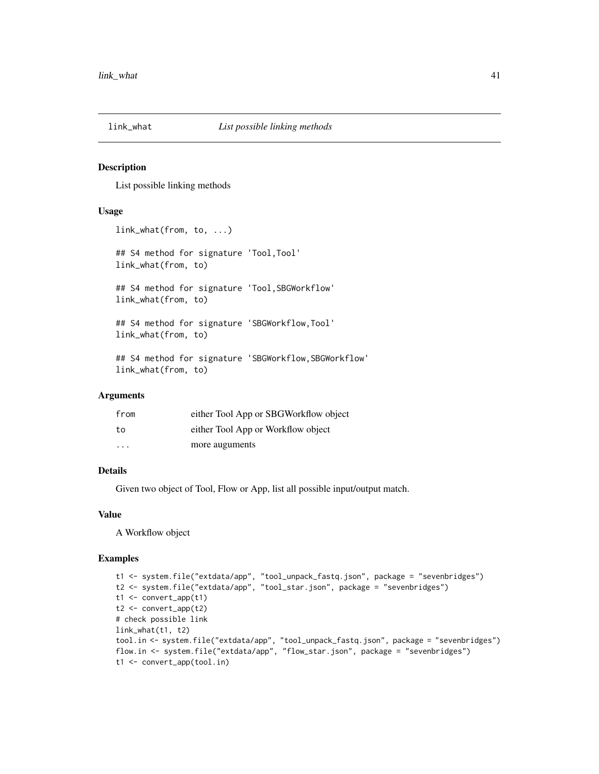List possible linking methods

#### Usage

```
link_what(from, to, ...)
## S4 method for signature 'Tool, Tool'
link_what(from, to)
## S4 method for signature 'Tool,SBGWorkflow'
link_what(from, to)
## S4 method for signature 'SBGWorkflow,Tool'
link_what(from, to)
## S4 method for signature 'SBGWorkflow,SBGWorkflow'
link_what(from, to)
```
### Arguments

| from                    | either Tool App or SBGWorkflow object |
|-------------------------|---------------------------------------|
| to                      | either Tool App or Workflow object    |
| $\cdot$ $\cdot$ $\cdot$ | more auguments                        |

## Details

Given two object of Tool, Flow or App, list all possible input/output match.

### Value

A Workflow object

```
t1 <- system.file("extdata/app", "tool_unpack_fastq.json", package = "sevenbridges")
t2 <- system.file("extdata/app", "tool_star.json", package = "sevenbridges")
t1 <- convert_app(t1)
t2 <- convert_app(t2)
# check possible link
link_what(t1, t2)
tool.in <- system.file("extdata/app", "tool_unpack_fastq.json", package = "sevenbridges")
flow.in <- system.file("extdata/app", "flow_star.json", package = "sevenbridges")
t1 <- convert_app(tool.in)
```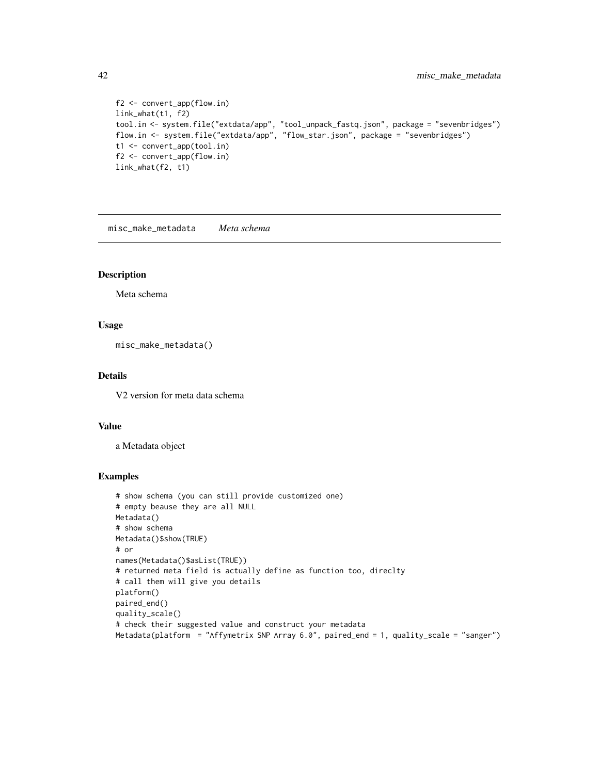```
f2 <- convert_app(flow.in)
link_what(t1, f2)
tool.in <- system.file("extdata/app", "tool_unpack_fastq.json", package = "sevenbridges")
flow.in <- system.file("extdata/app", "flow_star.json", package = "sevenbridges")
t1 <- convert_app(tool.in)
f2 <- convert_app(flow.in)
link_what(f2, t1)
```
misc\_make\_metadata *Meta schema*

### Description

Meta schema

### Usage

misc\_make\_metadata()

### Details

V2 version for meta data schema

#### Value

a Metadata object

```
# show schema (you can still provide customized one)
# empty beause they are all NULL
Metadata()
# show schema
Metadata()$show(TRUE)
# or
names(Metadata()$asList(TRUE))
# returned meta field is actually define as function too, direclty
# call them will give you details
platform()
paired_end()
quality_scale()
# check their suggested value and construct your metadata
Metadata(platform = "Affymetrix SNP Array 6.0", paired_end = 1, quality_scale = "sanger")
```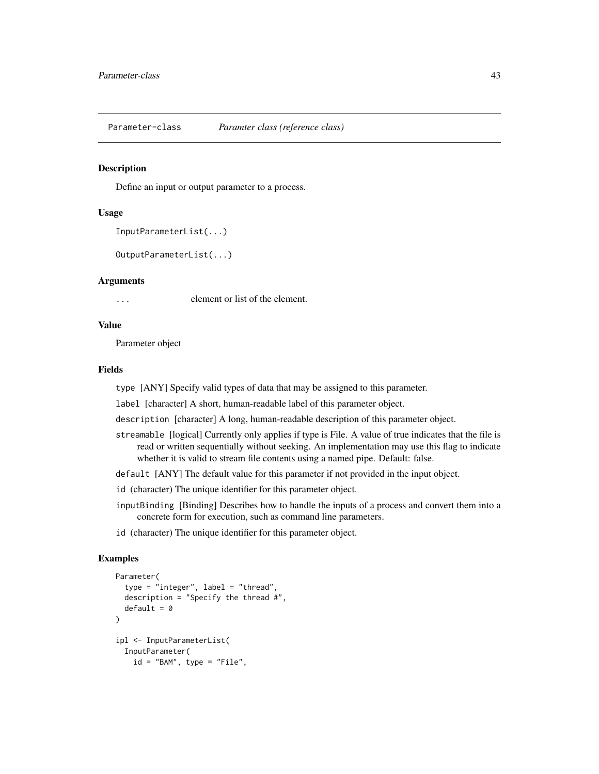Parameter-class *Paramter class (reference class)*

#### Description

Define an input or output parameter to a process.

### Usage

```
InputParameterList(...)
```
OutputParameterList(...)

#### Arguments

... element or list of the element.

#### Value

Parameter object

## Fields

type [ANY] Specify valid types of data that may be assigned to this parameter.

label [character] A short, human-readable label of this parameter object.

description [character] A long, human-readable description of this parameter object.

- streamable [logical] Currently only applies if type is File. A value of true indicates that the file is read or written sequentially without seeking. An implementation may use this flag to indicate whether it is valid to stream file contents using a named pipe. Default: false.
- default [ANY] The default value for this parameter if not provided in the input object.
- id (character) The unique identifier for this parameter object.
- inputBinding [Binding] Describes how to handle the inputs of a process and convert them into a concrete form for execution, such as command line parameters.
- id (character) The unique identifier for this parameter object.

```
Parameter(
  type = "integer", label = "thread",
  description = "Specify the thread #",
  default = <math>0</math>)
ipl <- InputParameterList(
  InputParameter(
    id = "BAM", type = "File",
```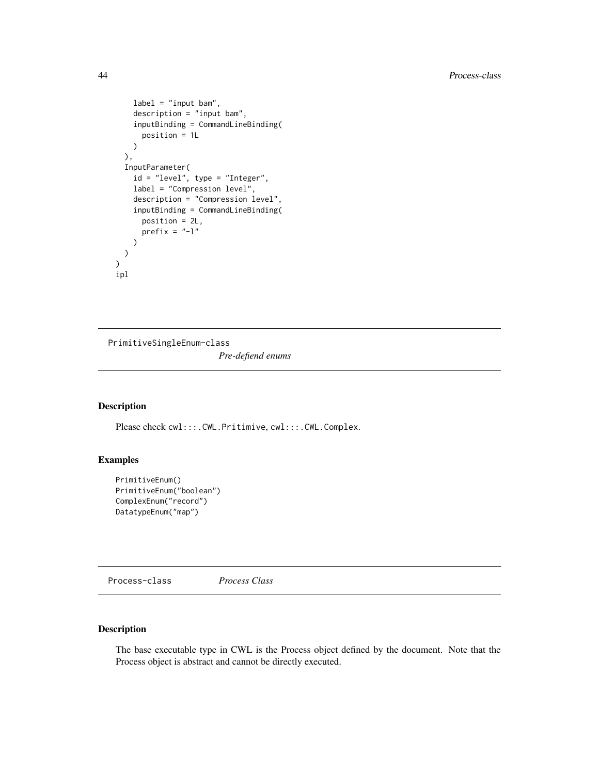```
label = "input bam",
   description = "input bam",
   inputBinding = CommandLineBinding(
     position = 1L
   )
 ),
 InputParameter(
   id = "level", type = "Integer",
   label = "Compression level",
   description = "Compression level",
    inputBinding = CommandLineBinding(
     position = 2L,
     prefix = "-1")
 )
)
ipl
```
PrimitiveSingleEnum-class *Pre-defiend enums*

### Description

Please check cwl:::.CWL.Pritimive, cwl:::.CWL.Complex.

## Examples

```
PrimitiveEnum()
PrimitiveEnum("boolean")
ComplexEnum("record")
DatatypeEnum("map")
```
Process-class *Process Class*

# Description

The base executable type in CWL is the Process object defined by the document. Note that the Process object is abstract and cannot be directly executed.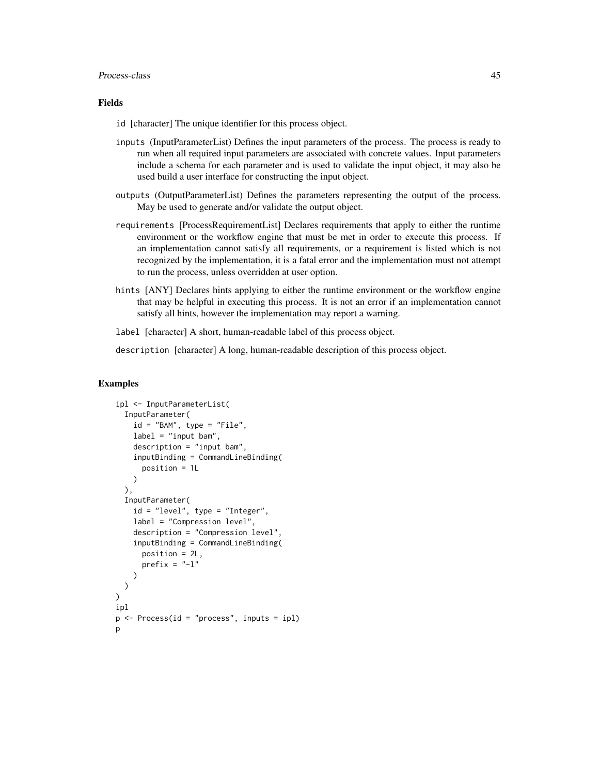#### Process-class 45

### Fields

id [character] The unique identifier for this process object.

- inputs (InputParameterList) Defines the input parameters of the process. The process is ready to run when all required input parameters are associated with concrete values. Input parameters include a schema for each parameter and is used to validate the input object, it may also be used build a user interface for constructing the input object.
- outputs (OutputParameterList) Defines the parameters representing the output of the process. May be used to generate and/or validate the output object.
- requirements [ProcessRequirementList] Declares requirements that apply to either the runtime environment or the workflow engine that must be met in order to execute this process. If an implementation cannot satisfy all requirements, or a requirement is listed which is not recognized by the implementation, it is a fatal error and the implementation must not attempt to run the process, unless overridden at user option.
- hints [ANY] Declares hints applying to either the runtime environment or the workflow engine that may be helpful in executing this process. It is not an error if an implementation cannot satisfy all hints, however the implementation may report a warning.

label [character] A short, human-readable label of this process object.

description [character] A long, human-readable description of this process object.

```
ipl <- InputParameterList(
 InputParameter(
    id = "BAM", type = "File",label = "input beam",description = "inputbam".inputBinding = CommandLineBinding(
      position = 1L
    )
 ),
 InputParameter(
    id = "level", type = "Integer",
    label = "Compression level",
    description = "Compression level",
    inputBinding = CommandLineBinding(
      position = 2L,
      prefix = "-1")
 )
\lambdaipl
p \leftarrow Process(id = "process", inputs = ipl)
p
```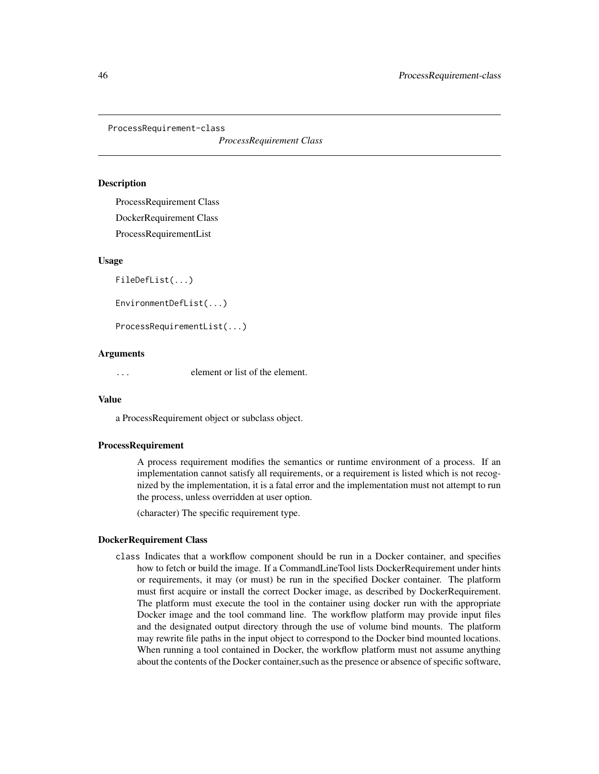ProcessRequirement-class

*ProcessRequirement Class*

#### **Description**

ProcessRequirement Class DockerRequirement Class ProcessRequirementList

#### Usage

FileDefList(...)

EnvironmentDefList(...)

ProcessRequirementList(...)

#### Arguments

... element or list of the element.

#### Value

a ProcessRequirement object or subclass object.

### ProcessRequirement

A process requirement modifies the semantics or runtime environment of a process. If an implementation cannot satisfy all requirements, or a requirement is listed which is not recognized by the implementation, it is a fatal error and the implementation must not attempt to run the process, unless overridden at user option.

(character) The specific requirement type.

#### DockerRequirement Class

class Indicates that a workflow component should be run in a Docker container, and specifies how to fetch or build the image. If a CommandLineTool lists DockerRequirement under hints or requirements, it may (or must) be run in the specified Docker container. The platform must first acquire or install the correct Docker image, as described by DockerRequirement. The platform must execute the tool in the container using docker run with the appropriate Docker image and the tool command line. The workflow platform may provide input files and the designated output directory through the use of volume bind mounts. The platform may rewrite file paths in the input object to correspond to the Docker bind mounted locations. When running a tool contained in Docker, the workflow platform must not assume anything about the contents of the Docker container,such as the presence or absence of specific software,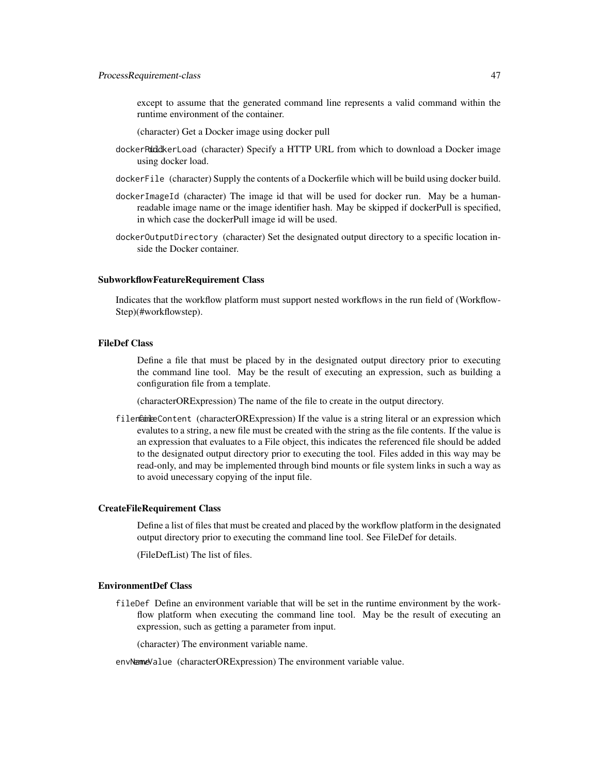except to assume that the generated command line represents a valid command within the runtime environment of the container.

(character) Get a Docker image using docker pull

- dockerPdddkerLoad (character) Specify a HTTP URL from which to download a Docker image using docker load.
- dockerFile (character) Supply the contents of a Dockerfile which will be build using docker build.
- dockerImageId (character) The image id that will be used for docker run. May be a humanreadable image name or the image identifier hash. May be skipped if dockerPull is specified, in which case the dockerPull image id will be used.
- dockerOutputDirectory (character) Set the designated output directory to a specific location inside the Docker container.

### SubworkflowFeatureRequirement Class

Indicates that the workflow platform must support nested workflows in the run field of (Workflow-Step)(#workflowstep).

#### FileDef Class

Define a file that must be placed by in the designated output directory prior to executing the command line tool. May be the result of executing an expression, such as building a configuration file from a template.

(characterORExpression) The name of the file to create in the output directory.

filename Content (characterORExpression) If the value is a string literal or an expression which evalutes to a string, a new file must be created with the string as the file contents. If the value is an expression that evaluates to a File object, this indicates the referenced file should be added to the designated output directory prior to executing the tool. Files added in this way may be read-only, and may be implemented through bind mounts or file system links in such a way as to avoid unecessary copying of the input file.

#### CreateFileRequirement Class

Define a list of files that must be created and placed by the workflow platform in the designated output directory prior to executing the command line tool. See FileDef for details.

(FileDefList) The list of files.

### EnvironmentDef Class

fileDef Define an environment variable that will be set in the runtime environment by the workflow platform when executing the command line tool. May be the result of executing an expression, such as getting a parameter from input.

(character) The environment variable name.

### envNemeValue (characterORExpression) The environment variable value.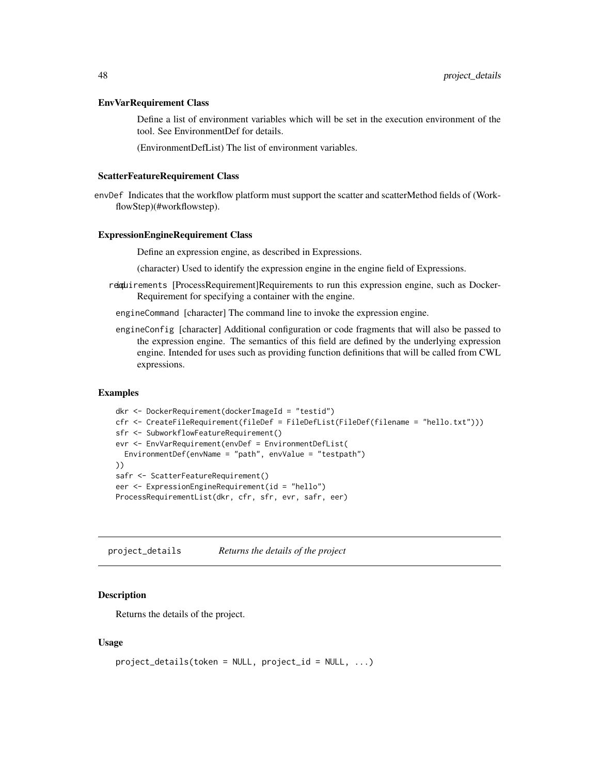#### EnvVarRequirement Class

Define a list of environment variables which will be set in the execution environment of the tool. See EnvironmentDef for details.

(EnvironmentDefList) The list of environment variables.

#### ScatterFeatureRequirement Class

envDef Indicates that the workflow platform must support the scatter and scatterMethod fields of (WorkflowStep)(#workflowstep).

#### ExpressionEngineRequirement Class

Define an expression engine, as described in Expressions.

(character) Used to identify the expression engine in the engine field of Expressions.

- requirements [ProcessRequirement]Requirements to run this expression engine, such as Docker-Requirement for specifying a container with the engine.
	- engineCommand [character] The command line to invoke the expression engine.
	- engineConfig [character] Additional configuration or code fragments that will also be passed to the expression engine. The semantics of this field are defined by the underlying expression engine. Intended for uses such as providing function definitions that will be called from CWL expressions.

## Examples

```
dkr <- DockerRequirement(dockerImageId = "testid")
cfr <- CreateFileRequirement(fileDef = FileDefList(FileDef(filename = "hello.txt")))
sfr <- SubworkflowFeatureRequirement()
evr <- EnvVarRequirement(envDef = EnvironmentDefList(
  EnvironmentDef(envName = "path", envValue = "testpath")
))
safr <- ScatterFeatureRequirement()
eer <- ExpressionEngineRequirement(id = "hello")
ProcessRequirementList(dkr, cfr, sfr, evr, safr, eer)
```
project\_details *Returns the details of the project*

#### Description

Returns the details of the project.

#### Usage

```
project\_details(token = NULL, project_id = NULL, ...)
```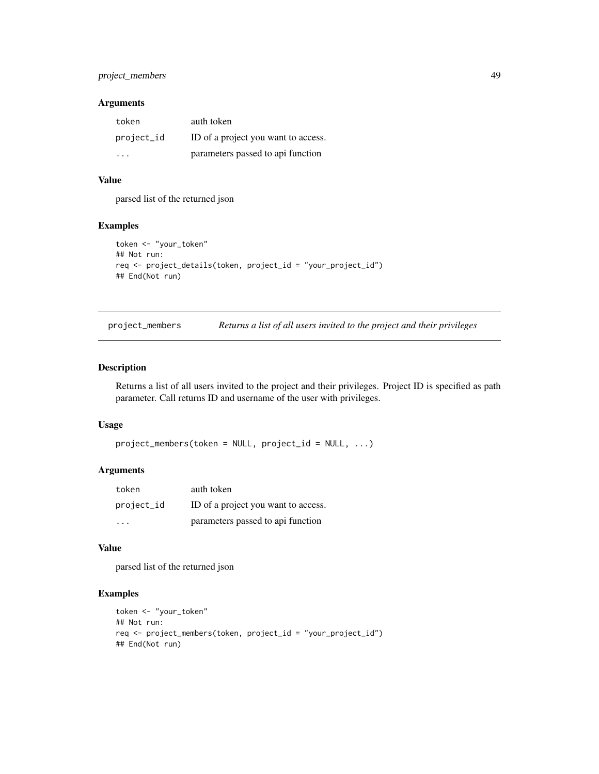## project\_members 49

### Arguments

| token      | auth token                          |
|------------|-------------------------------------|
| project_id | ID of a project you want to access. |
|            | parameters passed to api function   |

## Value

parsed list of the returned json

### Examples

```
token <- "your_token"
## Not run:
req <- project_details(token, project_id = "your_project_id")
## End(Not run)
```

| project_members | Returns a list of all users invited to the project and their privileges |  |  |  |
|-----------------|-------------------------------------------------------------------------|--|--|--|
|                 |                                                                         |  |  |  |

### Description

Returns a list of all users invited to the project and their privileges. Project ID is specified as path parameter. Call returns ID and username of the user with privileges.

### Usage

```
project_members(token = NULL, project_id = NULL, ...)
```
## Arguments

| token      | auth token                          |
|------------|-------------------------------------|
| project_id | ID of a project you want to access. |
| $\cdot$    | parameters passed to api function   |

# Value

parsed list of the returned json

```
token <- "your_token"
## Not run:
req <- project_members(token, project_id = "your_project_id")
## End(Not run)
```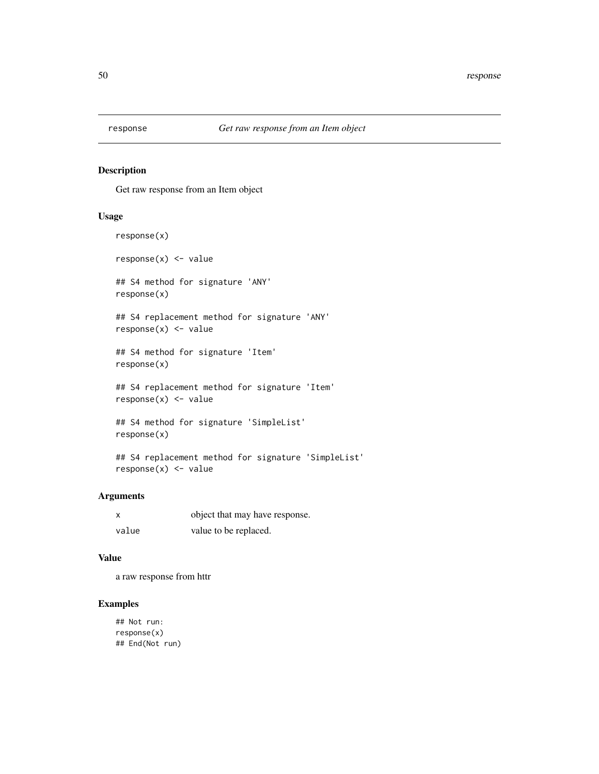Get raw response from an Item object

### Usage

```
response(x)
response(x) <- value
## S4 method for signature 'ANY'
response(x)
## S4 replacement method for signature 'ANY'
response(x) <- value
## S4 method for signature 'Item'
response(x)
## S4 replacement method for signature 'Item'
response(x) <- value
## S4 method for signature 'SimpleList'
response(x)
```

```
## S4 replacement method for signature 'SimpleList'
response(x) <- value
```
### Arguments

| x     | object that may have response. |
|-------|--------------------------------|
| value | value to be replaced.          |

### Value

a raw response from httr

```
## Not run:
response(x)
## End(Not run)
```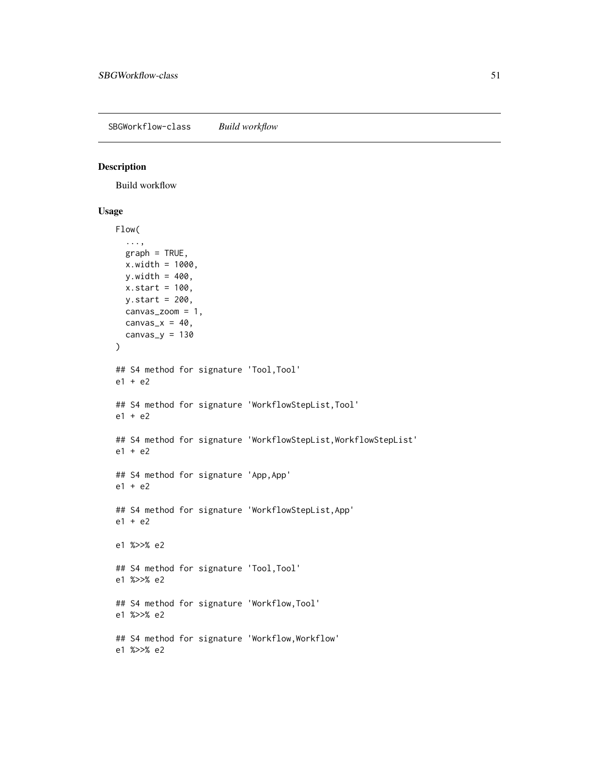SBGWorkflow-class *Build workflow*

## Description

Build workflow

#### Usage

```
Flow(
  ...,
 graph = TRUE,
 x.width = 1000,
 y.width = 400,x.start = 100,
 y.start = 200,
 canvas_zoom = 1,
 canvas_x = 40,
 canvas_y = 130)
## S4 method for signature 'Tool,Tool'
e1 + e2
## S4 method for signature 'WorkflowStepList,Tool'
e1 + e2
## S4 method for signature 'WorkflowStepList, WorkflowStepList'
e1 + e2
## S4 method for signature 'App,App'
e1 + e2
## S4 method for signature 'WorkflowStepList,App'
e1 + e2
e1 %>>% e2
## S4 method for signature 'Tool,Tool'
e1 %>>% e2
## S4 method for signature 'Workflow,Tool'
e1 %>>% e2
## S4 method for signature 'Workflow,Workflow'
e1 %>>% e2
```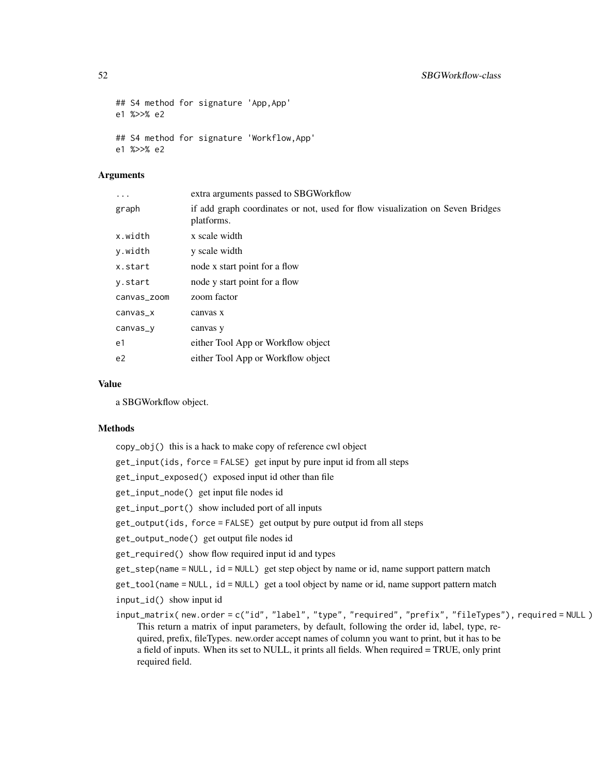```
## S4 method for signature 'App,App'
e1 %>>% e2
## S4 method for signature 'Workflow,App'
e1 %>>% e2
```
# Arguments

| $\ddotsc$      | extra arguments passed to SBGWorkflow                                                       |
|----------------|---------------------------------------------------------------------------------------------|
| graph          | if add graph coordinates or not, used for flow visualization on Seven Bridges<br>platforms. |
| x.width        | x scale width                                                                               |
| y.width        | y scale width                                                                               |
| x.start        | node x start point for a flow                                                               |
| y.start        | node y start point for a flow                                                               |
| canvas_zoom    | zoom factor                                                                                 |
| $c$ anvas $x$  | canvas x                                                                                    |
| canvas_y       | canvas y                                                                                    |
| e1             | either Tool App or Workflow object                                                          |
| e <sub>2</sub> | either Tool App or Workflow object                                                          |

# Value

a SBGWorkflow object.

#### Methods

| copy_obj() this is a hack to make copy of reference cwl object                                                                                                                                                                                                                                                                                                                                                                |
|-------------------------------------------------------------------------------------------------------------------------------------------------------------------------------------------------------------------------------------------------------------------------------------------------------------------------------------------------------------------------------------------------------------------------------|
| get_input(ids, force = FALSE) get input by pure input id from all steps                                                                                                                                                                                                                                                                                                                                                       |
| get_input_exposed() exposed input id other than file                                                                                                                                                                                                                                                                                                                                                                          |
| get_input_node() get input file nodes id                                                                                                                                                                                                                                                                                                                                                                                      |
| get_input_port() show included port of all inputs                                                                                                                                                                                                                                                                                                                                                                             |
| $get\_output(ids, force = FALSE) get output by pure output id from all steps$                                                                                                                                                                                                                                                                                                                                                 |
| get_output_node() get output file nodes id                                                                                                                                                                                                                                                                                                                                                                                    |
| get_required() show flow required input id and types                                                                                                                                                                                                                                                                                                                                                                          |
| $get\_step(name = NULL, id = NULL)$ get step object by name or id, name support pattern match                                                                                                                                                                                                                                                                                                                                 |
| $get\_tool$ (name = NULL, id = NULL) get a tool object by name or id, name support pattern match                                                                                                                                                                                                                                                                                                                              |
| input_id() show input id                                                                                                                                                                                                                                                                                                                                                                                                      |
| input_matrix(new.order=c("id", "label", "type", "required", "prefix", "fileTypes"), required=NULL)<br>This return a matrix of input parameters, by default, following the order id, label, type, re-<br>quired, prefix, fileTypes. new order accept names of column you want to print, but it has to be<br>a field of inputs. When its set to NULL, it prints all fields. When required = TRUE, only print<br>required field. |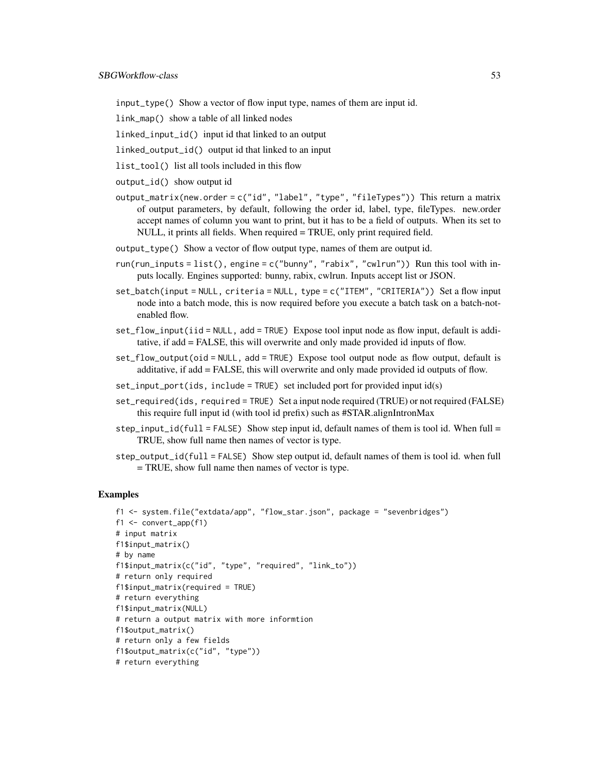input\_type() Show a vector of flow input type, names of them are input id.

link\_map() show a table of all linked nodes

linked\_input\_id() input id that linked to an output

linked\_output\_id() output id that linked to an input

list\_tool() list all tools included in this flow

output\_id() show output id

output\_matrix(new.order = c("id", "label", "type", "fileTypes")) This return a matrix of output parameters, by default, following the order id, label, type, fileTypes. new.order accept names of column you want to print, but it has to be a field of outputs. When its set to NULL, it prints all fields. When required = TRUE, only print required field.

output\_type() Show a vector of flow output type, names of them are output id.

- run(run\_inputs = list(), engine =  $c("bunny", "rabix", "cwlrun"))$  Run this tool with inputs locally. Engines supported: bunny, rabix, cwlrun. Inputs accept list or JSON.
- set\_batch(input = NULL, criteria = NULL, type = c("ITEM", "CRITERIA")) Set a flow input node into a batch mode, this is now required before you execute a batch task on a batch-notenabled flow.
- set\_flow\_input(iid = NULL, add = TRUE) Expose tool input node as flow input, default is additative, if add = FALSE, this will overwrite and only made provided id inputs of flow.
- set\_flow\_output(oid = NULL, add = TRUE) Expose tool output node as flow output, default is additative, if add = FALSE, this will overwrite and only made provided id outputs of flow.
- set\_input\_port(ids, include = TRUE) set included port for provided input id(s)
- set\_required(ids, required = TRUE) Set a input node required (TRUE) or not required (FALSE) this require full input id (with tool id prefix) such as #STAR.alignIntronMax
- $step\_input\_id(full = FALSE)$  Show step input id, default names of them is tool id. When full = TRUE, show full name then names of vector is type.
- step\_output\_id(full = FALSE) Show step output id, default names of them is tool id. when full = TRUE, show full name then names of vector is type.

```
f1 <- system.file("extdata/app", "flow_star.json", package = "sevenbridges")
f1 \leftarrow \text{convert\_app}(f1)# input matrix
f1$input_matrix()
# by name
f1$input_matrix(c("id", "type", "required", "link_to"))
# return only required
f1$input_matrix(required = TRUE)
# return everything
f1$input_matrix(NULL)
# return a output matrix with more informtion
f1$output_matrix()
# return only a few fields
f1$output_matrix(c("id", "type"))
# return everything
```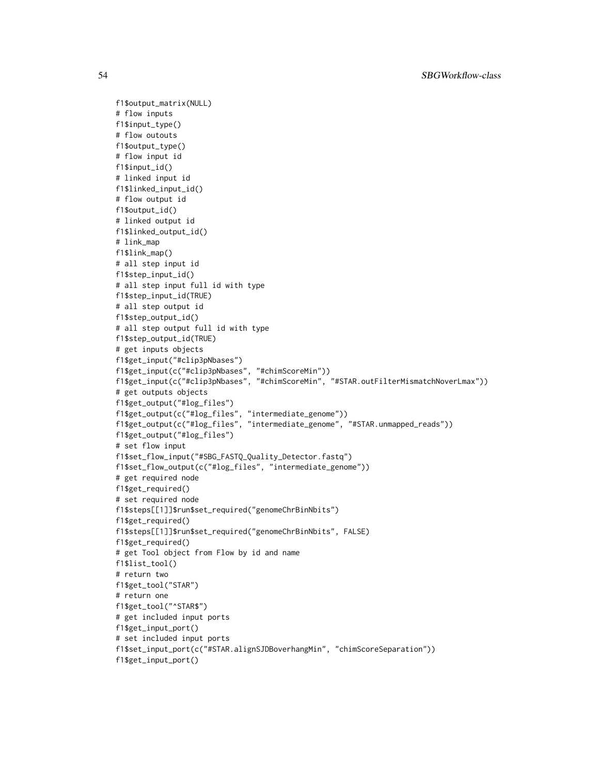f1\$output\_matrix(NULL) # flow inputs f1\$input\_type() # flow outouts f1\$output\_type() # flow input id f1\$input\_id() # linked input id f1\$linked\_input\_id() # flow output id f1\$output\_id() # linked output id f1\$linked\_output\_id() # link\_map f1\$link\_map() # all step input id f1\$step\_input\_id() # all step input full id with type f1\$step\_input\_id(TRUE) # all step output id f1\$step\_output\_id() # all step output full id with type f1\$step\_output\_id(TRUE) # get inputs objects f1\$get\_input("#clip3pNbases") f1\$get\_input(c("#clip3pNbases", "#chimScoreMin")) f1\$get\_input(c("#clip3pNbases", "#chimScoreMin", "#STAR.outFilterMismatchNoverLmax")) # get outputs objects f1\$get\_output("#log\_files") f1\$get\_output(c("#log\_files", "intermediate\_genome")) f1\$get\_output(c("#log\_files", "intermediate\_genome", "#STAR.unmapped\_reads")) f1\$get\_output("#log\_files") # set flow input f1\$set\_flow\_input("#SBG\_FASTQ\_Quality\_Detector.fastq") f1\$set\_flow\_output(c("#log\_files", "intermediate\_genome")) # get required node f1\$get\_required() # set required node f1\$steps[[1]]\$run\$set\_required("genomeChrBinNbits") f1\$get\_required() f1\$steps[[1]]\$run\$set\_required("genomeChrBinNbits", FALSE) f1\$get\_required() # get Tool object from Flow by id and name f1\$list\_tool() # return two f1\$get\_tool("STAR") # return one f1\$get\_tool("^STAR\$") # get included input ports f1\$get\_input\_port() # set included input ports f1\$set\_input\_port(c("#STAR.alignSJDBoverhangMin", "chimScoreSeparation")) f1\$get\_input\_port()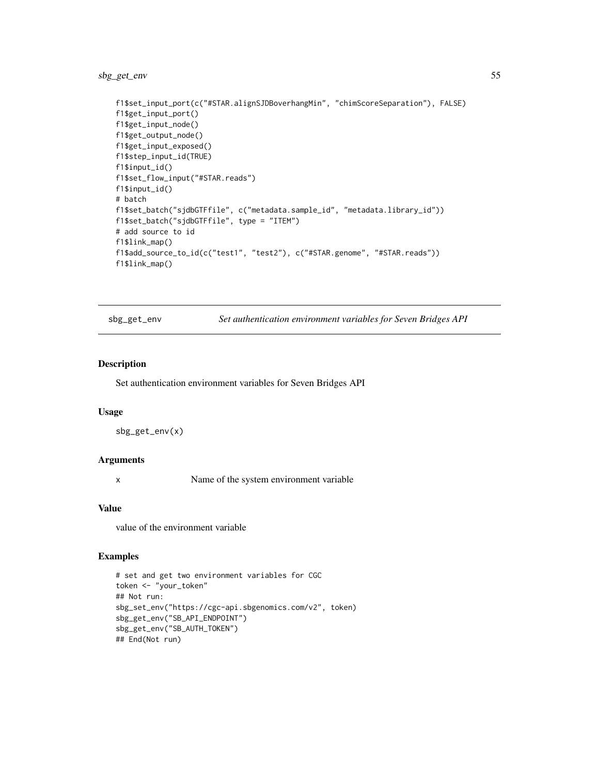## sbg\_get\_env 55

```
f1$set_input_port(c("#STAR.alignSJDBoverhangMin", "chimScoreSeparation"), FALSE)
f1$get_input_port()
f1$get_input_node()
f1$get_output_node()
f1$get_input_exposed()
f1$step_input_id(TRUE)
f1$input_id()
f1$set_flow_input("#STAR.reads")
f1$input_id()
# batch
f1$set_batch("sjdbGTFfile", c("metadata.sample_id", "metadata.library_id"))
f1$set_batch("sjdbGTFfile", type = "ITEM")
# add source to id
f1$link_map()
f1$add_source_to_id(c("test1", "test2"), c("#STAR.genome", "#STAR.reads"))
f1$link_map()
```
sbg\_get\_env *Set authentication environment variables for Seven Bridges API*

#### Description

Set authentication environment variables for Seven Bridges API

#### Usage

sbg\_get\_env(x)

### Arguments

x Name of the system environment variable

#### Value

value of the environment variable

```
# set and get two environment variables for CGC
token <- "your_token"
## Not run:
sbg_set_env("https://cgc-api.sbgenomics.com/v2", token)
sbg_get_env("SB_API_ENDPOINT")
sbg_get_env("SB_AUTH_TOKEN")
## End(Not run)
```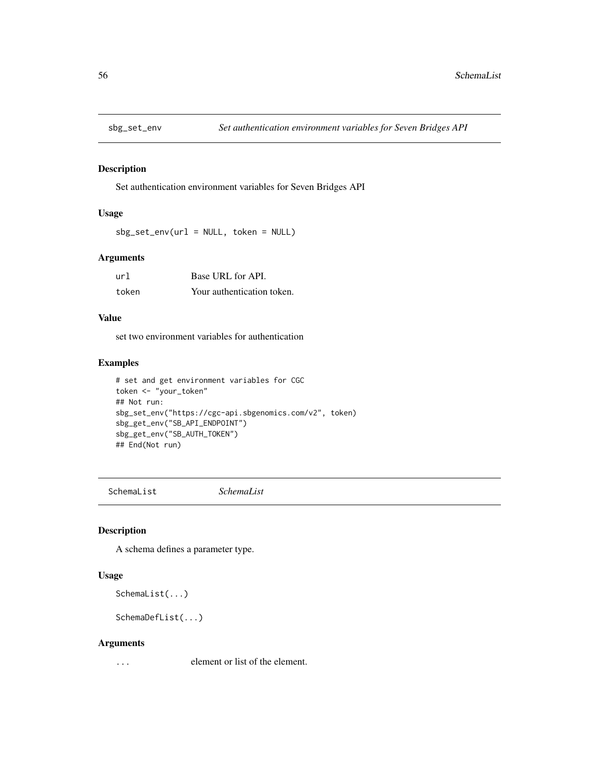Set authentication environment variables for Seven Bridges API

### Usage

 $sbg_set_new(url = NULL, token = NULL)$ 

# Arguments

| url   | Base URL for API.          |
|-------|----------------------------|
| token | Your authentication token. |

## Value

set two environment variables for authentication

### Examples

```
# set and get environment variables for CGC
token <- "your_token"
## Not run:
sbg_set_env("https://cgc-api.sbgenomics.com/v2", token)
sbg_get_env("SB_API_ENDPOINT")
sbg_get_env("SB_AUTH_TOKEN")
## End(Not run)
```
SchemaList *SchemaList*

### Description

A schema defines a parameter type.

## Usage

SchemaList(...)

```
SchemaDefList(...)
```
#### Arguments

... element or list of the element.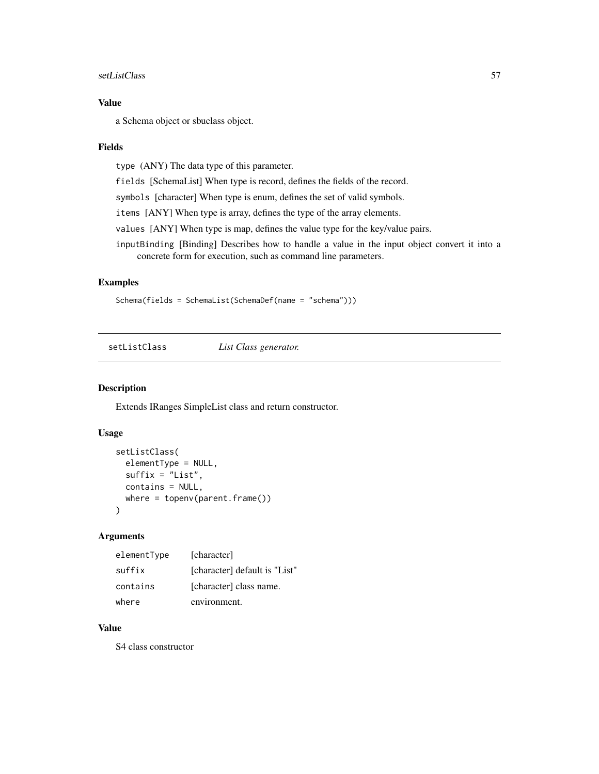#### setListClass 57

# Value

a Schema object or sbuclass object.

#### Fields

type (ANY) The data type of this parameter.

fields [SchemaList] When type is record, defines the fields of the record.

symbols [character] When type is enum, defines the set of valid symbols.

items [ANY] When type is array, defines the type of the array elements.

values [ANY] When type is map, defines the value type for the key/value pairs.

inputBinding [Binding] Describes how to handle a value in the input object convert it into a concrete form for execution, such as command line parameters.

### Examples

Schema(fields = SchemaList(SchemaDef(name = "schema")))

setListClass *List Class generator.*

### Description

Extends IRanges SimpleList class and return constructor.

### Usage

```
setListClass(
 elementType = NULL,
 suffix = "List",
 contains = NULL,
 where = topenv(parent.frame())
)
```
#### Arguments

| elementType | [character]                   |
|-------------|-------------------------------|
| suffix      | [character] default is "List" |
| contains    | [character] class name.       |
| where       | environment.                  |

### Value

S4 class constructor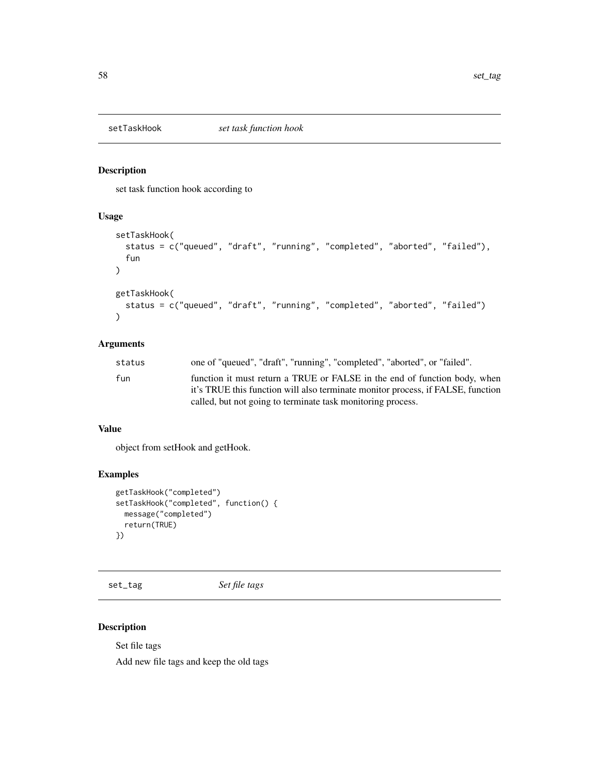set task function hook according to

### Usage

```
setTaskHook(
  status = c("queued", "draft", "running", "completed", "aborted", "failed"),
  fun
\mathcal{L}getTaskHook(
  status = c("queued", "draft", "running", "completed", "aborted", "failed")
)
```
## Arguments

| status | one of "queued", "draft", "running", "completed", "aborted", or "failed".       |
|--------|---------------------------------------------------------------------------------|
| fun    | function it must return a TRUE or FALSE in the end of function body, when       |
|        | it's TRUE this function will also terminate monitor process, if FALSE, function |
|        | called, but not going to terminate task monitoring process.                     |

#### Value

object from setHook and getHook.

## Examples

```
getTaskHook("completed")
setTaskHook("completed", function() {
 message("completed")
  return(TRUE)
})
```
set\_tag *Set file tags*

## Description

Set file tags

Add new file tags and keep the old tags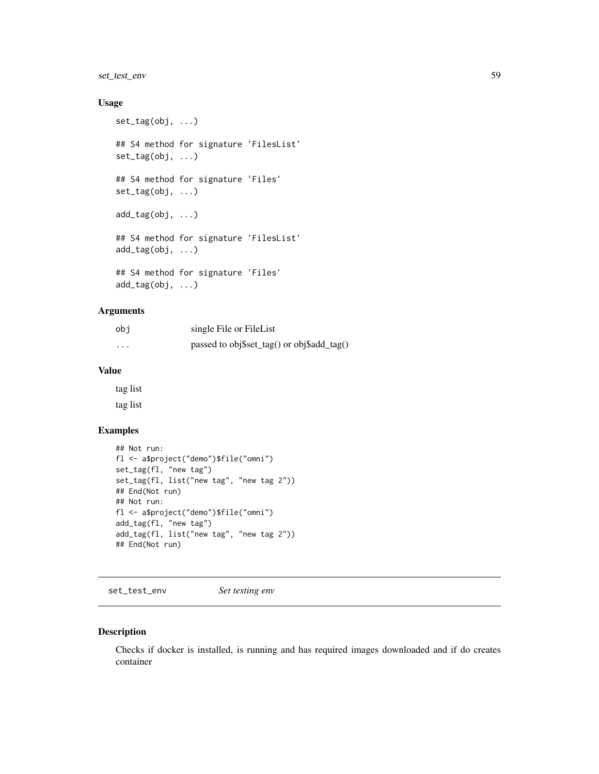## set\_test\_env 59

## Usage

```
set_tag(obj, ...)
## S4 method for signature 'FilesList'
set_tag(obj, ...)
## S4 method for signature 'Files'
set_tag(obj, ...)
add_tag(obj, ...)
## S4 method for signature 'FilesList'
add_tag(obj, ...)
## S4 method for signature 'Files'
add_tag(obj, ...)
```
### Arguments

| obi                     | single File or FileList                    |
|-------------------------|--------------------------------------------|
| $\cdot$ $\cdot$ $\cdot$ | passed to obj\$set_tag() or obj\$add_tag() |

## Value

tag list tag list

## Examples

```
## Not run:
fl <- a$project("demo")$file("omni")
set_tag(fl, "new tag")
set_tag(fl, list("new tag", "new tag 2"))
## End(Not run)
## Not run:
fl <- a$project("demo")$file("omni")
add_tag(fl, "new tag")
add_tag(fl, list("new tag", "new tag 2"))
## End(Not run)
```
set\_test\_env *Set testing env*

### Description

Checks if docker is installed, is running and has required images downloaded and if do creates container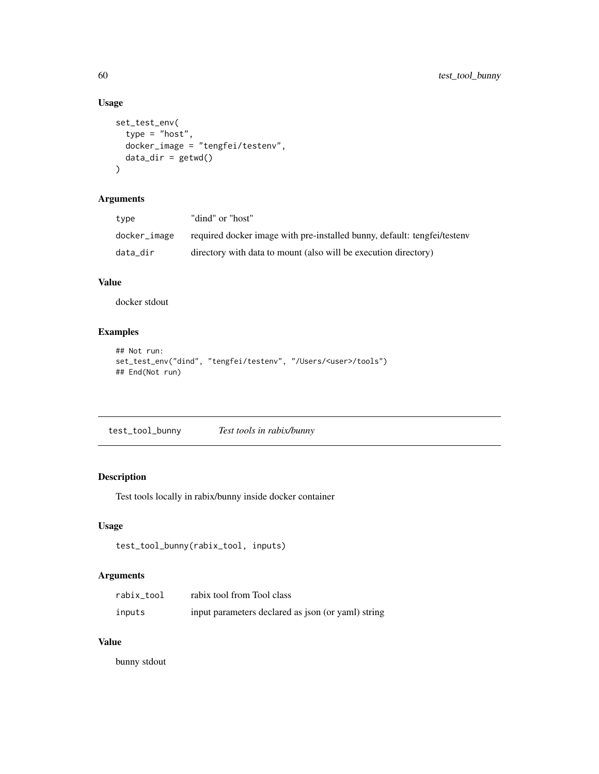# Usage

```
set_test_env(
  type = "host",
  docker_image = "tengfei/testenv",
  data\_dir = getwd()\mathcal{L}
```
# Arguments

| type         | "dind" or "host"                                                         |
|--------------|--------------------------------------------------------------------------|
| docker_image | required docker image with pre-installed bunny, default: tengfei/testeny |
| data dir     | directory with data to mount (also will be execution directory)          |

## Value

docker stdout

## Examples

```
## Not run:
set_test_env("dind", "tengfei/testenv", "/Users/<user>/tools")
## End(Not run)
```

| test_tool_bunny | Test tools in rabix/bunny |
|-----------------|---------------------------|
|                 |                           |

# Description

Test tools locally in rabix/bunny inside docker container

## Usage

```
test_tool_bunny(rabix_tool, inputs)
```
# Arguments

| rabix tool | rabix tool from Tool class                         |
|------------|----------------------------------------------------|
| inputs     | input parameters declared as json (or yaml) string |

# Value

bunny stdout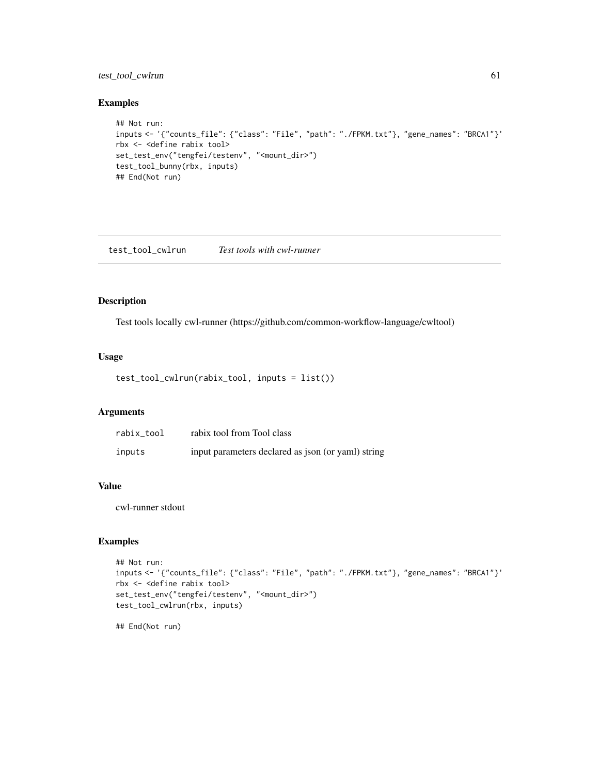## test\_tool\_cwlrun 61

### Examples

```
## Not run:
inputs <- '{"counts_file": {"class": "File", "path": "./FPKM.txt"}, "gene_names": "BRCA1"}'
rbx <- <define rabix tool>
set_test_env("tengfei/testenv", "<mount_dir>")
test_tool_bunny(rbx, inputs)
## End(Not run)
```
test\_tool\_cwlrun *Test tools with cwl-runner*

## Description

Test tools locally cwl-runner (https://github.com/common-workflow-language/cwltool)

## Usage

```
test_tool_cwlrun(rabix_tool, inputs = list())
```
### Arguments

| rabix tool | rabix tool from Tool class                         |
|------------|----------------------------------------------------|
| inputs     | input parameters declared as json (or yaml) string |

### Value

cwl-runner stdout

#### Examples

```
## Not run:
inputs <- '{"counts_file": {"class": "File", "path": "./FPKM.txt"}, "gene_names": "BRCA1"}'
rbx <- <define rabix tool>
set_test_env("tengfei/testenv", "<mount_dir>")
test_tool_cwlrun(rbx, inputs)
```
## End(Not run)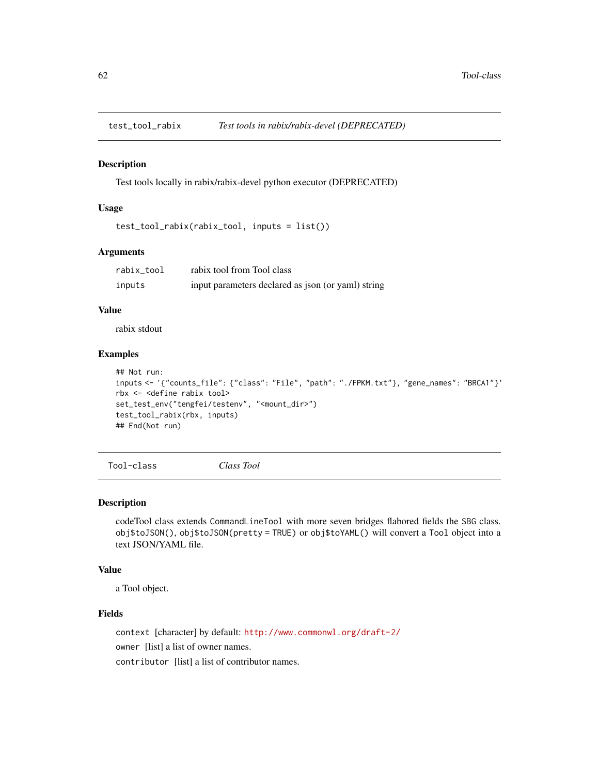Test tools locally in rabix/rabix-devel python executor (DEPRECATED)

### Usage

```
test_tool_rabix(rabix_tool, inputs = list())
```
#### Arguments

| rabix tool | rabix tool from Tool class                         |
|------------|----------------------------------------------------|
| inputs     | input parameters declared as json (or yaml) string |

## Value

rabix stdout

## Examples

```
## Not run:
inputs <- '{"counts_file": {"class": "File", "path": "./FPKM.txt"}, "gene_names": "BRCA1"}'
rbx <- <define rabix tool>
set_test_env("tengfei/testenv", "<mount_dir>")
test_tool_rabix(rbx, inputs)
## End(Not run)
```
Tool-class *Class Tool*

#### Description

codeTool class extends CommandLineTool with more seven bridges flabored fields the SBG class. obj\$toJSON(), obj\$toJSON(pretty = TRUE) or obj\$toYAML() will convert a Tool object into a text JSON/YAML file.

#### Value

a Tool object.

### Fields

context [character] by default: <http://www.commonwl.org/draft-2/> owner [list] a list of owner names. contributor [list] a list of contributor names.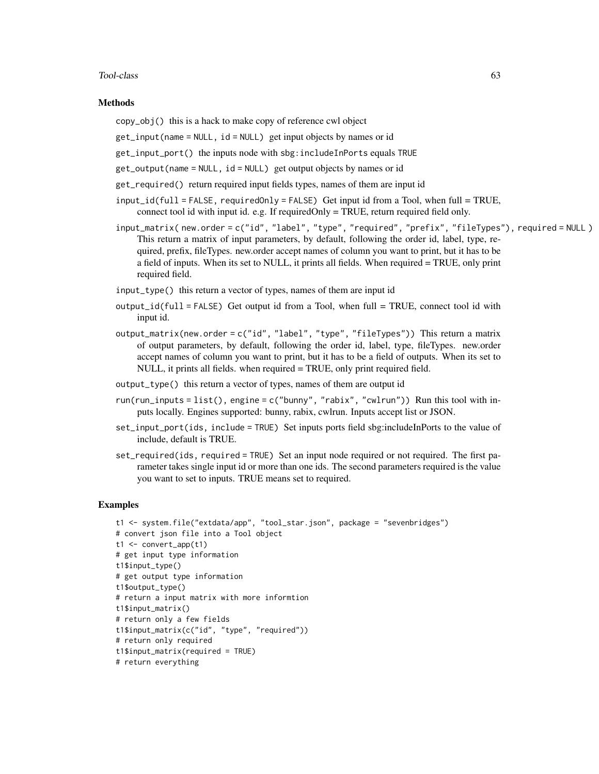#### Tool-class 63

#### Methods

copy\_obj() this is a hack to make copy of reference cwl object

- get\_input(name = NULL, id = NULL) get input objects by names or id
- get\_input\_port() the inputs node with sbg:includeInPorts equals TRUE
- get\_output(name = NULL, id = NULL) get output objects by names or id
- get\_required() return required input fields types, names of them are input id
- $input_id(full = FALSE, requiredOnly = FALSE)$  Get input id from a Tool, when full = TRUE, connect tool id with input id. e.g. If requiredOnly = TRUE, return required field only.
- input\_matrix( new.order = c("id", "label", "type", "required", "prefix", "fileTypes"), required = NULL ) This return a matrix of input parameters, by default, following the order id, label, type, required, prefix, fileTypes. new.order accept names of column you want to print, but it has to be a field of inputs. When its set to NULL, it prints all fields. When required = TRUE, only print required field.
- input\_type() this return a vector of types, names of them are input id
- output\_id(full = FALSE) Get output id from a Tool, when full = TRUE, connect tool id with input id.
- output\_matrix(new.order = c("id", "label", "type", "fileTypes")) This return a matrix of output parameters, by default, following the order id, label, type, fileTypes. new.order accept names of column you want to print, but it has to be a field of outputs. When its set to NULL, it prints all fields. when required = TRUE, only print required field.
- output\_type() this return a vector of types, names of them are output id
- run(run\_inputs = list(), engine =  $c("bunny", "rabi x", "cwlrun"))$  Run this tool with inputs locally. Engines supported: bunny, rabix, cwlrun. Inputs accept list or JSON.
- set\_input\_port(ids, include = TRUE) Set inputs ports field sbg:includeInPorts to the value of include, default is TRUE.
- set\_required(ids, required = TRUE) Set an input node required or not required. The first parameter takes single input id or more than one ids. The second parameters required is the value you want to set to inputs. TRUE means set to required.

```
t1 <- system.file("extdata/app", "tool_star.json", package = "sevenbridges")
# convert json file into a Tool object
t1 <- convert_app(t1)
# get input type information
t1$input_type()
# get output type information
t1$output_type()
# return a input matrix with more informtion
t1$input_matrix()
# return only a few fields
t1$input_matrix(c("id", "type", "required"))
# return only required
t1$input_matrix(required = TRUE)
# return everything
```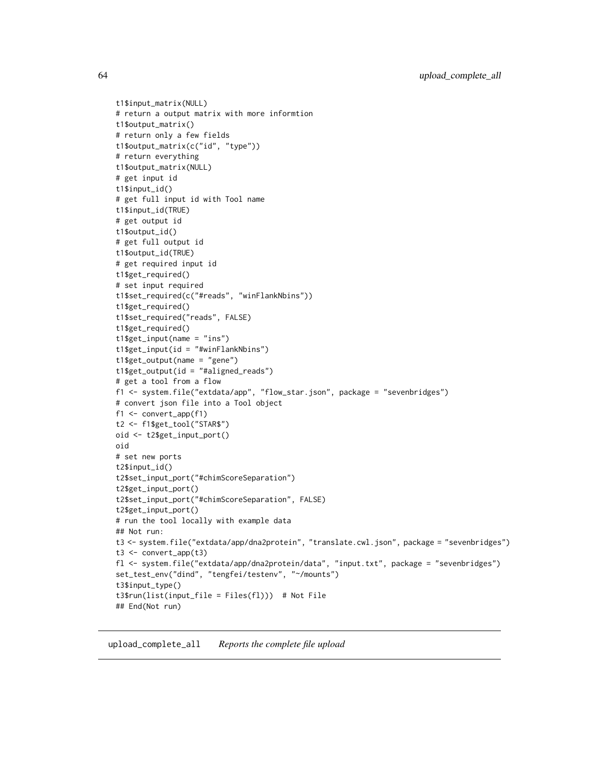t1\$input\_matrix(NULL) # return a output matrix with more informtion t1\$output\_matrix() # return only a few fields t1\$output\_matrix(c("id", "type")) # return everything t1\$output\_matrix(NULL) # get input id t1\$input\_id() # get full input id with Tool name t1\$input\_id(TRUE) # get output id t1\$output\_id() # get full output id t1\$output\_id(TRUE) # get required input id t1\$get\_required() # set input required t1\$set\_required(c("#reads", "winFlankNbins")) t1\$get\_required() t1\$set\_required("reads", FALSE) t1\$get\_required() t1\$get\_input(name = "ins") t1\$get\_input(id = "#winFlankNbins") t1\$get\_output(name = "gene") t1\$get\_output(id = "#aligned\_reads") # get a tool from a flow f1 <- system.file("extdata/app", "flow\_star.json", package = "sevenbridges") # convert json file into a Tool object f1 <- convert\_app(f1) t2 <- f1\$get\_tool("STAR\$") oid <- t2\$get\_input\_port() oid # set new ports t2\$input\_id() t2\$set\_input\_port("#chimScoreSeparation") t2\$get\_input\_port() t2\$set\_input\_port("#chimScoreSeparation", FALSE) t2\$get\_input\_port() # run the tool locally with example data ## Not run: t3 <- system.file("extdata/app/dna2protein", "translate.cwl.json", package = "sevenbridges") t3 <- convert\_app(t3) fl <- system.file("extdata/app/dna2protein/data", "input.txt", package = "sevenbridges") set\_test\_env("dind", "tengfei/testenv", "~/mounts") t3\$input\_type() t3\$run(list(input\_file = Files(fl))) # Not File ## End(Not run)

upload\_complete\_all *Reports the complete file upload*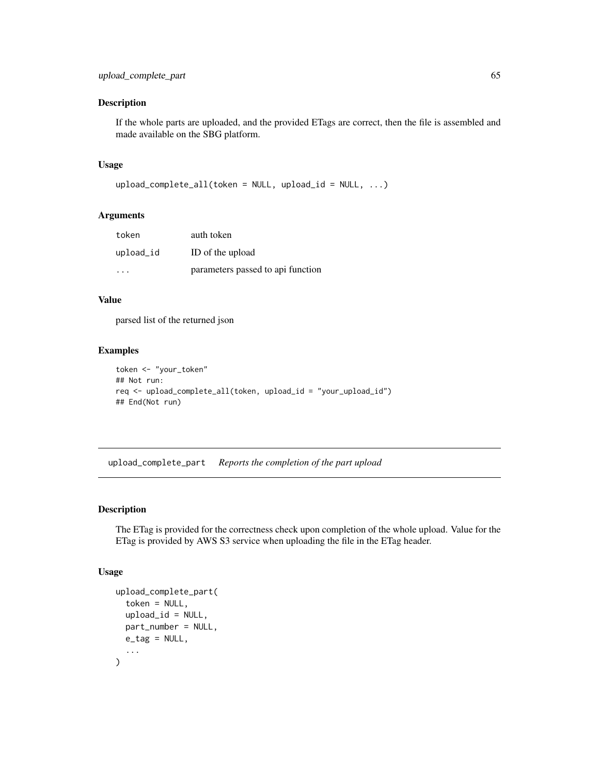If the whole parts are uploaded, and the provided ETags are correct, then the file is assembled and made available on the SBG platform.

#### Usage

```
upload_complete_all(token = NULL, upload_id = NULL, ...)
```
## Arguments

| token     | auth token                        |
|-----------|-----------------------------------|
| upload_id | ID of the upload                  |
| .         | parameters passed to api function |

### Value

parsed list of the returned json

#### Examples

```
token <- "your_token"
## Not run:
req <- upload_complete_all(token, upload_id = "your_upload_id")
## End(Not run)
```
upload\_complete\_part *Reports the completion of the part upload*

### Description

The ETag is provided for the correctness check upon completion of the whole upload. Value for the ETag is provided by AWS S3 service when uploading the file in the ETag header.

#### Usage

```
upload_complete_part(
  token = NULL,
  upload_id = NULL,
  part_number = NULL,
  e_{at} = NULL,...
\mathcal{L}
```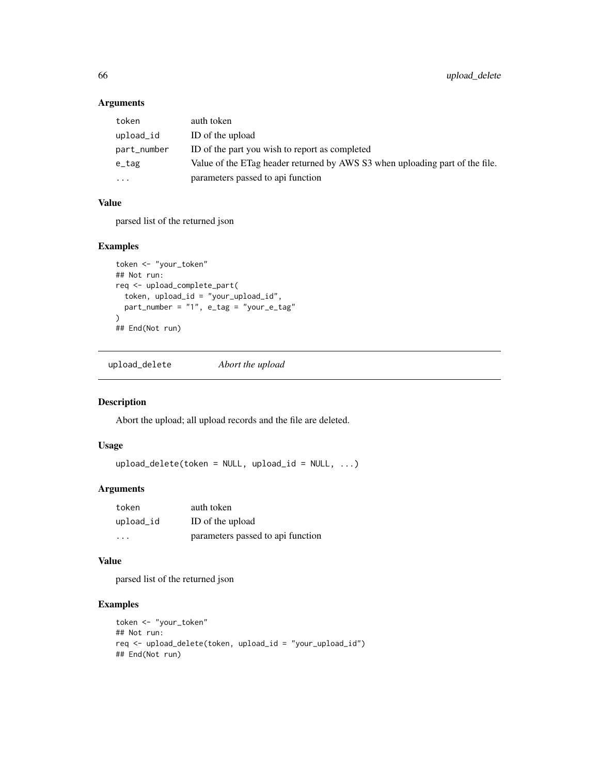## Arguments

| token       | auth token                                                                   |
|-------------|------------------------------------------------------------------------------|
| upload_id   | ID of the upload                                                             |
| part_number | ID of the part you wish to report as completed                               |
| e_tag       | Value of the ETag header returned by AWS S3 when uploading part of the file. |
| $\ddotsc$   | parameters passed to api function                                            |

## Value

parsed list of the returned json

## Examples

```
token <- "your_token"
## Not run:
req <- upload_complete_part(
 token, upload_id = "your_upload_id",
  part_number = "1", e_tag = "your_e_tag"
\lambda## End(Not run)
```
upload\_delete *Abort the upload*

## Description

Abort the upload; all upload records and the file are deleted.

### Usage

upload\_delete(token = NULL, upload\_id = NULL, ...)

## Arguments

| token     | auth token                        |
|-----------|-----------------------------------|
| upload_id | ID of the upload                  |
| .         | parameters passed to api function |

### Value

parsed list of the returned json

```
token <- "your_token"
## Not run:
req <- upload_delete(token, upload_id = "your_upload_id")
## End(Not run)
```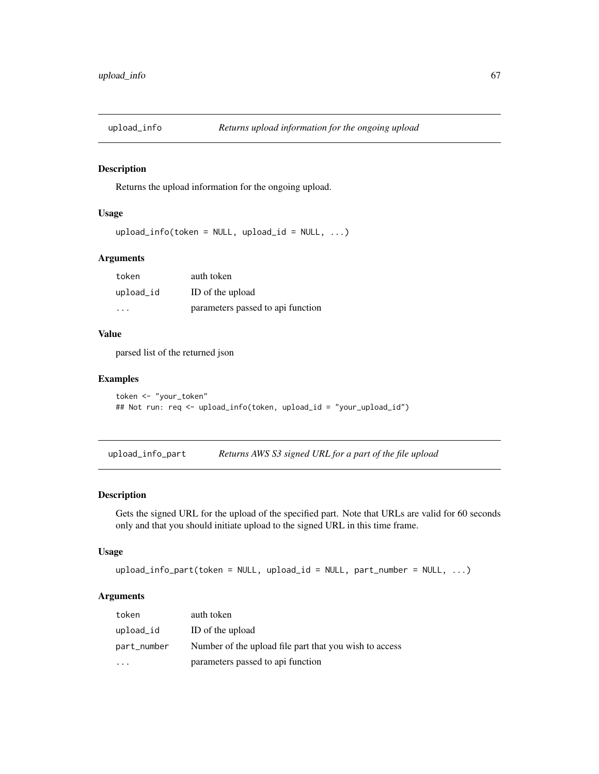Returns the upload information for the ongoing upload.

#### Usage

```
upload_info(token = NULL, upload_id = NULL, ...)
```
## Arguments

| token     | auth token                        |
|-----------|-----------------------------------|
| upload_id | ID of the upload                  |
| $\cdot$   | parameters passed to api function |

## Value

parsed list of the returned json

### Examples

```
token <- "your_token"
## Not run: req <- upload_info(token, upload_id = "your_upload_id")
```
upload\_info\_part *Returns AWS S3 signed URL for a part of the file upload*

### Description

Gets the signed URL for the upload of the specified part. Note that URLs are valid for 60 seconds only and that you should initiate upload to the signed URL in this time frame.

### Usage

```
upload_info_part(token = NULL, upload_id = NULL, part_number = NULL, ...)
```
## Arguments

| token       | auth token                                             |
|-------------|--------------------------------------------------------|
| upload_id   | ID of the upload                                       |
| part_number | Number of the upload file part that you wish to access |
|             | parameters passed to api function                      |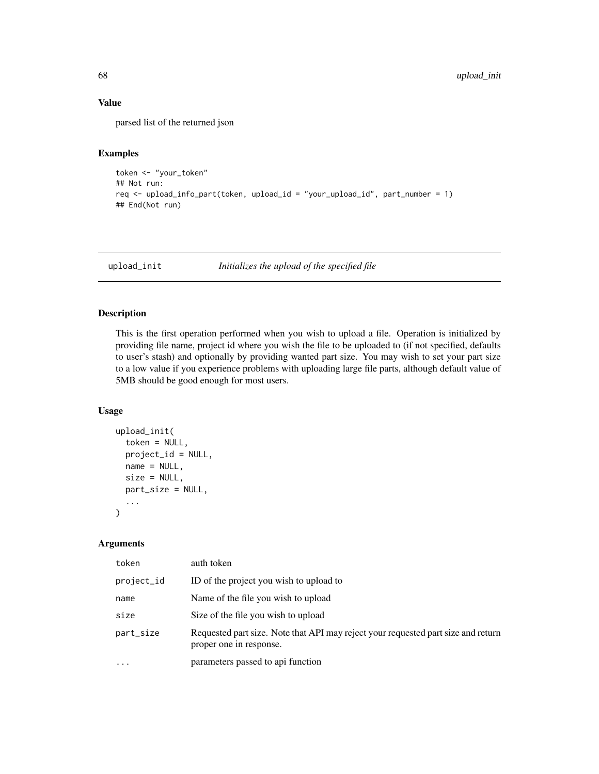### Value

parsed list of the returned json

### Examples

```
token <- "your_token"
## Not run:
req <- upload_info_part(token, upload_id = "your_upload_id", part_number = 1)
## End(Not run)
```
upload\_init *Initializes the upload of the specified file*

### Description

This is the first operation performed when you wish to upload a file. Operation is initialized by providing file name, project id where you wish the file to be uploaded to (if not specified, defaults to user's stash) and optionally by providing wanted part size. You may wish to set your part size to a low value if you experience problems with uploading large file parts, although default value of 5MB should be good enough for most users.

### Usage

```
upload_init(
  token = NULL,
  project_id = NULL,
  name = NULL,size = NULL,
  part_size = NULL,
  ...
)
```
### Arguments

| token      | auth token                                                                                                   |
|------------|--------------------------------------------------------------------------------------------------------------|
| project_id | ID of the project you wish to upload to                                                                      |
| name       | Name of the file you wish to upload                                                                          |
| size       | Size of the file you wish to upload                                                                          |
| part_size  | Requested part size. Note that API may reject your requested part size and return<br>proper one in response. |
| $\ddotsc$  | parameters passed to api function                                                                            |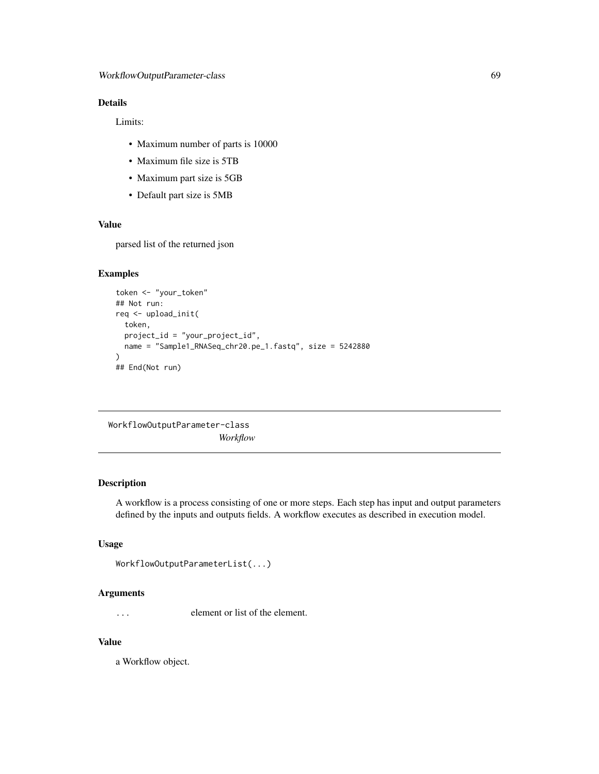# Details

Limits:

- Maximum number of parts is 10000
- Maximum file size is 5TB
- Maximum part size is 5GB
- Default part size is 5MB

## Value

parsed list of the returned json

## Examples

```
token <- "your_token"
## Not run:
req <- upload_init(
  token,
  project_id = "your_project_id",
  name = "Sample1_RNASeq_chr20.pe_1.fastq", size = 5242880
)
## End(Not run)
```

```
WorkflowOutputParameter-class
                        Workflow
```
# Description

A workflow is a process consisting of one or more steps. Each step has input and output parameters defined by the inputs and outputs fields. A workflow executes as described in execution model.

### Usage

```
WorkflowOutputParameterList(...)
```
#### Arguments

... element or list of the element.

# Value

a Workflow object.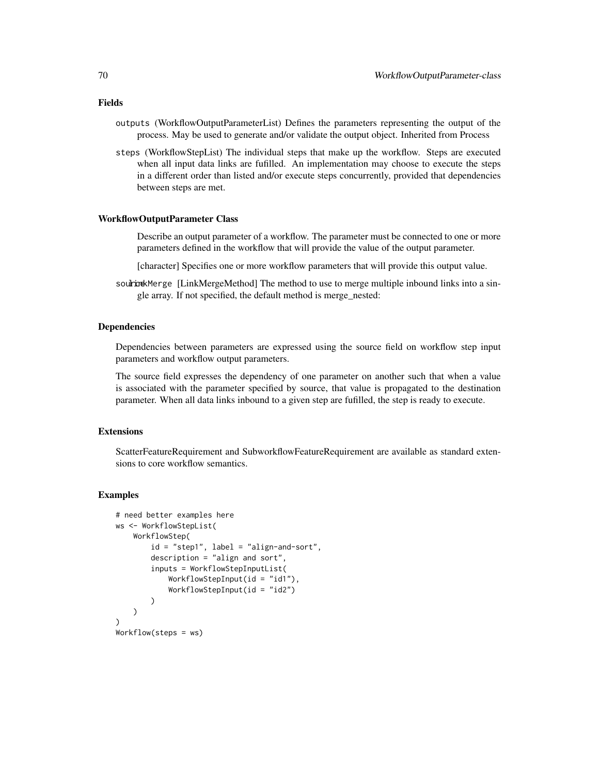- Fields
	- outputs (WorkflowOutputParameterList) Defines the parameters representing the output of the process. May be used to generate and/or validate the output object. Inherited from Process
	- steps (WorkflowStepList) The individual steps that make up the workflow. Steps are executed when all input data links are fufilled. An implementation may choose to execute the steps in a different order than listed and/or execute steps concurrently, provided that dependencies between steps are met.

#### WorkflowOutputParameter Class

- Describe an output parameter of a workflow. The parameter must be connected to one or more parameters defined in the workflow that will provide the value of the output parameter.
- [character] Specifies one or more workflow parameters that will provide this output value.
- source linkMerge [LinkMergeMethod] The method to use to merge multiple inbound links into a single array. If not specified, the default method is merge\_nested:

### Dependencies

Dependencies between parameters are expressed using the source field on workflow step input parameters and workflow output parameters.

The source field expresses the dependency of one parameter on another such that when a value is associated with the parameter specified by source, that value is propagated to the destination parameter. When all data links inbound to a given step are fufilled, the step is ready to execute.

### Extensions

ScatterFeatureRequirement and SubworkflowFeatureRequirement are available as standard extensions to core workflow semantics.

```
# need better examples here
ws <- WorkflowStepList(
    WorkflowStep(
        id = "step1", label = "align-and-sort",
        description = "align and sort",
        inputs = WorkflowStepInputList(
            WorkflowStepInput(id = "id1"),
            WorkflowStepInput(id = "id2")
        )
   \lambda\lambdaWorkflow(steps = ws)
```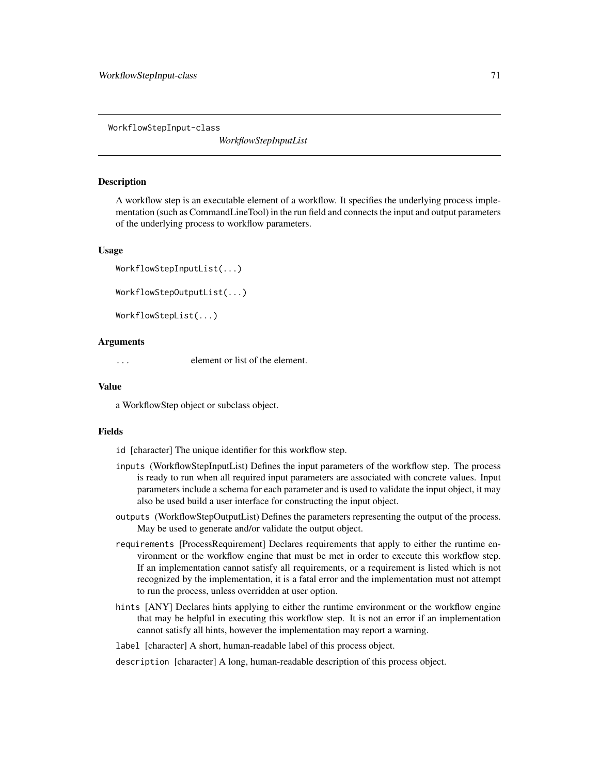WorkflowStepInput-class

*WorkflowStepInputList*

#### Description

A workflow step is an executable element of a workflow. It specifies the underlying process implementation (such as CommandLineTool) in the run field and connects the input and output parameters of the underlying process to workflow parameters.

#### Usage

```
WorkflowStepInputList(...)
WorkflowStepOutputList(...)
```
WorkflowStepList(...)

### Arguments

... element or list of the element.

#### Value

a WorkflowStep object or subclass object.

#### Fields

id [character] The unique identifier for this workflow step.

- inputs (WorkflowStepInputList) Defines the input parameters of the workflow step. The process is ready to run when all required input parameters are associated with concrete values. Input parameters include a schema for each parameter and is used to validate the input object, it may also be used build a user interface for constructing the input object.
- outputs (WorkflowStepOutputList) Defines the parameters representing the output of the process. May be used to generate and/or validate the output object.
- requirements [ProcessRequirement] Declares requirements that apply to either the runtime environment or the workflow engine that must be met in order to execute this workflow step. If an implementation cannot satisfy all requirements, or a requirement is listed which is not recognized by the implementation, it is a fatal error and the implementation must not attempt to run the process, unless overridden at user option.
- hints [ANY] Declares hints applying to either the runtime environment or the workflow engine that may be helpful in executing this workflow step. It is not an error if an implementation cannot satisfy all hints, however the implementation may report a warning.

label [character] A short, human-readable label of this process object.

description [character] A long, human-readable description of this process object.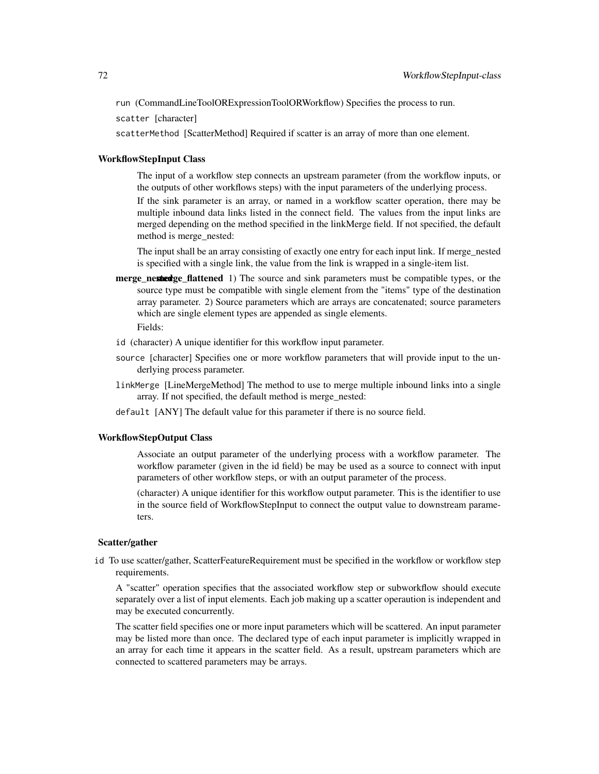run (CommandLineToolORExpressionToolORWorkflow) Specifies the process to run.

scatter [character]

scatterMethod [ScatterMethod] Required if scatter is an array of more than one element.

#### WorkflowStepInput Class

The input of a workflow step connects an upstream parameter (from the workflow inputs, or the outputs of other workflows steps) with the input parameters of the underlying process.

If the sink parameter is an array, or named in a workflow scatter operation, there may be multiple inbound data links listed in the connect field. The values from the input links are merged depending on the method specified in the linkMerge field. If not specified, the default method is merge\_nested:

The input shall be an array consisting of exactly one entry for each input link. If merge\_nested is specified with a single link, the value from the link is wrapped in a single-item list.

merge nested merge flattened 1) The source and sink parameters must be compatible types, or the source type must be compatible with single element from the "items" type of the destination array parameter. 2) Source parameters which are arrays are concatenated; source parameters which are single element types are appended as single elements. Fields:

- id (character) A unique identifier for this workflow input parameter.
- source [character] Specifies one or more workflow parameters that will provide input to the underlying process parameter.
- linkMerge [LineMergeMethod] The method to use to merge multiple inbound links into a single array. If not specified, the default method is merge\_nested:
- default [ANY] The default value for this parameter if there is no source field.

#### WorkflowStepOutput Class

Associate an output parameter of the underlying process with a workflow parameter. The workflow parameter (given in the id field) be may be used as a source to connect with input parameters of other workflow steps, or with an output parameter of the process.

(character) A unique identifier for this workflow output parameter. This is the identifier to use in the source field of WorkflowStepInput to connect the output value to downstream parameters.

### Scatter/gather

id To use scatter/gather, ScatterFeatureRequirement must be specified in the workflow or workflow step requirements.

A "scatter" operation specifies that the associated workflow step or subworkflow should execute separately over a list of input elements. Each job making up a scatter operaution is independent and may be executed concurrently.

The scatter field specifies one or more input parameters which will be scattered. An input parameter may be listed more than once. The declared type of each input parameter is implicitly wrapped in an array for each time it appears in the scatter field. As a result, upstream parameters which are connected to scattered parameters may be arrays.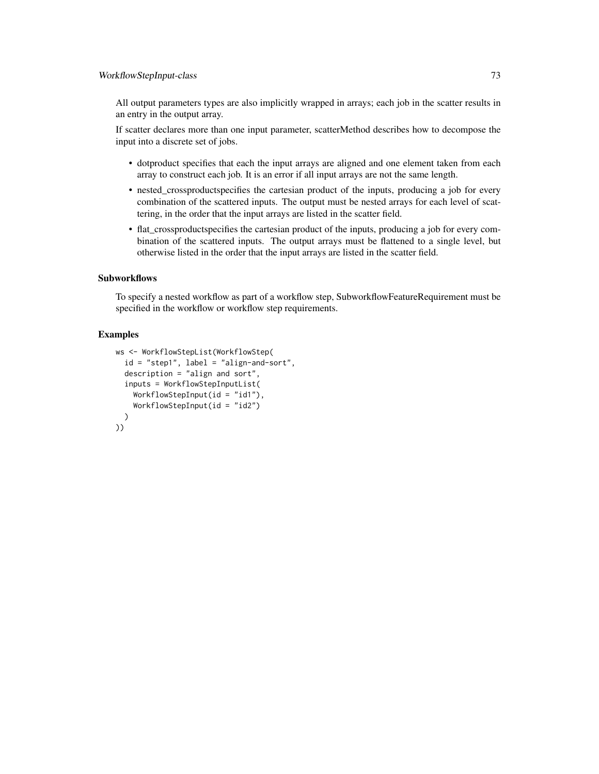All output parameters types are also implicitly wrapped in arrays; each job in the scatter results in an entry in the output array.

If scatter declares more than one input parameter, scatterMethod describes how to decompose the input into a discrete set of jobs.

- dotproduct specifies that each the input arrays are aligned and one element taken from each array to construct each job. It is an error if all input arrays are not the same length.
- nested crossproductspecifies the cartesian product of the inputs, producing a job for every combination of the scattered inputs. The output must be nested arrays for each level of scattering, in the order that the input arrays are listed in the scatter field.
- flat crossproductspecifies the cartesian product of the inputs, producing a job for every combination of the scattered inputs. The output arrays must be flattened to a single level, but otherwise listed in the order that the input arrays are listed in the scatter field.

# **Subworkflows**

To specify a nested workflow as part of a workflow step, SubworkflowFeatureRequirement must be specified in the workflow or workflow step requirements.

# Examples

```
ws <- WorkflowStepList(WorkflowStep(
  id = "step1", label = "align-and-sort",
  description = "align and sort",
  inputs = WorkflowStepInputList(
    WorkflowStepInput(id = "id1"),
    WorkflowStepInput(id = "id2")
  )
))
```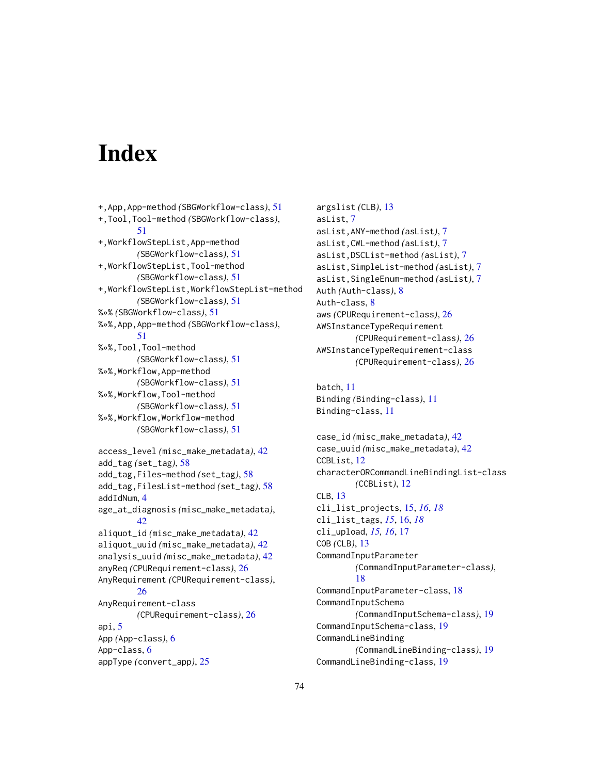# **Index**

```
+,App,App-method (SBGWorkflow-class), 51
+,Tool,Tool-method (SBGWorkflow-class),
        51
+,WorkflowStepList,App-method
        (SBGWorkflow-class), 51
+,WorkflowStepList,Tool-method
        (SBGWorkflow-class), 51
+,WorkflowStepList,WorkflowStepList-method
        (SBGWorkflow-class), 51
%»% (SBGWorkflow-class), 51
%»%,App,App-method (SBGWorkflow-class),
        51
%»%,Tool,Tool-method
        (SBGWorkflow-class), 51
%»%,Workflow,App-method
        (SBGWorkflow-class), 51
%»%,Workflow,Tool-method
        (SBGWorkflow-class), 51
%»%,Workflow,Workflow-method
        (SBGWorkflow-class), 51
access_level (misc_make_metadata), 42
add_tag (set_tag), 58
add_tag,Files-method (set_tag), 58
add_tag,FilesList-method (set_tag), 58
addIdNum, 4
age_at_diagnosis (misc_make_metadata),
        42
aliquot_id (misc_make_metadata), 42
aliquot_uuid (misc_make_metadata), 42
analysis_uuid (misc_make_metadata), 42
anyReq (CPURequirement-class), 26
AnyRequirement (CPURequirement-class),
        26
AnyRequirement-class
        (CPURequirement-class), 26
api, 5
App (App-class), 6
App-class, 6
appType (convert_app), 25
```

```
argslist (CLB), 13
asList, 7
asList,ANY-method (asList), 7
asList,CWL-method (asList), 7
asList,DSCList-method (asList), 7
asList,SimpleList-method (asList), 7
asList,SingleEnum-method (asList), 7
Auth (Auth-class), 8
Auth-class, 8
aws (CPURequirement-class), 26
AWSInstanceTypeRequirement
        (CPURequirement-class), 26
AWSInstanceTypeRequirement-class
        (CPURequirement-class), 26
```

```
batch, 11
Binding (Binding-class), 11
Binding-class, 11
```

```
case_id (misc_make_metadata), 42
case_uuid (misc_make_metadata), 42
CCBList, 12
characterORCommandLineBindingList-class
        (CCBList), 12
CLB, 13
cli_list_projects, 15, 16, 18
cli_list_tags, 15, 16, 18
cli_upload, 15, 16, 17
COB (CLB), 13
CommandInputParameter
        (CommandInputParameter-class),
        18
CommandInputParameter-class, 18
CommandInputSchema
        (CommandInputSchema-class), 19
CommandInputSchema-class, 19
CommandLineBinding
        (CommandLineBinding-class), 19
CommandLineBinding-class, 19
```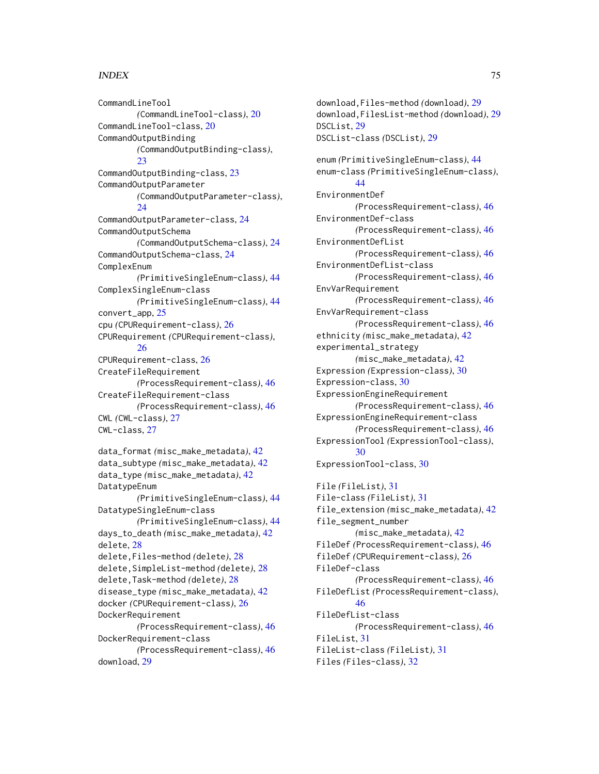# INDEX 75

CommandLineTool *(*CommandLineTool-class*)*, [20](#page-19-0) CommandLineTool-class, [20](#page-19-0) CommandOutputBinding *(*CommandOutputBinding-class*)*,  $23$ CommandOutputBinding-class, [23](#page-22-0) CommandOutputParameter *(*CommandOutputParameter-class*)*, [24](#page-23-0) CommandOutputParameter-class, [24](#page-23-0) CommandOutputSchema *(*CommandOutputSchema-class*)*, [24](#page-23-0) CommandOutputSchema-class, [24](#page-23-0) ComplexEnum *(*PrimitiveSingleEnum-class*)*, [44](#page-43-0) ComplexSingleEnum-class *(*PrimitiveSingleEnum-class*)*, [44](#page-43-0) convert\_app, [25](#page-24-0) cpu *(*CPURequirement-class*)*, [26](#page-25-0) CPURequirement *(*CPURequirement-class*)*, [26](#page-25-0) CPURequirement-class, [26](#page-25-0) CreateFileRequirement *(*ProcessRequirement-class*)*, [46](#page-45-0) CreateFileRequirement-class *(*ProcessRequirement-class*)*, [46](#page-45-0) CWL *(*CWL-class*)*, [27](#page-26-0) CWL-class, [27](#page-26-0) data\_format *(*misc\_make\_metadata*)*, [42](#page-41-0) data\_subtype *(*misc\_make\_metadata*)*, [42](#page-41-0) data\_type *(*misc\_make\_metadata*)*, [42](#page-41-0) DatatypeEnum *(*PrimitiveSingleEnum-class*)*, [44](#page-43-0) DatatypeSingleEnum-class *(*PrimitiveSingleEnum-class*)*, [44](#page-43-0) days\_to\_death *(*misc\_make\_metadata*)*, [42](#page-41-0) delete, [28](#page-27-0) delete,Files-method *(*delete*)*, [28](#page-27-0) delete,SimpleList-method *(*delete*)*, [28](#page-27-0) delete,Task-method *(*delete*)*, [28](#page-27-0) disease\_type *(*misc\_make\_metadata*)*, [42](#page-41-0) docker *(*CPURequirement-class*)*, [26](#page-25-0) DockerRequirement *(*ProcessRequirement-class*)*, [46](#page-45-0) DockerRequirement-class *(*ProcessRequirement-class*)*, [46](#page-45-0) download, [29](#page-28-0)

download,Files-method *(*download*)*, [29](#page-28-0) download,FilesList-method *(*download*)*, [29](#page-28-0) DSCList, [29](#page-28-0) DSCList-class *(*DSCList*)*, [29](#page-28-0) enum *(*PrimitiveSingleEnum-class*)*, [44](#page-43-0) enum-class *(*PrimitiveSingleEnum-class*)*, [44](#page-43-0) EnvironmentDef *(*ProcessRequirement-class*)*, [46](#page-45-0) EnvironmentDef-class *(*ProcessRequirement-class*)*, [46](#page-45-0) EnvironmentDefList *(*ProcessRequirement-class*)*, [46](#page-45-0) EnvironmentDefList-class *(*ProcessRequirement-class*)*, [46](#page-45-0) EnvVarRequirement *(*ProcessRequirement-class*)*, [46](#page-45-0) EnvVarRequirement-class *(*ProcessRequirement-class*)*, [46](#page-45-0) ethnicity *(*misc\_make\_metadata*)*, [42](#page-41-0) experimental\_strategy *(*misc\_make\_metadata*)*, [42](#page-41-0) Expression *(*Expression-class*)*, [30](#page-29-0) Expression-class, [30](#page-29-0) ExpressionEngineRequirement *(*ProcessRequirement-class*)*, [46](#page-45-0) ExpressionEngineRequirement-class *(*ProcessRequirement-class*)*, [46](#page-45-0) ExpressionTool *(*ExpressionTool-class*)*, [30](#page-29-0) ExpressionTool-class, [30](#page-29-0) File *(*FileList*)*, [31](#page-30-0) File-class *(*FileList*)*, [31](#page-30-0) file\_extension *(*misc\_make\_metadata*)*, [42](#page-41-0) file\_segment\_number *(*misc\_make\_metadata*)*, [42](#page-41-0) FileDef *(*ProcessRequirement-class*)*, [46](#page-45-0) fileDef *(*CPURequirement-class*)*, [26](#page-25-0) FileDef-class *(*ProcessRequirement-class*)*, [46](#page-45-0) FileDefList *(*ProcessRequirement-class*)*, [46](#page-45-0) FileDefList-class *(*ProcessRequirement-class*)*, [46](#page-45-0) FileList, [31](#page-30-0) FileList-class *(*FileList*)*, [31](#page-30-0) Files *(*Files-class*)*, [32](#page-31-0)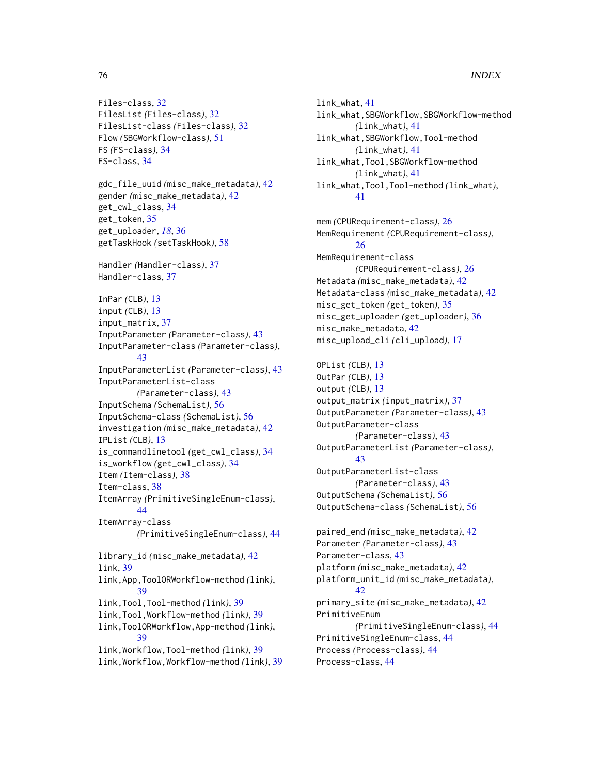```
Files-class, 32
FilesList (Files-class), 32
FilesList-class (Files-class), 32
Flow (SBGWorkflow-class), 51
FS (FS-class), 34
FS-class, 34
gdc_file_uuid (misc_make_metadata), 42
gender (misc_make_metadata), 42
get_cwl_class, 34
get_token, 35
get_uploader, 18, 36
getTaskHook (setTaskHook), 58
Handler (Handler-class), 37
Handler-class, 37
InPar (CLB), 13
input (CLB), 13
input_matrix, 37
InputParameter (Parameter-class), 43
InputParameter-class (Parameter-class),
        43
InputParameterList (Parameter-class), 43
InputParameterList-class
        (Parameter-class), 43
InputSchema (SchemaList), 56
InputSchema-class (SchemaList), 56
investigation (misc_make_metadata), 42
IPList (CLB), 13
is_commandlinetool (get_cwl_class), 34
is_workflow (get_cwl_class), 34
Item (Item-class), 38
Item-class, 38
ItemArray (PrimitiveSingleEnum-class),
        44
ItemArray-class
        (PrimitiveSingleEnum-class), 44
library_id (misc_make_metadata), 42
link, 39
link,App,ToolORWorkflow-method (link),
        39
link,Tool,Tool-method (link), 39
link,Tool,Workflow-method (link), 39
link,ToolORWorkflow,App-method (link),
        39
link,Workflow,Tool-method (link), 39
link,Workflow,Workflow-method (link), 39
```

```
link_what, 41
link_what,SBGWorkflow,SBGWorkflow-method
        (link_what), 41
link_what,SBGWorkflow,Tool-method
        (link_what), 41
link_what,Tool,SBGWorkflow-method
        (link_what), 41
link_what,Tool,Tool-method (link_what),
        41
mem (CPURequirement-class), 26
MemRequirement (CPURequirement-class),
        26
MemRequirement-class
        (CPURequirement-class), 26
Metadata (misc_make_metadata), 42
Metadata-class (misc_make_metadata), 42
misc_get_token (get_token), 35
misc_get_uploader (get_uploader), 36
```

```
misc_make_metadata, 42
misc_upload_cli (cli_upload), 17
OPList (CLB), 13
OutPar (CLB), 13
output (CLB), 13
output_matrix (input_matrix), 37
OutputParameter (Parameter-class), 43
OutputParameter-class
        (Parameter-class), 43
OutputParameterList (Parameter-class),
        43
OutputParameterList-class
        (Parameter-class), 43
OutputSchema (SchemaList), 56
OutputSchema-class (SchemaList), 56
paired_end (misc_make_metadata), 42
Parameter (Parameter-class), 43
```

```
Parameter-class, 43
platform (misc_make_metadata), 42
platform_unit_id (misc_make_metadata),
        42
primary_site (misc_make_metadata), 42
PrimitiveEnum
        (PrimitiveSingleEnum-class), 44
PrimitiveSingleEnum-class, 44
Process (Process-class), 44
Process-class, 44
```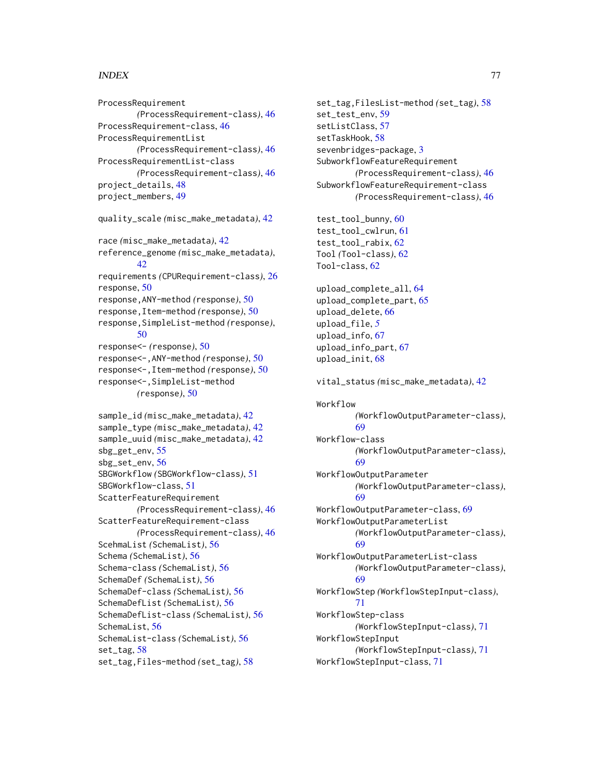# INDEX 277

ProcessRequirement *(*ProcessRequirement-class*)*, [46](#page-45-0) ProcessRequirement-class, [46](#page-45-0) ProcessRequirementList *(*ProcessRequirement-class*)*, [46](#page-45-0) ProcessRequirementList-class *(*ProcessRequirement-class*)*, [46](#page-45-0) project\_details, [48](#page-47-0) project\_members, [49](#page-48-0) quality\_scale *(*misc\_make\_metadata*)*, [42](#page-41-0)

race *(*misc\_make\_metadata*)*, [42](#page-41-0) reference\_genome *(*misc\_make\_metadata*)*, [42](#page-41-0) requirements *(*CPURequirement-class*)*, [26](#page-25-0) response, [50](#page-49-0) response,ANY-method *(*response*)*, [50](#page-49-0) response,Item-method *(*response*)*, [50](#page-49-0) response,SimpleList-method *(*response*)*, [50](#page-49-0) response<- *(*response*)*, [50](#page-49-0) response<-,ANY-method *(*response*)*, [50](#page-49-0) response<-,Item-method *(*response*)*, [50](#page-49-0) response<-,SimpleList-method *(*response*)*, [50](#page-49-0) sample\_id *(*misc\_make\_metadata*)*, [42](#page-41-0) sample\_type *(*misc\_make\_metadata*)*, [42](#page-41-0) sample\_uuid *(*misc\_make\_metadata*)*, [42](#page-41-0) sbg\_get\_env, [55](#page-54-0) sbg\_set\_env, [56](#page-55-0) SBGWorkflow *(*SBGWorkflow-class*)*, [51](#page-50-0) SBGWorkflow-class, [51](#page-50-0)

ScatterFeatureRequirement *(*ProcessRequirement-class*)*, [46](#page-45-0) ScatterFeatureRequirement-class *(*ProcessRequirement-class*)*, [46](#page-45-0) ScehmaList *(*SchemaList*)*, [56](#page-55-0) Schema *(*SchemaList*)*, [56](#page-55-0) Schema-class *(*SchemaList*)*, [56](#page-55-0) SchemaDef *(*SchemaList*)*, [56](#page-55-0) SchemaDef-class *(*SchemaList*)*, [56](#page-55-0) SchemaDefList *(*SchemaList*)*, [56](#page-55-0) SchemaDefList-class *(*SchemaList*)*, [56](#page-55-0) SchemaList, [56](#page-55-0) SchemaList-class *(*SchemaList*)*, [56](#page-55-0) set\_tag, [58](#page-57-0)

set\_tag,Files-method *(*set\_tag*)*, [58](#page-57-0)

set\_tag,FilesList-method *(*set\_tag*)*, [58](#page-57-0) set\_test\_env, [59](#page-58-0) setListClass, [57](#page-56-0) setTaskHook, [58](#page-57-0) sevenbridges-package, [3](#page-2-0) SubworkflowFeatureRequirement *(*ProcessRequirement-class*)*, [46](#page-45-0) SubworkflowFeatureRequirement-class *(*ProcessRequirement-class*)*, [46](#page-45-0) test\_tool\_bunny, [60](#page-59-0) test\_tool\_cwlrun, [61](#page-60-0) test\_tool\_rabix, [62](#page-61-0) Tool *(*Tool-class*)*, [62](#page-61-0) Tool-class, [62](#page-61-0) upload\_complete\_all, [64](#page-63-0) upload\_complete\_part, [65](#page-64-0) upload\_delete, [66](#page-65-0) upload\_file, *[5](#page-4-0)* upload\_info, [67](#page-66-0) upload\_info\_part, [67](#page-66-0) upload\_init, [68](#page-67-0) vital\_status *(*misc\_make\_metadata*)*, [42](#page-41-0) Workflow *(*WorkflowOutputParameter-class*)*, [69](#page-68-0) Workflow-class *(*WorkflowOutputParameter-class*)*, [69](#page-68-0) WorkflowOutputParameter *(*WorkflowOutputParameter-class*)*, [69](#page-68-0) WorkflowOutputParameter-class, [69](#page-68-0) WorkflowOutputParameterList *(*WorkflowOutputParameter-class*)*, [69](#page-68-0) WorkflowOutputParameterList-class *(*WorkflowOutputParameter-class*)*, [69](#page-68-0) WorkflowStep *(*WorkflowStepInput-class*)*, [71](#page-70-0) WorkflowStep-class *(*WorkflowStepInput-class*)*, [71](#page-70-0) WorkflowStepInput *(*WorkflowStepInput-class*)*, [71](#page-70-0) WorkflowStepInput-class, [71](#page-70-0)